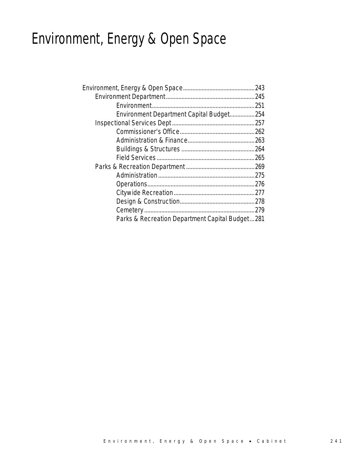# Environment, Energy & Open Space

| Environment Department Capital Budget 254       |  |
|-------------------------------------------------|--|
|                                                 |  |
|                                                 |  |
|                                                 |  |
|                                                 |  |
|                                                 |  |
|                                                 |  |
|                                                 |  |
|                                                 |  |
|                                                 |  |
|                                                 |  |
|                                                 |  |
| Parks & Recreation Department Capital Budget281 |  |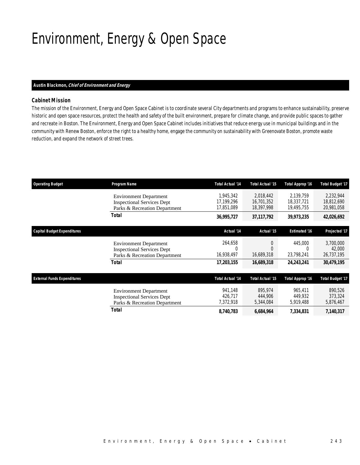# Environment, Energy & Open Space

### *Austin Blackmon, Chief of Environment and Energy*

### *Cabinet Mission*

The mission of the Environment, Energy and Open Space Cabinet is to coordinate several City departments and programs to enhance sustainability, preserve historic and open space resources, protect the health and safety of the built environment, prepare for climate change, and provide public spaces to gather and recreate in Boston. The Environment, Energy and Open Space Cabinet includes initiatives that reduce energy use in municipal buildings and in the community with Renew Boston, enforce the right to a healthy home, engage the community on sustainability with Greenovate Boston, promote waste reduction, and expand the network of street trees.

| <b>Operating Budget</b>            | Program Name                                                                                        | Total Actual '14                      | <b>Total Actual '15</b>               | Total Approp '16                      | <b>Total Budget '17</b>               |
|------------------------------------|-----------------------------------------------------------------------------------------------------|---------------------------------------|---------------------------------------|---------------------------------------|---------------------------------------|
|                                    | <b>Environment Department</b><br><b>Inspectional Services Dept</b><br>Parks & Recreation Department | 1,945,342<br>17,199,296<br>17,851,089 | 2,018,442<br>16,701,352<br>18,397,998 | 2,139,759<br>18,337,721<br>19,495,755 | 2,232,944<br>18,812,690<br>20,981,058 |
|                                    | Total                                                                                               | 36,995,727                            | 37,117,792                            | 39,973,235                            | 42,026,692                            |
| Capital Budget Expenditures        |                                                                                                     | Actual '14                            | Actual '15                            | <b>Estimated '16</b>                  | Projected '17                         |
|                                    | <b>Environment Department</b><br><b>Inspectional Services Dept</b><br>Parks & Recreation Department | 264,658<br>0<br>16,938,497            | 0<br>16,689,318                       | 445,000<br>$\Omega$<br>23,798,241     | 3,700,000<br>42,000<br>26,737,195     |
|                                    | Total                                                                                               | 17,203,155                            | 16,689,318                            | 24,243,241                            | 30,479,195                            |
| <b>External Funds Expenditures</b> |                                                                                                     | <b>Total Actual '14</b>               | <b>Total Actual '15</b>               | Total Approp '16                      | <b>Total Budget '17</b>               |
|                                    | <b>Environment Department</b><br><b>Inspectional Services Dept</b><br>Parks & Recreation Department | 941,148<br>426,717<br>7,372,918       | 895,974<br>444,906<br>5,344,084       | 965,411<br>449.932<br>5,919,488       | 890,526<br>373,324<br>5,876,467       |
|                                    | <b>Total</b>                                                                                        | 8,740,783                             | 6,684,964                             | 7,334,831                             | 7,140,317                             |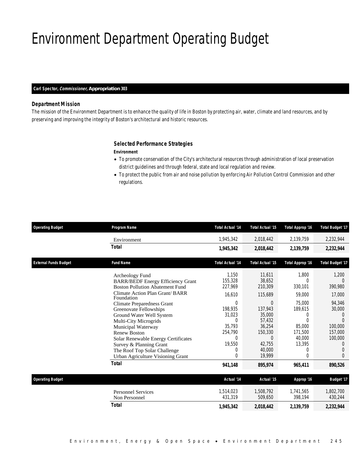# Environment Department Operating Budget

### *Carl Spector, Commissioner, Appropriation 303*

### *Department Mission*

The mission of the Environment Department is to enhance the quality of life in Boston by protecting air, water, climate and land resources, and by preserving and improving the integrity of Boston's architectural and historic resources.

### *Selected Performance Strategies*

*Environment* 

- To promote conservation of the City's architectural resources through administration of local preservation district guidelines and through federal, state and local regulation and review.
- To protect the public from air and noise pollution by enforcing Air Pollution Control Commission and other regulations.

| <b>Operating Budget</b>      | Program Name                                                                                                                                                                                                                                                                                                                                                                                                       | <b>Total Actual '14</b>                                                                                                           | <b>Total Actual '15</b>                                                                                                                | Total Approp '16                                                                                             | <b>Total Budget '17</b>                                                                                                 |
|------------------------------|--------------------------------------------------------------------------------------------------------------------------------------------------------------------------------------------------------------------------------------------------------------------------------------------------------------------------------------------------------------------------------------------------------------------|-----------------------------------------------------------------------------------------------------------------------------------|----------------------------------------------------------------------------------------------------------------------------------------|--------------------------------------------------------------------------------------------------------------|-------------------------------------------------------------------------------------------------------------------------|
|                              | Environment                                                                                                                                                                                                                                                                                                                                                                                                        | 1,945,342                                                                                                                         | 2,018,442                                                                                                                              | 2,139,759                                                                                                    | 2,232,944                                                                                                               |
|                              | <b>Total</b>                                                                                                                                                                                                                                                                                                                                                                                                       | 1,945,342                                                                                                                         | 2,018,442                                                                                                                              | 2,139,759                                                                                                    | 2,232,944                                                                                                               |
| <b>External Funds Budget</b> | <b>Fund Name</b>                                                                                                                                                                                                                                                                                                                                                                                                   | <b>Total Actual '14</b>                                                                                                           | <b>Total Actual '15</b>                                                                                                                | Total Approp '16                                                                                             | <b>Total Budget '17</b>                                                                                                 |
|                              | Archeology Fund<br><b>BARR/BEDF Energy Efficiency Grant</b><br><b>Boston Pollution Abatement Fund</b><br>Climate Action Plan Grant/ BARR<br>Foundation<br>Climate Preparedness Grant<br>Greenovate Fellowships<br>Ground Water Well System<br>Multi-City Microgrids<br>Municipal Waterway<br><b>Renew Boston</b><br>Solar Renewable Energy Certificates<br>Survey & Planning Grant<br>The Roof Top Solar Challenge | 1.150<br>155,328<br>227,969<br>16,610<br>$\overline{0}$<br>198.935<br>31,023<br>0<br>35.793<br>254,790<br>$\Omega$<br>19,550<br>0 | 11.611<br>38.652<br>210,309<br>115,689<br>$\Omega$<br>137.943<br>35,000<br>57,432<br>36.254<br>150,330<br>$\Omega$<br>42,755<br>40,000 | 1.800<br>0<br>330,101<br>59.000<br>75,000<br>189.615<br>0<br>0<br>85,000<br>171,500<br>40,000<br>13,395<br>0 | 1,200<br>0<br>390,980<br>17,000<br>94,346<br>30,000<br>$\left( \right)$<br>0<br>100,000<br>157,000<br>100,000<br>0<br>0 |
|                              | Urban Agriculture Visioning Grant<br><b>Total</b>                                                                                                                                                                                                                                                                                                                                                                  | $\Omega$<br>941,148                                                                                                               | 19,999<br>895,974                                                                                                                      | 0<br>965,411                                                                                                 | 0<br>890,526                                                                                                            |
| <b>Operating Budget</b>      |                                                                                                                                                                                                                                                                                                                                                                                                                    | Actual '14                                                                                                                        | Actual '15                                                                                                                             | Approp '16                                                                                                   | <b>Budget '17</b>                                                                                                       |
|                              | <b>Personnel Services</b><br>Non Personnel                                                                                                                                                                                                                                                                                                                                                                         | 1,514,023<br>431,319                                                                                                              | 1,508,792<br>509,650                                                                                                                   | 1,741,565<br>398,194                                                                                         | 1,802,700<br>430,244                                                                                                    |
|                              | <b>Total</b>                                                                                                                                                                                                                                                                                                                                                                                                       | 1,945,342                                                                                                                         | 2,018,442                                                                                                                              | 2,139,759                                                                                                    | 2.232.944                                                                                                               |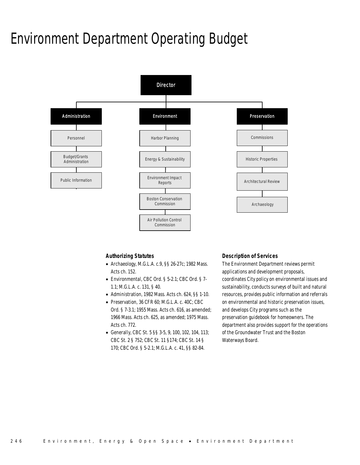## Environment Department Operating Budget



### *Authorizing Statutes*

- Archaeology, M.G.L.A. c.9, §§ 26-27c; 1982 Mass. Acts ch. 152.
- Environmental, CBC Ord. § 5-2.1; CBC Ord. § 7- 1.1; M.G.L.A. c. 131, § 40.
- Administration, 1982 Mass. Acts ch. 624, §§ 1-10.
- Preservation, 36 CFR 60; M.G.L.A. c. 40C; CBC Ord. § 7-3.1; 1955 Mass. Acts ch. 616, as amended; 1966 Mass. Acts ch. 625, as amended; 1975 Mass. Acts ch. 772.
- Generally, CBC St. 5 §§ 3-5, 9, 100, 102, 104, 113; CBC St. 2 § 752; CBC St. 11 §174; CBC St. 14 § 170; CBC Ord. § 5-2.1; M.G.L.A. c. 41, §§ 82-84.

### *Description of Services*

The Environment Department reviews permit applications and development proposals, coordinates City policy on environmental issues and sustainability, conducts surveys of built and natural resources, provides public information and referrals on environmental and historic preservation issues, and develops City programs such as the preservation guidebook for homeowners. The department also provides support for the operations of the Groundwater Trust and the Boston Waterways Board.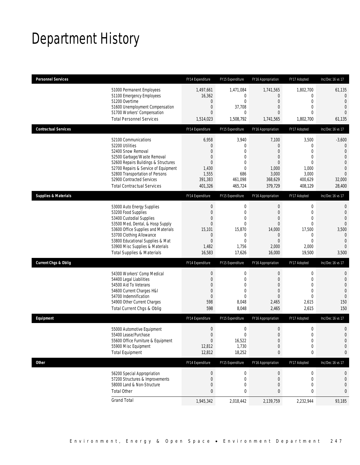# Department History

| <b>Personnel Services</b>       |                                                                                                                                                                                                                                                                                                      | FY14 Expenditure                                                                                                                   | FY15 Expenditure                                                                                                  | FY16 Appropriation                                                                                                                   | FY17 Adopted                                                                                                               | Inc/Dec 16 vs 17                                                                                                            |
|---------------------------------|------------------------------------------------------------------------------------------------------------------------------------------------------------------------------------------------------------------------------------------------------------------------------------------------------|------------------------------------------------------------------------------------------------------------------------------------|-------------------------------------------------------------------------------------------------------------------|--------------------------------------------------------------------------------------------------------------------------------------|----------------------------------------------------------------------------------------------------------------------------|-----------------------------------------------------------------------------------------------------------------------------|
|                                 | 51000 Permanent Employees<br>51100 Emergency Employees<br>51200 Overtime<br>51600 Unemployment Compensation<br>51700 Workers' Compensation<br><b>Total Personnel Services</b>                                                                                                                        | 1,497,661<br>16,362<br>0<br>$\mathbf 0$<br>$\overline{0}$<br>1,514,023                                                             | 1,471,084<br>0<br>$\mathbf{0}$<br>37,708<br>$\mathbf 0$<br>1,508,792                                              | 1,741,565<br>$\mathbf{0}$<br>$\overline{0}$<br>$\overline{0}$<br>$\overline{0}$<br>1,741,565                                         | 1,802,700<br>0<br>$\mathbf{0}$<br>$\overline{0}$<br>$\mathbf{0}$<br>1,802,700                                              | 61,135<br>0<br>$\theta$<br>$\overline{0}$<br>$\Omega$<br>61,135                                                             |
| <b>Contractual Services</b>     |                                                                                                                                                                                                                                                                                                      | FY14 Expenditure                                                                                                                   | FY15 Expenditure                                                                                                  | FY16 Appropriation                                                                                                                   | FY17 Adopted                                                                                                               | Inc/Dec 16 vs 17                                                                                                            |
|                                 | 52100 Communications<br>52200 Utilities<br>52400 Snow Removal<br>52500 Garbage/Waste Removal<br>52600 Repairs Buildings & Structures<br>52700 Repairs & Service of Equipment<br>52800 Transportation of Persons<br>52900 Contracted Services<br><b>Total Contractual Services</b>                    | 6,958<br>0<br>$\overline{0}$<br>$\overline{0}$<br>$\overline{0}$<br>1,430<br>1,555<br>391,383<br>401,326                           | 3,940<br>0<br>$\overline{0}$<br>$\mathbf 0$<br>$\theta$<br>$\overline{0}$<br>686<br>461,098<br>465,724            | 7,100<br>$\mathbf 0$<br>$\overline{0}$<br>$\overline{0}$<br>$\overline{0}$<br>1,000<br>3,000<br>368,629<br>379,729                   | 3,500<br>$\mathbf{0}$<br>$\overline{0}$<br>$\mathbf{0}$<br>$\mathbf 0$<br>1,000<br>3,000<br>400,629<br>408,129             | $-3,600$<br>$\overline{0}$<br>$\overline{0}$<br>$\overline{0}$<br>$\overline{0}$<br>$\overline{0}$<br>0<br>32,000<br>28,400 |
| <b>Supplies &amp; Materials</b> |                                                                                                                                                                                                                                                                                                      | FY14 Expenditure                                                                                                                   | FY15 Expenditure                                                                                                  | FY16 Appropriation                                                                                                                   | FY17 Adopted                                                                                                               | Inc/Dec 16 vs 17                                                                                                            |
|                                 | 53000 Auto Energy Supplies<br>53200 Food Supplies<br>53400 Custodial Supplies<br>53500 Med, Dental, & Hosp Supply<br>53600 Office Supplies and Materials<br>53700 Clothing Allowance<br>53800 Educational Supplies & Mat<br>53900 Misc Supplies & Materials<br><b>Total Supplies &amp; Materials</b> | $\boldsymbol{0}$<br>$\overline{0}$<br>$\overline{0}$<br>$\mathbf{0}$<br>15,101<br>$\mathbf 0$<br>$\overline{0}$<br>1,482<br>16,583 | $\boldsymbol{0}$<br>$\mathbf 0$<br>$\mathbf 0$<br>$\overline{0}$<br>15,870<br>0<br>$\mathbf 0$<br>1,756<br>17,626 | $\boldsymbol{0}$<br>$\overline{0}$<br>$\overline{0}$<br>$\overline{0}$<br>14,000<br>$\mathbf 0$<br>$\overline{0}$<br>2,000<br>16,000 | $\boldsymbol{0}$<br>$\mathbf{0}$<br>$\mathbf{0}$<br>$\mathbf 0$<br>17,500<br>$\mathbf 0$<br>$\mathbf 0$<br>2,000<br>19,500 | 0<br>$\mathbf 0$<br>$\overline{0}$<br>$\Omega$<br>3,500<br>$\mathbf{0}$<br>$\overline{0}$<br>$\Omega$<br>3,500              |
| <b>Current Chgs &amp; Oblig</b> |                                                                                                                                                                                                                                                                                                      | FY14 Expenditure                                                                                                                   | FY15 Expenditure                                                                                                  | FY16 Appropriation                                                                                                                   | FY17 Adopted                                                                                                               | Inc/Dec 16 vs 17                                                                                                            |
|                                 | 54300 Workers' Comp Medical<br>54400 Legal Liabilities<br>54500 Aid To Veterans<br>54600 Current Charges H&I<br>54700 Indemnification<br>54900 Other Current Charges<br>Total Current Chgs & Oblig                                                                                                   | $\boldsymbol{0}$<br>$\boldsymbol{0}$<br>$\overline{0}$<br>$\boldsymbol{0}$<br>$\overline{0}$<br>598<br>598                         | $\boldsymbol{0}$<br>$\overline{0}$<br>$\mathbf 0$<br>$\mathbf 0$<br>$\mathbf 0$<br>8,048<br>8,048                 | $\boldsymbol{0}$<br>$\overline{0}$<br>$\overline{0}$<br>$\overline{0}$<br>$\overline{0}$<br>2,465<br>2,465                           | 0<br>$\mathbf{0}$<br>$\overline{0}$<br>$\mathbf{0}$<br>$\mathbf{0}$<br>2,615<br>2,615                                      | 0<br>$\mathbf 0$<br>$\overline{0}$<br>$\overline{0}$<br>$\mathbf 0$<br>150<br>150                                           |
| Equipment                       |                                                                                                                                                                                                                                                                                                      | FY14 Expenditure                                                                                                                   | FY15 Expenditure                                                                                                  | FY16 Appropriation                                                                                                                   | FY17 Adopted                                                                                                               | Inc/Dec 16 vs 17                                                                                                            |
|                                 | 55000 Automotive Equipment<br>55400 Lease/Purchase<br>55600 Office Furniture & Equipment<br>55900 Misc Equipment<br><b>Total Equipment</b>                                                                                                                                                           | $\boldsymbol{0}$<br>$\Omega$<br>$\boldsymbol{0}$<br>12,812<br>12,812                                                               | $\mathbf 0$<br>$\theta$<br>16,522<br>1,730<br>18,252                                                              | $\boldsymbol{0}$<br>$\Omega$<br>$\boldsymbol{0}$<br>$\mathbf 0$<br>$\pmb{0}$                                                         | $\boldsymbol{0}$<br>$\Omega$<br>$\boldsymbol{0}$<br>$\boldsymbol{0}$<br>0                                                  | $\mathbf 0$<br>$\Omega$<br>$\mathbf 0$<br>0<br>0                                                                            |
| Other                           |                                                                                                                                                                                                                                                                                                      | FY14 Expenditure                                                                                                                   | FY15 Expenditure                                                                                                  | FY16 Appropriation                                                                                                                   | FY17 Adopted                                                                                                               | Inc/Dec 16 vs 17                                                                                                            |
|                                 | 56200 Special Appropriation<br>57200 Structures & Improvements<br>58000 Land & Non-Structure<br><b>Total Other</b>                                                                                                                                                                                   | 0<br>0<br>0<br>0                                                                                                                   | 0<br>0<br>0<br>0                                                                                                  | $\theta$<br>$\mathbf 0$<br>$\mathbf{0}$<br>0                                                                                         | 0<br>0<br>0<br>0                                                                                                           | 0<br>$\mathbf 0$<br>0<br>0                                                                                                  |
|                                 | <b>Grand Total</b>                                                                                                                                                                                                                                                                                   | 1,945,342                                                                                                                          | 2,018,442                                                                                                         | 2,139,759                                                                                                                            | 2,232,944                                                                                                                  | 93,185                                                                                                                      |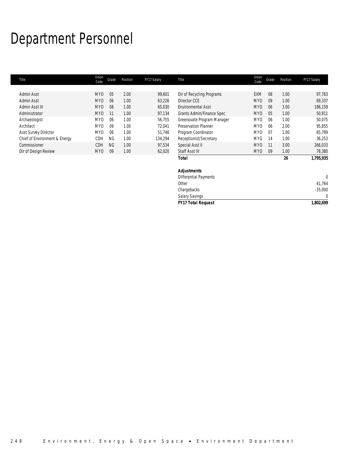# Department Personnel

| Title                         | Union<br>Code   | Grade     | Position | FY17 Salary | Title                       | Union<br>Code   | Grade | Position | FY17 Salary  |
|-------------------------------|-----------------|-----------|----------|-------------|-----------------------------|-----------------|-------|----------|--------------|
|                               |                 |           |          |             |                             |                 |       |          |              |
| Admin Asst                    | MY <sub>0</sub> | 05        | 2.00     | 99,601      | Dir of Recycling Programs   | <b>EXM</b>      | 08    | 1.00     | 97,763       |
| Admin Asst                    | MY0             | 06        | 1.00     | 63,226      | Director CCE                | MY <sub>0</sub> | 09    | 1.00     | 69,337       |
| Admin Asst III                | MY <sub>0</sub> | 08        | 1.00     | 65,030      | <b>Environmental Asst</b>   | MY0             | 06    | 3.00     | 186,159      |
| Administrator                 | MY <sub>0</sub> | 11        | 1.00     | 97,134      | Grants Admin/Finance Spec   | MY <sub>0</sub> | 05    | 1.00     | 50,911       |
| Archaeologist                 | MY0             | 06        | 1.00     | 56,755      | Greenovate Program Manager  | MY0             | 06    | 1.00     | 50,075       |
| Architect                     | MY <sub>0</sub> | 09        | 1.00     | 72,041      | <b>Preservation Planner</b> | MY0             | 06    | 2.00     | 95,855       |
| Asst Survey Director          | MY0             | 06        | 1.00     | 51,746      | Program Coordinator         | MY0             | 07    | 1.00     | 65,789       |
| Chief of Environment & Energy | CDH             | <b>NG</b> | 1.00     | 134,294     | Receptionist/Secretary      | <b>MYG</b>      | 14    | 1.00     | 36,253       |
| Commissioner                  | CDH             | <b>NG</b> | 1.00     | 97,534      | Special Asst II             | MY0             | 11    | 3.00     | 266,033      |
| Dir of Design Review          | MY <sub>0</sub> | 09        | 1.00     | 62,020      | Staff Asst IV               | MY0             | 09    | 1.00     | 78,380       |
|                               |                 |           |          |             | <b>Total</b>                |                 |       | 26       | 1,795,935    |
|                               |                 |           |          |             | <b>Adjustments</b>          |                 |       |          |              |
|                               |                 |           |          |             | Differential Payments       |                 |       |          | $\mathbf{0}$ |
|                               |                 |           |          |             | Other                       |                 |       |          | 41,764       |
|                               |                 |           |          |             | Chargebacks                 |                 |       |          | $-35,000$    |
|                               |                 |           |          |             | <b>Salary Savings</b>       |                 |       |          |              |
|                               |                 |           |          |             | <b>FY17 Total Request</b>   |                 |       |          | 1,802,699    |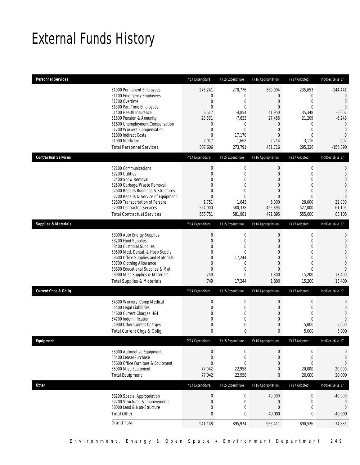# External Funds History

| <b>Personnel Services</b>       |                                                                                                                                                                                                                                                                                                            | FY14 Expenditure                                                                                                                                     | FY15 Expenditure                                                                                                            | FY16 Appropriation                                                                                                                             | FY17 Adopted                                                                                                                                | Inc/Dec 16 vs 17                                                                                                                                         |
|---------------------------------|------------------------------------------------------------------------------------------------------------------------------------------------------------------------------------------------------------------------------------------------------------------------------------------------------------|------------------------------------------------------------------------------------------------------------------------------------------------------|-----------------------------------------------------------------------------------------------------------------------------|------------------------------------------------------------------------------------------------------------------------------------------------|---------------------------------------------------------------------------------------------------------------------------------------------|----------------------------------------------------------------------------------------------------------------------------------------------------------|
|                                 | 51000 Permanent Employees<br>51100 Emergency Employees<br>51200 Overtime<br>51300 Part Time Employees<br>51400 Health Insurance<br>51500 Pension & Annunity<br>51600 Unemployment Compensation<br>51700 Workers' Compensation<br>51800 Indirect Costs<br>51900 Medicare<br><b>Total Personnel Services</b> | 275,241<br>$\mathbf 0$<br>$\boldsymbol{0}$<br>$\mathbf{0}$<br>6,517<br>23,831<br>$\mathbf 0$<br>$\boldsymbol{0}$<br>$\mathbf{0}$<br>2,017<br>307,606 | 270,776<br>0<br>$\mathbf 0$<br>$\mathbf{0}$<br>$-4,854$<br>$-7,633$<br>0<br>$\overline{0}$<br>17,170<br>$-1,668$<br>273,791 | 380,094<br>0<br>$\boldsymbol{0}$<br>$\mathbf{0}$<br>41,950<br>27,458<br>$\mathbf{0}$<br>$\boldsymbol{0}$<br>$\overline{0}$<br>2,214<br>451,716 | 235,653<br>$\mathbf 0$<br>$\mathbf 0$<br>$\mathbf{0}$<br>35,348<br>21,209<br>$\mathbf 0$<br>$\mathbf 0$<br>$\mathbf{0}$<br>3,116<br>295,326 | $-144,441$<br>$\mathbf{0}$<br>$\mathbf 0$<br>$\mathbf{0}$<br>$-6,602$<br>$-6,249$<br>$\mathbf{0}$<br>$\overline{0}$<br>$\mathbf{0}$<br>902<br>$-156,390$ |
| <b>Contractual Services</b>     |                                                                                                                                                                                                                                                                                                            | FY14 Expenditure                                                                                                                                     | FY15 Expenditure                                                                                                            | FY16 Appropriation                                                                                                                             | FY17 Adopted                                                                                                                                | Inc/Dec 16 vs 17                                                                                                                                         |
|                                 | 52100 Communications<br>52200 Utilities<br>52400 Snow Removal<br>52500 Garbage/Waste Removal<br>52600 Repairs Buildings & Structures<br>52700 Repairs & Service of Equipment<br>52800 Transportation of Persons<br>52900 Contracted Services<br><b>Total Contractual Services</b>                          | $\boldsymbol{0}$<br>$\boldsymbol{0}$<br>0<br>0<br>0<br>$\boldsymbol{0}$<br>1,751<br>554,000<br>555,751                                               | $\boldsymbol{0}$<br>$\mathbf 0$<br>$\Omega$<br>$\overline{0}$<br>0<br>$\overline{0}$<br>1,643<br>580,338<br>581,981         | $\boldsymbol{0}$<br>$\boldsymbol{0}$<br>$\overline{0}$<br>$\overline{0}$<br>0<br>$\mathbf{0}$<br>6,000<br>465,895<br>471,895                   | $\boldsymbol{0}$<br>$\mathbf 0$<br>$\mathbf{0}$<br>$\mathbf{0}$<br>$\mathbf{0}$<br>$\mathbf{0}$<br>28,000<br>527,000<br>555,000             | $\mathbf 0$<br>$\mathbf 0$<br>$\overline{0}$<br>$\overline{0}$<br>$\mathbf 0$<br>$\overline{0}$<br>22,000<br>61,105<br>83,105                            |
| <b>Supplies &amp; Materials</b> |                                                                                                                                                                                                                                                                                                            | FY14 Expenditure                                                                                                                                     | FY15 Expenditure                                                                                                            | FY16 Appropriation                                                                                                                             | FY17 Adopted                                                                                                                                | Inc/Dec 16 vs 17                                                                                                                                         |
|                                 | 53000 Auto Energy Supplies<br>53200 Food Supplies<br>53400 Custodial Supplies<br>53500 Med, Dental, & Hosp Supply<br>53600 Office Supplies and Materials<br>53700 Clothing Allowance<br>53800 Educational Supplies & Mat<br>53900 Misc Supplies & Materials<br><b>Total Supplies &amp; Materials</b>       | $\bf{0}$<br>$\boldsymbol{0}$<br>$\mathbf{0}$<br>$\boldsymbol{0}$<br>0<br>$\boldsymbol{0}$<br>$\boldsymbol{0}$<br>749<br>749                          | 0<br>$\mathbf 0$<br>0<br>$\overline{0}$<br>17,244<br>0<br>0<br>$\Omega$<br>17,244                                           | $\mathbf 0$<br>$\boldsymbol{0}$<br>$\overline{0}$<br>$\mathbf 0$<br>0<br>$\boldsymbol{0}$<br>$\boldsymbol{0}$<br>1,800<br>1,800                | $\boldsymbol{0}$<br>$\mathbf 0$<br>$\overline{0}$<br>$\mathbf 0$<br>$\mathbf{0}$<br>$\mathbf{0}$<br>$\overline{0}$<br>15,200<br>15,200      | $\mathbf{0}$<br>$\mathbf 0$<br>$\overline{0}$<br>$\overline{0}$<br>$\mathbf 0$<br>$\overline{0}$<br>$\overline{0}$<br>13,400<br>13,400                   |
| <b>Current Chgs &amp; Oblig</b> |                                                                                                                                                                                                                                                                                                            | FY14 Expenditure                                                                                                                                     | FY15 Expenditure                                                                                                            | FY16 Appropriation                                                                                                                             | FY17 Adopted                                                                                                                                | Inc/Dec 16 vs 17                                                                                                                                         |
|                                 | 54300 Workers' Comp Medical<br>54400 Legal Liabilities<br>54600 Current Charges H&I<br>54700 Indemnification<br>54900 Other Current Charges<br>Total Current Chgs & Oblig                                                                                                                                  | $\bf{0}$<br>$\boldsymbol{0}$<br>0<br>$\boldsymbol{0}$<br>0<br>$\mathbf{0}$                                                                           | 0<br>$\mathbf 0$<br>0<br>$\mathbf 0$<br>0<br>0                                                                              | $\boldsymbol{0}$<br>$\boldsymbol{0}$<br>0<br>0<br>0<br>$\mathbf{0}$                                                                            | $\boldsymbol{0}$<br>$\mathbf 0$<br>$\mathbf{0}$<br>$\mathbf{0}$<br>5,000<br>5,000                                                           | $\mathbf 0$<br>$\mathbf{0}$<br>$\overline{0}$<br>$\overline{0}$<br>5,000<br>5,000                                                                        |
| Equipment                       |                                                                                                                                                                                                                                                                                                            | FY14 Expenditure                                                                                                                                     | FY15 Expenditure                                                                                                            | FY16 Appropriation                                                                                                                             | FY17 Adopted                                                                                                                                | Inc/Dec 16 vs 17                                                                                                                                         |
|                                 | 55000 Automotive Equipment<br>55400 Lease/Purchase<br>55600 Office Furniture & Equipment<br>55900 Misc Equipment<br><b>Total Equipment</b>                                                                                                                                                                 | $\bf{0}$<br>$\boldsymbol{0}$<br>$\boldsymbol{0}$<br>77,042<br>77,042                                                                                 | 0<br>$\mathbf 0$<br>0<br>22,958<br>22,958                                                                                   | $\boldsymbol{0}$<br>$\boldsymbol{0}$<br>0<br>$\mathbf 0$<br>0                                                                                  | $\boldsymbol{0}$<br>$\boldsymbol{0}$<br>$\mathbf 0$<br>20,000<br>20,000                                                                     | 0<br>$\mathbf{0}$<br>$\mathbf 0$<br>20,000<br>20,000                                                                                                     |
| Other                           |                                                                                                                                                                                                                                                                                                            | FY14 Expenditure                                                                                                                                     | FY15 Expenditure                                                                                                            | FY16 Appropriation                                                                                                                             | FY17 Adopted                                                                                                                                | Inc/Dec 16 vs 17                                                                                                                                         |
|                                 | 56200 Special Appropriation<br>57200 Structures & Improvements<br>58000 Land & Non-Structure<br><b>Total Other</b>                                                                                                                                                                                         | $\pmb{0}$<br>$\boldsymbol{0}$<br>0<br>$\bf{0}$                                                                                                       | 0<br>$\boldsymbol{0}$<br>0<br>0                                                                                             | 40,000<br>$\mathbf 0$<br>$\mathbf 0$<br>40,000                                                                                                 | $\boldsymbol{0}$<br>$\mathbf 0$<br>$\boldsymbol{0}$<br>$\bf{0}$                                                                             | $-40,000$<br>0<br>$\mathbf 0$<br>$-40,000$                                                                                                               |
|                                 | <b>Grand Total</b>                                                                                                                                                                                                                                                                                         | 941,148                                                                                                                                              | 895,974                                                                                                                     | 965,411                                                                                                                                        | 890,526                                                                                                                                     | $-74,885$                                                                                                                                                |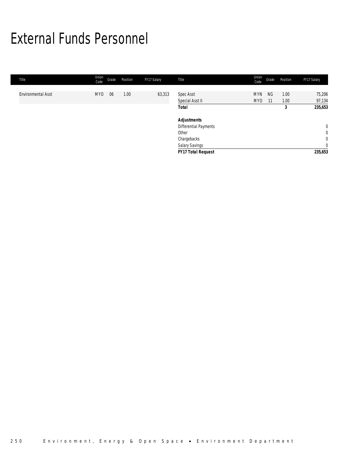# External Funds Personnel

| Title                     | Union<br>Code | Grade | Position | FY17 Salary | Title                        | Union<br>Code                 | Grade           | Position     | FY17 Salary      |
|---------------------------|---------------|-------|----------|-------------|------------------------------|-------------------------------|-----------------|--------------|------------------|
| <b>Environmental Asst</b> | <b>MYO</b>    | 06    | 1.00     | 63,313      | Spec Asst<br>Special Asst II | <b>MYN</b><br>MY <sub>0</sub> | <b>NG</b><br>11 | 1.00<br>1.00 | 75,206<br>97,134 |
|                           |               |       |          |             | <b>Total</b>                 |                               |                 | 3            | 235,653          |
|                           |               |       |          |             | <b>Adjustments</b>           |                               |                 |              |                  |
|                           |               |       |          |             | Differential Payments        |                               |                 |              | $\mathbf 0$      |
|                           |               |       |          |             | Other                        |                               |                 |              | $\mathbf 0$      |
|                           |               |       |          |             | Chargebacks                  |                               |                 |              | $\mathbf 0$      |
|                           |               |       |          |             | <b>Salary Savings</b>        |                               |                 |              | $\mathbf 0$      |
|                           |               |       |          |             | <b>FY17 Total Request</b>    |                               |                 |              | 235,653          |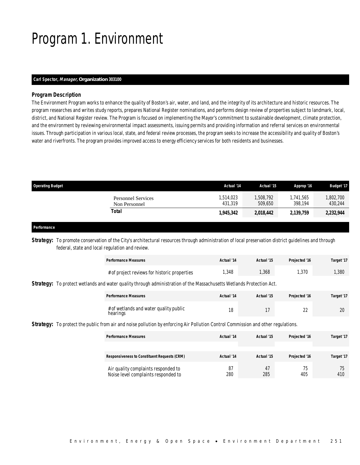# Program 1. Environment

### *Carl Spector, Manager, Organization 303100*

### *Program Description*

The Environment Program works to enhance the quality of Boston's air, water, and land, and the integrity of its architecture and historic resources. The program researches and writes study reports, prepares National Register nominations, and performs design review of properties subject to landmark, local, district, and National Register review. The Program is focused on implementing the Mayor's commitment to sustainable development, climate protection, and the environment by reviewing environmental impact assessments, issuing permits and providing information and referral services on environmental issues. Through participation in various local, state, and federal review processes, the program seeks to increase the accessibility and quality of Boston's water and riverfronts. The program provides improved access to energy efficiency services for both residents and businesses.

| <b>Operating Budget</b>                    | Actual '14           | Actual '15          | Approp '16           | <b>Budget '17</b>    |
|--------------------------------------------|----------------------|---------------------|----------------------|----------------------|
| <b>Personnel Services</b><br>Non Personnel | 1.514.023<br>431.319 | ,508,792<br>509.650 | 1.741.565<br>398.194 | 1,802,700<br>430,244 |
| Total                                      | 1,945,342            | 2,018,442           | 2,139,759            | 2,232,944            |

### *Performance*

Strategy: To promote conservation of the City's architectural resources through administration of local preservation district guidelines and through federal, state and local regulation and review.

| <b>Performance Measures</b>                  | Actual '14 | Actual '15 | <b>Projected '16</b> | Target '17 |
|----------------------------------------------|------------|------------|----------------------|------------|
| # of project reviews for historic properties | ,348       | ,368       | .370                 | 1,380      |

### *Strategy:* To protect wetlands and water quality through administration of the Massachusetts Wetlands Protection Act.

| <b>Performance Measures</b>                        | Actual '14 | Actual '15 | Projected '16 | Target '17   |
|----------------------------------------------------|------------|------------|---------------|--------------|
| # of wetlands and water quality public<br>hearings |            |            | $\sim$        | $\cap$<br>ZU |

**Strategy:** To protect the public from air and noise pollution by enforcing Air Pollution Control Commission and other regulations.

| <b>Performance Measures</b>                                                | Actual '14 | Actual '15 | Projected '16 | Target '17 |
|----------------------------------------------------------------------------|------------|------------|---------------|------------|
| <b>Responsiveness to Constituent Requests (CRM)</b>                        | Actual '14 | Actual '15 | Projected '16 | Target '17 |
| Air quality complaints responded to<br>Noise level complaints responded to | 87<br>280  | 47<br>285  | 75<br>405     | 75<br>410  |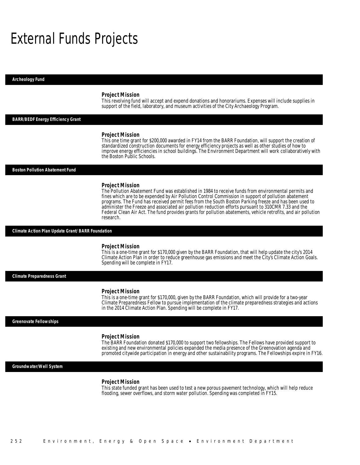## External Funds Projects

*Archeology Fund* 

#### *Project Mission*

This revolving fund will accept and expend donations and honorariums. Expenses will include supplies in support of the field, laboratory, and museum activities of the City Archaeology Program.

#### *BARR/BEDF Energy Efficiency Grant*

#### *Project Mission*

This one time grant for \$200,000 awarded in FY14 from the BARR Foundation, will support the creation of standardized construction documents for energy efficiency projects as well as other studies of how to improve energy efficiencies in school buildings. The Environment Department will work collaboratively with the Boston Public Schools.

#### *Boston Pollution Abatement Fund*

#### *Project Mission*

The Pollution Abatement Fund was established in 1984 to receive funds from environmental permits and fines which are to be expended by Air Pollution Control Commission in support of pollution abatement programs. The Fund has received permit fees from the South Boston Parking freeze and has been used to administer the Freeze and associated air pollution reduction efforts pursuant to 310CMR 7.33 and the Federal Clean Air Act. The fund provides grants for pollution abatements, vehicle retrofits, and air pollution research.

#### *Climate Action Plan Update Grant/ BARR Foundation*

#### *Project Mission*

This is a one-time grant for \$170,000 given by the BARR Foundation, that will help update the city's 2014 Climate Action Plan in order to reduce greenhouse gas emissions and meet the City's Climate Action Goals. Spending will be complete in FY17.

*Climate Preparedness Grant* 

#### *Project Mission*

This is a one-time grant for \$170,000, given by the BARR Foundation, which will provide for a two-year Climate Preparedness Fellow to pursue implementation of the climate preparedness strategies and actions in the 2014 Climate Action Plan. Spending will be complete in FY17.

#### *Greenovate Fellowships*

#### *Project Mission*

The BARR Foundation donated \$170,000 to support two fellowships. The Fellows have provided support to existing and new environmental policies expanded the media presence of the Greenovation agenda and promoted citywide participation in energy and other sustainability programs. The Fellowships expire in FY16.

#### *Groundwater/Well System*

#### *Project Mission*

This state funded grant has been used to test a new porous pavement technology, which will help reduce flooding, sewer overflows, and storm water pollution. Spending was completed in FY15.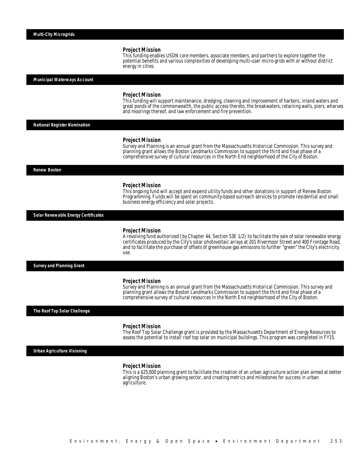#### *Project Mission*

This funding enables USDN core members, associate members, and partners to explore together the potential benefits and various complexities of developing multi-user micro-grids with or without district energy in cities.

*Municipal Waterways Account* 

#### *Project Mission*

This funding will support maintenance, dredging, cleaning and improvement of harbors, inland waters and great ponds of the commonwealth, the public access thereto, the breakwaters, retaining walls, piers, wharves and moorings thereof, and law enforcement and fire prevention.

*National Register Nomination* 

#### *Project Mission*

Survey and Planning is an annual grant from the Massachusetts Historical Commission. This survey and planning grant allows the Boston Landmarks Commission to support the third and final phase of a comprehensive survey of cultural resources in the North End neighborhood of the City of Boston.

*Renew Boston* 

#### *Project Mission*

This ongoing fund will accept and expend utility funds and other donations in support of Renew Boston Programming. Funds will be spent on community-based outreach services to promote residential and small business energy efficiency and solar projects.

*Solar Renewable Energy Certificates* 

#### *Project Mission*

A revolving fund authorized (by Chapter 44, Section 53E 1/2) to facilitate the sale of solar renewable energy certificates produced by the City's solar photovoltaic arrays at 201 Rivermoor Street and 400 Frontage Road, and to facilitate the purchase of offsets of greenhouse gas emissions to further "green" the City's electricity use.

*Survey and Planning Grant* 

#### *Project Mission*

Survey and Planning is an annual grant from the Massachusetts Historical Commission. This survey and planning grant allows the Boston Landmarks Commission to support the third and final phase of a comprehensive survey of cultural resources in the North End neighborhood of the City of Boston.

*The Roof Top Solar Challenge* 

#### *Project Mission*

The Roof Top Solar Challenge grant is provided by the Massachusetts Department of Energy Resources to assess the potential to install roof top solar on municipal buildings. This program was completed in FY15.

*Urban Agriculture Visioning* 

#### *Project Mission*

This is a \$25,000 planning grant to facilitate the creation of an urban agriculture action plan aimed at better aligning Boston's urban growing sector, and creating metrics and milestones for success in urban agriculture.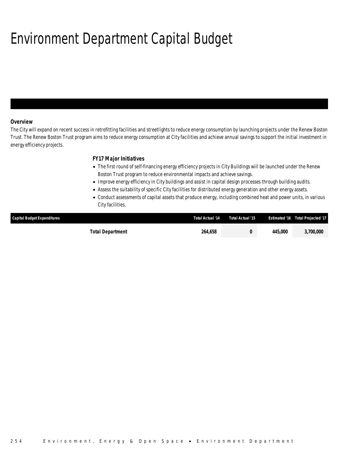# Environment Department Capital Budget

## *Overview*

The City will expand on recent success in retrofitting facilities and streetlights to reduce energy consumption by launching projects under the Renew Boston Trust. The Renew Boston Trust program aims to reduce energy consumption at City facilities and achieve annual savings to support the initial investment in energy efficiency projects.

## *FY17 Major Initiatives*

- The first round of self-financing energy efficiency projects in City Buildings will be launched under the Renew Boston Trust program to reduce environmental impacts and achieve savings.
- Improve energy efficiency in City buildings and assist in capital design processes through building audits.
- Assess the suitability of specific City facilities for distributed energy generation and other energy assets.
- Conduct assessments of capital assets that produce energy, including combined heat and power units, in various City facilities.

| <b>Capital Budget Expenditures</b> | Total Actual '14 | Total Actual '15 |         | Estimated '16  Total Projected '17 |
|------------------------------------|------------------|------------------|---------|------------------------------------|
| Total Department                   | 264.658          |                  | 445,000 | <i>3.700.000</i>                   |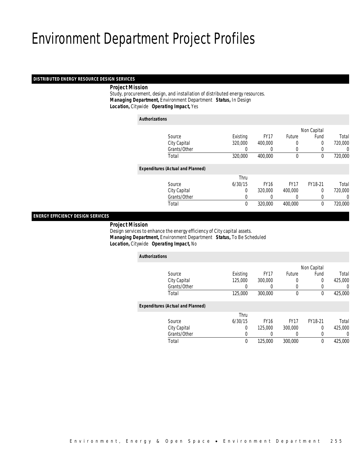## Environment Department Project Profiles

### *DISTRIBUTED ENERGY RESOURCE DESIGN SERVICES*

*Project Mission*

 Study, procurement, design, and installation of distributed energy resources. *Managing Department,* Environment Department *Status,* In Design*Location,* Citywide *Operating Impact,* Yes

| <b>Authorizations</b>                    |          |             |             |             |         |
|------------------------------------------|----------|-------------|-------------|-------------|---------|
|                                          |          |             |             | Non Capital |         |
| Source                                   | Existing | <b>FY17</b> | Future      | Fund        | Total   |
| City Capital                             | 320,000  | 400,000     | 0           | 0           | 720,000 |
| Grants/Other                             | 0        | 0           | 0           | 0           | 0       |
| Total                                    | 320,000  | 400.000     | $\mathbf 0$ | $\mathbf 0$ | 720,000 |
| <b>Expenditures (Actual and Planned)</b> |          |             |             |             |         |
|                                          | Thru     |             |             |             |         |
| Source                                   | 6/30/15  | <b>FY16</b> | <b>FY17</b> | FY18-21     | Total   |
| City Capital                             | 0        | 320,000     | 400.000     | $\Omega$    | 720,000 |
| Grants/Other                             | 0        |             | 0           | 0           | 0       |
| Total                                    | 0        | 320,000     | 400,000     | $\mathbf 0$ | 720,000 |

### *ENERGY EFFICIENCY DESIGN SERVICES*

*Project Mission*

 Design services to enhance the energy efficiency of City capital assets. *Managing Department,* Environment Department *Status,* To Be Scheduled*Location,* Citywide *Operating Impact,* No

| <b>Authorizations</b>                    |          |             |             |             |          |
|------------------------------------------|----------|-------------|-------------|-------------|----------|
|                                          |          |             |             | Non Capital |          |
| Source                                   | Existing | <b>FY17</b> | Future      | Fund        | Total    |
| City Capital                             | 125,000  | 300,000     | 0           | $\Omega$    | 425,000  |
| Grants/Other                             | 0        | 0           | 0           | $\left($    | 0        |
| Total                                    | 125,000  | 300,000     | $\mathbf 0$ | 0           | 425,000  |
| <b>Expenditures (Actual and Planned)</b> |          |             |             |             |          |
|                                          | Thru     |             |             |             |          |
| Source                                   | 6/30/15  | <b>FY16</b> | <b>FY17</b> | FY18-21     | Total    |
| City Capital                             | $\Omega$ | 125,000     | 300,000     | $\Omega$    | 425,000  |
| Grants/Other                             | 0        | 0           | 0           | $\Omega$    | $\Omega$ |
| Total                                    | 0        | 125,000     | 300,000     | $\theta$    | 425,000  |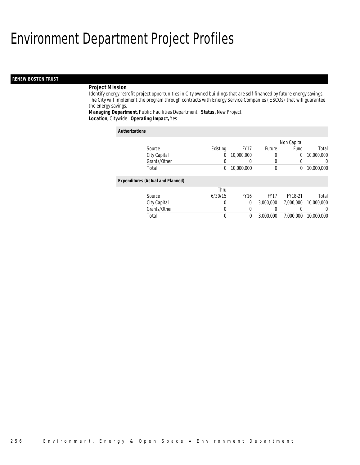## Environment Department Project Profiles

### *RENEW BOSTON TRUST*

### *Project Mission*

Identify energy retrofit project opportunities in City owned buildings that are self-financed by future energy savings. The City will implement the program through contracts with Energy Service Companies (ESCOs) that will guarantee the energy savings.

*Managing Department,* Public Facilities Department *Status,* New Project*Location,* Citywide *Operating Impact,* Yes

| <b>Authorizations</b>                    |          |             |             |             |                  |
|------------------------------------------|----------|-------------|-------------|-------------|------------------|
|                                          |          |             |             | Non Capital |                  |
| Source                                   | Existing | <b>FY17</b> | Future      | Fund        | Total            |
| City Capital                             | 0        | 10,000,000  | 0           | $\theta$    | 10,000,000       |
| Grants/Other                             |          | O           | 0           |             | $\cup$           |
| Total                                    | 0        | 10,000,000  | 0           | 0           | 10,000,000       |
| <b>Expenditures (Actual and Planned)</b> |          |             |             |             |                  |
|                                          | Thru     |             |             |             |                  |
| Source                                   | 6/30/15  | <b>FY16</b> | <b>FY17</b> | FY18-21     | Total            |
| City Capital                             | 0        | 0           | 3.000.000   | 7.000.000   | 10,000,000       |
| Grants/Other                             | 0        | 0           |             |             | $\left( \right)$ |
| Total                                    | 0        | 0           | 3.000.000   | 7.000.000   | 10,000,000       |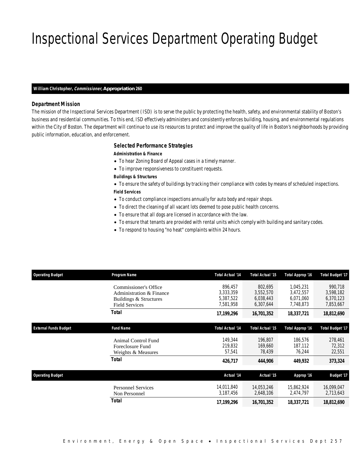# Inspectional Services Department Operating Budget

#### *William Christopher, Commissioner, Appropriation 260*

### *Department Mission*

The mission of the Inspectional Services Department (ISD) is to serve the public by protecting the health, safety, and environmental stability of Boston's business and residential communities. To this end, ISD effectively administers and consistently enforces building, housing, and environmental regulations within the City of Boston. The department will continue to use its resources to protect and improve the quality of life in Boston's neighborhoods by providing public information, education, and enforcement.

#### *Selected Performance Strategies*

*Administration & Finance* 

- To hear Zoning Board of Appeal cases in a timely manner.
- To improve responsiveness to constituent requests.

#### *Buildings & Structures*

• To ensure the safety of buildings by tracking their compliance with codes by means of scheduled inspections. *Field Services* 

- To conduct compliance inspections annually for auto body and repair shops.
- To direct the cleaning of all vacant lots deemed to pose public health concerns.
- To ensure that all dogs are licensed in accordance with the law.
- To ensure that tenants are provided with rental units which comply with building and sanitary codes.
- To respond to housing "no heat" complaints within 24 hours.

| <b>Operating Budget</b>      | Program Name                                                                                         | <b>Total Actual '14</b>                        | Total Actual '15                               | Total Approp '16                                 | <b>Total Budget '17</b>                        |
|------------------------------|------------------------------------------------------------------------------------------------------|------------------------------------------------|------------------------------------------------|--------------------------------------------------|------------------------------------------------|
|                              | Commissioner's Office<br>Administration & Finance<br>Buildings & Structures<br><b>Field Services</b> | 896,457<br>3,333,359<br>5,387,522<br>7,581,958 | 802,695<br>3,552,570<br>6,038,443<br>6,307,644 | 1,045,231<br>3,472,557<br>6,071,060<br>7,748,873 | 990,718<br>3,598,182<br>6,370,123<br>7,853,667 |
|                              | <b>Total</b>                                                                                         | 17,199,296                                     | 16,701,352                                     | 18,337,721                                       | 18,812,690                                     |
| <b>External Funds Budget</b> | <b>Fund Name</b>                                                                                     | <b>Total Actual '14</b>                        | <b>Total Actual '15</b>                        | Total Approp '16                                 | <b>Total Budget '17</b>                        |
|                              | Animal Control Fund<br>Foreclosure Fund<br>Weights & Measures                                        | 149,344<br>219,832<br>57,541                   | 196,807<br>169,660<br>78,439                   | 186,576<br>187,112<br>76,244                     | 278,461<br>72,312<br>22,551                    |
|                              | <b>Total</b>                                                                                         | 426,717                                        | 444,906                                        | 449,932                                          | 373,324                                        |
| <b>Operating Budget</b>      |                                                                                                      | Actual '14                                     | Actual '15                                     | Approp '16                                       | <b>Budget '17</b>                              |
|                              | <b>Personnel Services</b><br>Non Personnel                                                           | 14,011,840<br>3,187,456                        | 14,053,246<br>2,648,106                        | 15,862,924<br>2,474,797                          | 16,099,047<br>2,713,643                        |
|                              | <b>Total</b>                                                                                         | 17,199,296                                     | 16,701,352                                     | 18,337,721                                       | 18,812,690                                     |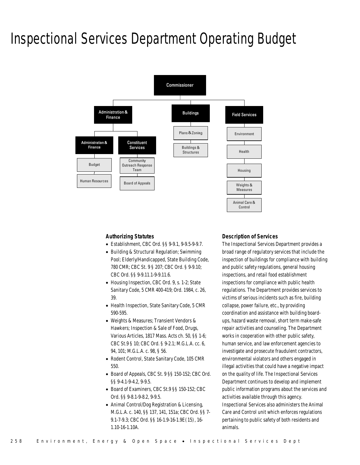## Inspectional Services Department Operating Budget



#### *Authorizing Statutes*

- Establishment, CBC Ord. §§ 9-9.1, 9-9.5-9-9.7.
- Building & Structural Regulation; Swimming Pool; Elderly/Handicapped, State Building Code, 780 CMR; CBC St. 9 § 207; CBC Ord. § 9-9.10; CBC Ord. §§ 9-9.11.1-9-9.11.6.
- Housing Inspection, CBC Ord. 9, s. 1-2; State Sanitary Code, 5 CMR 400-419; Ord. 1984, c. 26, 39.
- Health Inspection, State Sanitary Code, 5 CMR 590-595.
- Weights & Measures; Transient Vendors & Hawkers; Inspection & Sale of Food, Drugs, Various Articles, 1817 Mass. Acts ch. 50, §§ 1-6; CBC St.9 § 10; CBC Ord. § 9-2.1; M.G.L.A. cc. 6, 94, 101; M.G.L.A. c. 98, § 56.
- Rodent Control, State Sanitary Code, 105 CMR 550.
- Board of Appeals, CBC St. 9 §§ 150-152; CBC Ord. §§ 9-4.1-9-4.2, 9-9.5.
- Board of Examiners, CBC St.9 §§ 150-152; CBC Ord. §§ 9-8.1-9-8.2, 9-9.5.
- Animal Control/Dog Registration & Licensing, M.G.L.A. c. 140, §§ 137, 141, 151a; CBC Ord. §§ 7- 9.1-7-9.3; CBC Ord. §§ 16-1.9-16-1.9E(15), 16- 1.10-16-1.10A.

#### *Description of Services*

The Inspectional Services Department provides a broad range of regulatory services that include the inspection of buildings for compliance with building and public safety regulations, general housing inspections, and retail food establishment inspections for compliance with public health regulations. The Department provides services to victims of serious incidents such as fire, building collapse, power failure, etc., by providing coordination and assistance with building boardups, hazard waste removal, short term make-safe repair activities and counseling. The Department works in cooperation with other public safety, human service, and law enforcement agencies to investigate and prosecute fraudulent contractors, environmental violators and others engaged in illegal activities that could have a negative impact on the quality of life. The Inspectional Services Department continues to develop and implement public information programs about the services and activities available through this agency. Inspectional Services also administers the Animal Care and Control unit which enforces regulations pertaining to public safety of both residents and animals.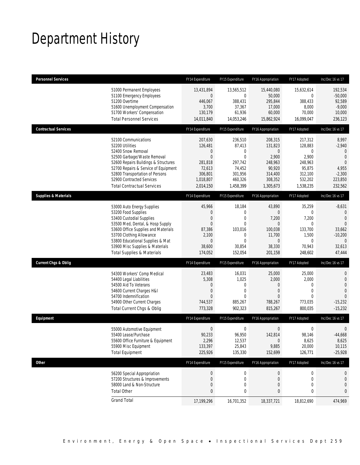# Department History

| <b>Personnel Services</b>       |                                                                                                                                                                                                                                                                                                      | FY14 Expenditure                                                                                    | FY15 Expenditure                                                                                                            | FY16 Appropriation                                                                                              | FY17 Adopted                                                                                       | Inc/Dec 16 vs 17                                                                                                   |
|---------------------------------|------------------------------------------------------------------------------------------------------------------------------------------------------------------------------------------------------------------------------------------------------------------------------------------------------|-----------------------------------------------------------------------------------------------------|-----------------------------------------------------------------------------------------------------------------------------|-----------------------------------------------------------------------------------------------------------------|----------------------------------------------------------------------------------------------------|--------------------------------------------------------------------------------------------------------------------|
|                                 | 51000 Permanent Employees<br>51100 Emergency Employees<br>51200 Overtime<br>51600 Unemployment Compensation<br>51700 Workers' Compensation<br><b>Total Personnel Services</b>                                                                                                                        | 13,431,894<br>0<br>446,067<br>3,700<br>130,179<br>14,011,840                                        | 13,565,512<br>$\mathbf 0$<br>388,431<br>37,367<br>61,936<br>14,053,246                                                      | 15,440,080<br>50,000<br>295,844<br>17,000<br>60,000<br>15,862,924                                               | 15,632,614<br>0<br>388,433<br>8,000<br>70,000<br>16,099,047                                        | 192.534<br>$-50,000$<br>92,589<br>$-9,000$<br>10,000<br>236,123                                                    |
| <b>Contractual Services</b>     |                                                                                                                                                                                                                                                                                                      | FY14 Expenditure                                                                                    | FY15 Expenditure                                                                                                            | FY16 Appropriation                                                                                              | FY17 Adopted                                                                                       | Inc/Dec 16 vs 17                                                                                                   |
|                                 | 52100 Communications<br>52200 Utilities<br>52400 Snow Removal<br>52500 Garbage/Waste Removal<br>52600 Repairs Buildings & Structures<br>52700 Repairs & Service of Equipment<br>52800 Transportation of Persons<br>52900 Contracted Services<br><b>Total Contractual Services</b>                    | 207,630<br>126,481<br>0<br>$\overline{0}$<br>281,818<br>72,613<br>306,801<br>1,018,807<br>2,014,150 | 236,510<br>87,413<br>$\mathbf 0$<br>$\mathbf{0}$<br>297,742<br>74,452<br>301,956<br>460,326<br>1,458,399                    | 208,315<br>131,823<br>$\theta$<br>2,900<br>248,963<br>90,920<br>314,400<br>308,352<br>1,305,673                 | 217,312<br>128,883<br>$\mathbf 0$<br>2,900<br>248,963<br>95,875<br>312,100<br>532,202<br>1,538,235 | 8,997<br>$-2,940$<br>$\mathbf{0}$<br>$\overline{0}$<br>$\theta$<br>4,955<br>$-2,300$<br>223,850<br>232,562         |
| <b>Supplies &amp; Materials</b> |                                                                                                                                                                                                                                                                                                      | FY14 Expenditure                                                                                    | FY15 Expenditure                                                                                                            | FY16 Appropriation                                                                                              | FY17 Adopted                                                                                       | Inc/Dec 16 vs 17                                                                                                   |
|                                 | 53000 Auto Energy Supplies<br>53200 Food Supplies<br>53400 Custodial Supplies<br>53500 Med, Dental, & Hosp Supply<br>53600 Office Supplies and Materials<br>53700 Clothing Allowance<br>53800 Educational Supplies & Mat<br>53900 Misc Supplies & Materials<br><b>Total Supplies &amp; Materials</b> | 45,966<br>0<br>0<br>$\mathbf 0$<br>87,386<br>2,100<br>0<br>38,600<br>174,052                        | 18,184<br>$\mathbf{0}$<br>$\overline{0}$<br>$\overline{0}$<br>103,016<br>$\mathbf 0$<br>$\overline{0}$<br>30,854<br>152,054 | 43,890<br>$\overline{0}$<br>7,200<br>$\overline{0}$<br>100,038<br>11,700<br>$\overline{0}$<br>38,330<br>201,158 | 35,259<br>0<br>7,200<br>$\mathbf 0$<br>133,700<br>1,500<br>0<br>70,943<br>248,602                  | $-8,631$<br>$\mathbf 0$<br>$\overline{0}$<br>$\overline{0}$<br>33,662<br>$-10,200$<br>$\theta$<br>32,613<br>47,444 |
| <b>Current Chgs &amp; Oblig</b> |                                                                                                                                                                                                                                                                                                      | FY14 Expenditure                                                                                    | FY15 Expenditure                                                                                                            | FY16 Appropriation                                                                                              | FY17 Adopted                                                                                       | Inc/Dec 16 vs 17                                                                                                   |
|                                 | 54300 Workers' Comp Medical<br>54400 Legal Liabilities<br>54500 Aid To Veterans<br>54600 Current Charges H&I<br>54700 Indemnification<br>54900 Other Current Charges<br>Total Current Chgs & Oblig                                                                                                   | 23,483<br>5,308<br>0<br>0<br>0<br>744,537<br>773,328                                                | 16,031<br>1,025<br>0<br>0<br>$\Omega$<br>885,267<br>902,323                                                                 | 25,000<br>2,000<br>$\theta$<br>$\theta$<br>$\Omega$<br>788,267<br>815,267                                       | 25,000<br>2,000<br>$\mathbf{0}$<br>$\mathbf 0$<br>$\Omega$<br>773,035<br>800,035                   | $\mathbf 0$<br>$\mathbf{0}$<br>$\overline{0}$<br>$\overline{0}$<br>$\Omega$<br>$-15,232$<br>$-15,232$              |
| Equipment                       |                                                                                                                                                                                                                                                                                                      | FY14 Expenditure                                                                                    | FY15 Expenditure                                                                                                            | FY16 Appropriation                                                                                              | FY17 Adopted                                                                                       | Inc/Dec 16 vs 17                                                                                                   |
|                                 | 55000 Automotive Equipment<br>55400 Lease/Purchase<br>55600 Office Furniture & Equipment<br>55900 Misc Equipment<br><b>Total Equipment</b>                                                                                                                                                           | $\boldsymbol{0}$<br>90,233<br>2,296<br>133,397<br>225,926                                           | $\mathbf 0$<br>96,950<br>12,537<br>25,843<br>135,330                                                                        | $\bf 0$<br>142,814<br>$\mathbf 0$<br>9,885<br>152,699                                                           | $\mathbf 0$<br>98,146<br>8,625<br>20,000<br>126,771                                                | $\mathbf 0$<br>$-44,668$<br>8,625<br>10,115<br>$-25,928$                                                           |
| Other                           |                                                                                                                                                                                                                                                                                                      | FY14 Expenditure                                                                                    | FY15 Expenditure                                                                                                            | FY16 Appropriation                                                                                              | FY17 Adopted                                                                                       | Inc/Dec 16 vs 17                                                                                                   |
|                                 | 56200 Special Appropriation<br>57200 Structures & Improvements<br>58000 Land & Non-Structure<br><b>Total Other</b>                                                                                                                                                                                   | $\boldsymbol{0}$<br>0<br>0<br>0                                                                     | $\boldsymbol{0}$<br>$\mathbf 0$<br>0<br>0                                                                                   | $\theta$<br>$\theta$<br>$\theta$<br>$\bf{0}$                                                                    | 0<br>0<br>$\mathbf 0$<br>0                                                                         | 0<br>0<br>0<br>0                                                                                                   |
|                                 | <b>Grand Total</b>                                                                                                                                                                                                                                                                                   | 17,199,296                                                                                          | 16,701,352                                                                                                                  | 18,337,721                                                                                                      | 18,812,690                                                                                         | 474,969                                                                                                            |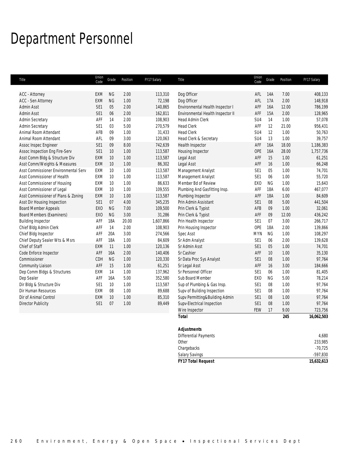# Department Personnel

| Title                                | Union<br>Code   | Grade | Position | FY17 Salary | Title                             | Union<br>Code   | Grade      | Position | FY17 Salary |
|--------------------------------------|-----------------|-------|----------|-------------|-----------------------------------|-----------------|------------|----------|-------------|
| ACC - Attorney                       | EXM             | $NG$  | 2.00     | 113,310     | Dog Officer                       | AFL             | 14A        | 7.00     | 408,133     |
| ACC - Sen Attorney                   | EXM             | NG    | 1.00     | 72,198      | Dog Officer                       | AFL             | 17A        | 2.00     | 148,918     |
| Admin Asst                           | SE1             | 05    | 2.00     | 140,865     | Environmental Health Inspector I  | AFF             | 16A        | 12.00    | 786,199     |
| Admin Asst                           | SE1             | 06    | 2.00     | 162,811     | Environmental Health Inspector II | AFF             | 15A        | 2.00     | 128,965     |
| <b>Admin Secretary</b>               | AFF             | 14    | 2.00     | 108,903     | Head Admin Clerk                  | SU <sub>4</sub> | 14         | 1.00     | 57,078      |
| Admin Secretary                      | SE1             | 03    | 5.00     | 270,579     | <b>Head Clerk</b>                 | AFF             | 12         | 21.00    | 956,431     |
| Animal Room Attendant                | AFB             | 09    | 1.00     | 31,433      | <b>Head Clerk</b>                 | SU <sub>4</sub> | 12         | 1.00     | 50,763      |
| Animal Room Attendant                | AFL             | 09    | 3.00     | 120,063     | Head Clerk & Secretary            | SU <sub>4</sub> | 13         | 1.00     | 39,757      |
| Assoc Inspec Engineer                | SE1             | 09    | 8.00     | 742,639     | Health Inspector                  | AFF             | 16A        | 18.00    | 1,186,383   |
| Assoc Inspection Eng Fire-Serv       | SE1             | 10    | 1.00     | 113,587     | Housing Inspector                 | OPE             | 16A        | 28.00    | 1,757,736   |
| Asst Comm Bldg & Structure Div       | EXM             | 10    | 1.00     | 113,587     | Legal Asst                        | AFF             | 15         | 1.00     | 61,251      |
| Asst Comm/Weights & Measures         | <b>EXM</b>      | 10    | 1.00     | 86,302      | Legal Asst                        | AFF             | 16         | 1.00     | 66,248      |
| Asst Commissioner Environmental Serv | <b>EXM</b>      | 10    | 1.00     | 113,587     | Management Analyst                | SE1             | 05         | 1.00     | 74,701      |
| Asst Commissioner of Health          | <b>EXM</b>      | 10    | 1.00     | 113,587     | Management Analyst                | SE1             | 06         | 1.00     | 55,720      |
| Asst Commissioner of Housing         | <b>EXM</b>      | 10    | 1.00     | 86,633      | Member Bd of Review               | <b>EXO</b>      | <b>NG</b>  | 1.00     | 15,643      |
| Asst Commissioner of Legal           | <b>EXM</b>      | 10    | 1.00     | 109,555     | Plumbing And Gasfitting Insp.     | AFF             | <b>18A</b> | 6.00     | 467,077     |
| Asst Commissioner of Plans & Zoning  | <b>EXM</b>      | 10    | 1.00     | 113,587     | Plumbing Inspector                | AFF             | <b>18A</b> | 1.00     | 84,609      |
| Asst Dir Housing Inspection          | SE1             | 07    | 4.00     | 345,235     | Prin Admin Assistant              | SE1             | 08         | 5.00     | 441,504     |
| <b>Board Member Appeals</b>          | <b>EXO</b>      | NG    | 7.00     | 109,500     | Prin Clerk & Typist               | AFB             | 09         | 1.00     | 32,061      |
| <b>Board Members (Examiners)</b>     | EX <sub>0</sub> | NG    | 3.00     | 31,286      | Prin Clerk & Typist               | AFF             | 09         | 12.00    | 436,242     |
| <b>Building Inspector</b>            | AFF             | 18A   | 20.00    | 1,607,866   | Prin Health Inspector             | SE1             | 07         | 3.00     | 266,717     |
| Chief Bldg Admin Clerk               | AFF             | 14    | 2.00     | 108,903     | Prin Housing Inspector            | OPE             | 18A        | 2.00     | 139,866     |
| Chief Bldg Inspector                 | AFF             | 20A   | 3.00     | 274,566     | Spec Asst                         | <b>MYN</b>      | <b>NG</b>  | 1.00     | 108,297     |
| Chief Deputy Sealer Wts & Msrs       | AFF             | 18A   | 1.00     | 84,609      | Sr Adm Analyst                    | SE <sub>1</sub> | 06         | 2.00     | 139,628     |
| Chief of Staff                       | EXM             | 11    | 1.00     | 120,136     | Sr Admin Asst                     | SE1             | 05         | 1.00     | 74,701      |
| Code Enforce Inspector               | AFF             | 16A   | 2.00     | 140,406     | Sr Cashier                        | AFF             | 10         | 1.00     | 35,130      |
| Commissioner                         | CDH             | NG    | 1.00     | 120,330     | Sr Data Proc Sys Analyst          | SE1             | 08         | 1.00     | 97,764      |
| Community Liaison                    | AFF             | 15    | 1.00     | 61,251      | Sr Legal Asst                     | AFF             | 16         | 3.00     | 184,666     |
| Dep Comm Bldgs & Structures          | <b>EXM</b>      | 14    | 1.00     | 137,962     | Sr Personnel Officer              | SE1             | 06         | 1.00     | 81,405      |
| Dep Sealer                           | AFF             | 16A   | 5.00     | 352,580     | Sub Board Member                  | <b>EXO</b>      | <b>NG</b>  | 5.00     | 78,214      |
| Dir Bldg & Structure Div             | SE1             | 10    | 1.00     | 113,587     | Sup of Plumbing & Gas Insp.       | SE <sub>1</sub> | 08         | 1.00     | 97,764      |
| Dir Human Resources                  | <b>EXM</b>      | 08    | 1.00     | 89,688      | Supv of Building Inspection       | SE1             | 08         | 1.00     | 97,764      |
| Dir of Animal Control                | <b>EXM</b>      | 10    | 1.00     | 85,310      | Supv Permitting&Building Admin    | SE1             | 08         | 1.00     | 97,764      |
| Director Publicity                   | SE1             | 07    | 1.00     | 89,449      | Supv-Electrical Inspection        | SE1             | 08         | 1.00     | 97,764      |
|                                      |                 |       |          |             | Wire Inspector                    | FEW             | 17         | 9.00     | 723,756     |
|                                      |                 |       |          |             | <b>Total</b>                      |                 |            | 245      | 16,062,503  |
|                                      |                 |       |          |             | <b>Adjustments</b>                |                 |            |          |             |
|                                      |                 |       |          |             | Differential Payments             |                 |            |          | A 680       |

| <b>FY17 Total Request</b> | 15,632,613 |
|---------------------------|------------|
| <b>Salary Savings</b>     | -597.830   |
| Chargebacks               | $-70.725$  |
| Other                     | 233.985    |
| Differential Payments     | 4.680      |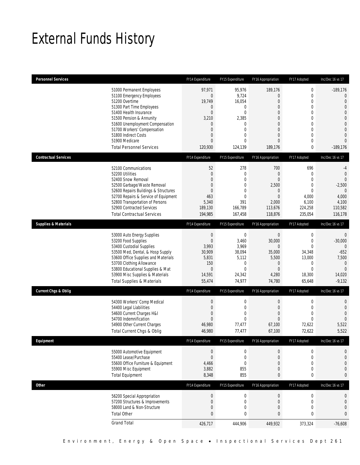# External Funds History

| <b>Personnel Services</b>       |                                                                                                                                                                                                                                                                                                            | FY14 Expenditure                                                                                                                           | FY15 Expenditure                                                                                                             | FY16 Appropriation                                                                                                                      | FY17 Adopted                                                                                                                                                     | Inc/Dec 16 vs 17                                                                                                                                                                 |
|---------------------------------|------------------------------------------------------------------------------------------------------------------------------------------------------------------------------------------------------------------------------------------------------------------------------------------------------------|--------------------------------------------------------------------------------------------------------------------------------------------|------------------------------------------------------------------------------------------------------------------------------|-----------------------------------------------------------------------------------------------------------------------------------------|------------------------------------------------------------------------------------------------------------------------------------------------------------------|----------------------------------------------------------------------------------------------------------------------------------------------------------------------------------|
|                                 | 51000 Permanent Employees<br>51100 Emergency Employees<br>51200 Overtime<br>51300 Part Time Employees<br>51400 Health Insurance<br>51500 Pension & Annunity<br>51600 Unemployment Compensation<br>51700 Workers' Compensation<br>51800 Indirect Costs<br>51900 Medicare<br><b>Total Personnel Services</b> | 97,971<br>$\mathbf 0$<br>19,749<br>$\mathbf 0$<br>$\mathbf{0}$<br>3,210<br>$\mathbf 0$<br>$\boldsymbol{0}$<br>0<br>$\mathbf{0}$<br>120,930 | 95,976<br>9,724<br>16,054<br>$\mathbf 0$<br>$\overline{0}$<br>2,385<br>0<br>$\overline{0}$<br>0<br>$\overline{0}$<br>124,139 | 189,176<br>0<br>$\mathbf 0$<br>$\mathbf{0}$<br>$\Omega$<br>$\mathbf{0}$<br>$\Omega$<br>$\overline{0}$<br>0<br>$\overline{0}$<br>189,176 | $\boldsymbol{0}$<br>$\mathbf 0$<br>$\mathbf 0$<br>$\mathbf{0}$<br>$\mathbf{0}$<br>$\mathbf 0$<br>$\mathbf{0}$<br>$\mathbf 0$<br>$\mathbf{0}$<br>$\mathbf 0$<br>0 | $-189,176$<br>$\mathbf 0$<br>$\mathbf{0}$<br>$\overline{0}$<br>$\overline{0}$<br>$\mathbf{0}$<br>$\mathbf 0$<br>$\overline{0}$<br>$\overline{0}$<br>$\overline{0}$<br>$-189,176$ |
| <b>Contractual Services</b>     |                                                                                                                                                                                                                                                                                                            | FY14 Expenditure                                                                                                                           | FY15 Expenditure                                                                                                             | FY16 Appropriation                                                                                                                      | FY17 Adopted                                                                                                                                                     | Inc/Dec 16 vs 17                                                                                                                                                                 |
|                                 | 52100 Communications<br>52200 Utilities<br>52400 Snow Removal<br>52500 Garbage/Waste Removal<br>52600 Repairs Buildings & Structures<br>52700 Repairs & Service of Equipment<br>52800 Transportation of Persons<br>52900 Contracted Services<br><b>Total Contractual Services</b>                          | 52<br>$\mathbf 0$<br>$\overline{0}$<br>$\boldsymbol{0}$<br>0<br>463<br>5,340<br>189,130<br>194,985                                         | 278<br>0<br>$\Omega$<br>$\mathbf 0$<br>0<br>$\overline{0}$<br>391<br>166,789<br>167,458                                      | 700<br>$\mathbf 0$<br>$\overline{0}$<br>2,500<br>0<br>$\mathbf{0}$<br>2,000<br>113,676<br>118,876                                       | 696<br>$\mathbf 0$<br>$\overline{0}$<br>$\mathbf 0$<br>$\mathbf{0}$<br>4,000<br>6,100<br>224,258<br>235,054                                                      | $-4$<br>$\mathbf{0}$<br>$\overline{0}$<br>$-2,500$<br>$\theta$<br>4,000<br>4,100<br>110,582<br>116,178                                                                           |
| <b>Supplies &amp; Materials</b> |                                                                                                                                                                                                                                                                                                            | FY14 Expenditure                                                                                                                           | FY15 Expenditure                                                                                                             | FY16 Appropriation                                                                                                                      | FY17 Adopted                                                                                                                                                     | Inc/Dec 16 vs 17                                                                                                                                                                 |
|                                 | 53000 Auto Energy Supplies<br>53200 Food Supplies<br>53400 Custodial Supplies<br>53500 Med, Dental, & Hosp Supply<br>53600 Office Supplies and Materials<br>53700 Clothing Allowance<br>53800 Educational Supplies & Mat<br>53900 Misc Supplies & Materials<br><b>Total Supplies &amp; Materials</b>       | $\bf{0}$<br>$\bf 0$<br>3,993<br>30,909<br>5,831<br>150<br>$\mathbf 0$<br>14,591<br>55,474                                                  | $\mathbf 0$<br>3,460<br>3,969<br>38,094<br>5,112<br>0<br>$\overline{0}$<br>24,342<br>74,977                                  | $\boldsymbol{0}$<br>30,000<br>0<br>35,000<br>5,500<br>$\mathbf 0$<br>$\mathbf{0}$<br>4,280<br>74,780                                    | $\boldsymbol{0}$<br>$\mathbf 0$<br>$\Omega$<br>34,348<br>13,000<br>$\mathbf 0$<br>$\overline{0}$<br>18,300<br>65,648                                             | $\mathbf 0$<br>$-30,000$<br>$\overline{0}$<br>$-652$<br>7,500<br>$\mathbf{0}$<br>$\overline{0}$<br>14,020<br>$-9,132$                                                            |
| <b>Current Chgs &amp; Oblig</b> |                                                                                                                                                                                                                                                                                                            | FY14 Expenditure                                                                                                                           | FY15 Expenditure                                                                                                             | FY16 Appropriation                                                                                                                      | FY17 Adopted                                                                                                                                                     | Inc/Dec 16 vs 17                                                                                                                                                                 |
|                                 | 54300 Workers' Comp Medical<br>54400 Legal Liabilities<br>54600 Current Charges H&I<br>54700 Indemnification<br>54900 Other Current Charges<br>Total Current Chgs & Oblig                                                                                                                                  | $\boldsymbol{0}$<br>$\boldsymbol{0}$<br>$\boldsymbol{0}$<br>$\boldsymbol{0}$<br>46,980<br>46,980                                           | 0<br>$\mathbf 0$<br>0<br>$\overline{0}$<br>77,477<br>77,477                                                                  | $\boldsymbol{0}$<br>$\boldsymbol{0}$<br>$\mathbf{0}$<br>$\boldsymbol{0}$<br>67.100<br>67,100                                            | $\boldsymbol{0}$<br>$\mathbf 0$<br>$\mathbf{0}$<br>$\mathbf{0}$<br>72,622<br>72,622                                                                              | $\mathbf 0$<br>$\mathbf{0}$<br>$\overline{0}$<br>$\overline{0}$<br>5,522<br>5,522                                                                                                |
| Equipment                       |                                                                                                                                                                                                                                                                                                            | FY14 Expenditure                                                                                                                           | FY15 Expenditure                                                                                                             | FY16 Appropriation                                                                                                                      | FY17 Adopted                                                                                                                                                     | Inc/Dec 16 vs 17                                                                                                                                                                 |
|                                 | 55000 Automotive Equipment<br>55400 Lease/Purchase<br>55600 Office Furniture & Equipment<br>55900 Misc Equipment<br><b>Total Equipment</b>                                                                                                                                                                 | $\pmb{0}$<br>$\bf 0$<br>4,466<br>3,882<br>8,348                                                                                            | 0<br>$\mathbf 0$<br>0<br>855<br>855                                                                                          | $\boldsymbol{0}$<br>$\boldsymbol{0}$<br>0<br>0<br>0                                                                                     | $\boldsymbol{0}$<br>$\boldsymbol{0}$<br>$\mathbf{0}$<br>$\mathbf 0$<br>$\mathbf 0$                                                                               | 0<br>$\mathbf{0}$<br>0<br>$\mathbf{0}$<br>$\bf{0}$                                                                                                                               |
| Other                           |                                                                                                                                                                                                                                                                                                            | FY14 Expenditure                                                                                                                           | FY15 Expenditure                                                                                                             | FY16 Appropriation                                                                                                                      | FY17 Adopted                                                                                                                                                     | Inc/Dec 16 vs 17                                                                                                                                                                 |
|                                 | 56200 Special Appropriation<br>57200 Structures & Improvements<br>58000 Land & Non-Structure<br><b>Total Other</b>                                                                                                                                                                                         | $\pmb{0}$<br>$\boldsymbol{0}$<br>0<br>$\bf{0}$                                                                                             | 0<br>$\mathbf 0$<br>0<br>0                                                                                                   | $\boldsymbol{0}$<br>$\boldsymbol{0}$<br>0<br>0                                                                                          | $\boldsymbol{0}$<br>$\mathbf 0$<br>$\mathbf 0$<br>$\bf{0}$                                                                                                       | 0<br>$\boldsymbol{0}$<br>$\mathbf 0$<br>$\bf{0}$                                                                                                                                 |
|                                 | <b>Grand Total</b>                                                                                                                                                                                                                                                                                         | 426,717                                                                                                                                    | 444,906                                                                                                                      | 449,932                                                                                                                                 | 373,324                                                                                                                                                          | $-76,608$                                                                                                                                                                        |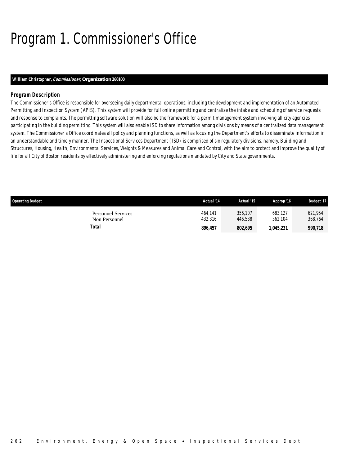# Program 1. Commissioner's Office

## *William Christopher, Commissioner, Organization 260100*

## *Program Description*

The Commissioner's Office is responsible for overseeing daily departmental operations, including the development and implementation of an Automated Permitting and Inspection System (APIS). This system will provide for full online permitting and centralize the intake and scheduling of service requests and response to complaints. The permitting software solution will also be the framework for a permit management system involving all city agencies participating in the building permitting. This system will also enable ISD to share information among divisions by means of a centralized data management system. The Commissioner's Office coordinates all policy and planning functions, as well as focusing the Department's efforts to disseminate information in an understandable and timely manner. The Inspectional Services Department (ISD) is comprised of six regulatory divisions, namely, Building and Structures, Housing, Health, Environmental Services, Weights & Measures and Animal Care and Control, with the aim to protect and improve the quality of life for all City of Boston residents by effectively administering and enforcing regulations mandated by City and State governments.

| <b>Operating Budget</b>                    | Actual '14         | Actual '15         | Approp '16         | <b>Budget '17</b>  |
|--------------------------------------------|--------------------|--------------------|--------------------|--------------------|
| <b>Personnel Services</b><br>Non Personnel | 464.141<br>432.316 | 356,107<br>446.588 | 683,127<br>362.104 | 621.954<br>368.764 |
| Total                                      | 896,457            | 802,695            | ,045,231           | 990,718            |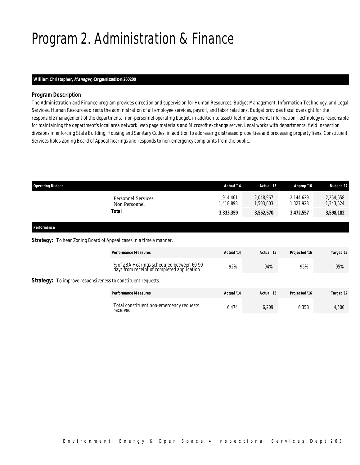# Program 2. Administration & Finance

### *William Christopher, Manager, Organization 260200*

### *Program Description*

The Administration and Finance program provides direction and supervision for Human Resources, Budget Management, Information Technology, and Legal Services. Human Resources directs the administration of all employee services, payroll, and labor relations. Budget provides fiscal oversight for the responsible management of the departmental non-personnel operating budget, in addition to asset/fleet management. Information Technology is responsible for maintaining the department's local area network, web page materials and Microsoft exchange server. Legal works with departmental field inspection divisions in enforcing State Building, Housing and Sanitary Codes, in addition to addressing distressed properties and processing property liens. Constituent Services holds Zoning Board of Appeal hearings and responds to non-emergency complaints from the public.

| <b>Operating Budget</b>                                                   |                                                                                         | Actual '14             | Actual '15             | Approp '16             | <b>Budget '17</b>      |
|---------------------------------------------------------------------------|-----------------------------------------------------------------------------------------|------------------------|------------------------|------------------------|------------------------|
|                                                                           | <b>Personnel Services</b><br>Non Personnel                                              | 1,914,461<br>1,418,898 | 2,048,967<br>1,503,603 | 2,144,629<br>1,327,928 | 2,254,658<br>1,343,524 |
|                                                                           | <b>Total</b>                                                                            | 3,333,359              | 3,552,570              | 3,472,557              | 3,598,182              |
| Performance                                                               |                                                                                         |                        |                        |                        |                        |
| <b>Strategy:</b> To hear Zoning Board of Appeal cases in a timely manner. |                                                                                         |                        |                        |                        |                        |
|                                                                           | <b>Performance Measures</b>                                                             | Actual '14             | Actual '15             | Projected '16          | Target '17             |
|                                                                           | % of ZBA Hearings scheduled between 60-90<br>days from receipt of completed application | 92%                    | 94%                    | 95%                    | 95%                    |
| <b>Strategy:</b> To improve responsiveness to constituent requests.       |                                                                                         |                        |                        |                        |                        |
|                                                                           | <b>Performance Measures</b>                                                             | Actual '14             | Actual '15             | Projected '16          | Target '17             |
|                                                                           | Total constituent non-emergency requests<br>received                                    | 6,474                  | 6,209                  | 6,358                  | 4,500                  |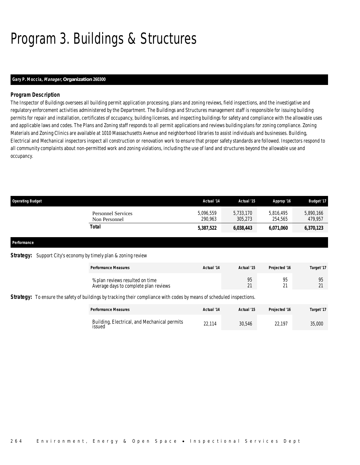# Program 3. Buildings & Structures

## *Gary P. Moccia, Manager, Organization 260300*

### *Program Description*

The Inspector of Buildings oversees all building permit application processing, plans and zoning reviews, field inspections, and the investigative and regulatory enforcement activities administered by the Department. The Buildings and Structures management staff is responsible for issuing building permits for repair and installation, certificates of occupancy, building licenses, and inspecting buildings for safety and compliance with the allowable uses and applicable laws and codes. The Plans and Zoning staff responds to all permit applications and reviews building plans for zoning compliance. Zoning Materials and Zoning Clinics are available at 1010 Massachusetts Avenue and neighborhood libraries to assist individuals and businesses. Building, Electrical and Mechanical inspectors inspect all construction or renovation work to ensure that proper safety standards are followed. Inspectors respond to all community complaints about non-permitted work and zoning violations, including the use of land and structures beyond the allowable use and occupancy.

| <b>Operating Budget</b> |                                                                          |                                                                                                                               | <b>Actual</b> '14    | Actual '15           | Approp '16           | <b>Budget '17</b>    |
|-------------------------|--------------------------------------------------------------------------|-------------------------------------------------------------------------------------------------------------------------------|----------------------|----------------------|----------------------|----------------------|
|                         |                                                                          | <b>Personnel Services</b><br>Non Personnel                                                                                    | 5,096,559<br>290,963 | 5,733,170<br>305,273 | 5,816,495<br>254,565 | 5,890,166<br>479,957 |
|                         |                                                                          | <b>Total</b>                                                                                                                  | 5,387,522            | 6,038,443            | 6,071,060            | 6,370,123            |
| Performance             |                                                                          |                                                                                                                               |                      |                      |                      |                      |
| Strategy:               |                                                                          | Support City's economy by timely plan & zoning review                                                                         |                      |                      |                      |                      |
|                         |                                                                          | <b>Performance Measures</b>                                                                                                   | Actual '14           | Actual '15           | Projected '16        | Target '17           |
|                         | % plan reviews resulted on time<br>Average days to complete plan reviews |                                                                                                                               | 95<br>21             | 95<br>21             | 95<br>21             |                      |
|                         |                                                                          | <b>Strategy:</b> To ensure the safety of buildings by tracking their compliance with codes by means of scheduled inspections. |                      |                      |                      |                      |
|                         |                                                                          | <b>Performance Measures</b>                                                                                                   | Actual '14           | Actual '15           | Projected '16        | Target '17           |
|                         |                                                                          | Building, Electrical, and Mechanical permits<br>issued                                                                        | 22,114               | 30,546               | 22,197               | 35,000               |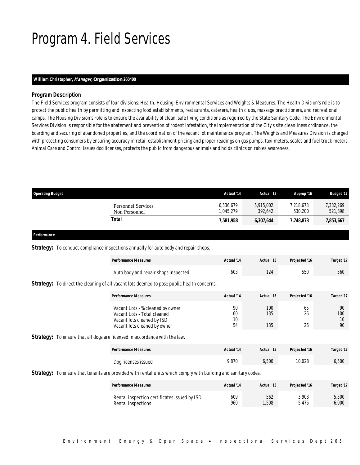## Program 4. Field Services

### *William Christopher, Manager, Organization 260400*

### *Program Description*

The Field Services program consists of four divisions: Health, Housing, Environmental Services and Weights & Measures. The Health Division's role is to protect the public health by permitting and inspecting food establishments, restaurants, caterers, health clubs, massage practitioners, and recreational camps. The Housing Division's role is to ensure the availability of clean, safe living conditions as required by the State Sanitary Code. The Environmental Services Division is responsible for the abatement and prevention of rodent infestation, the implementation of the City's site cleanliness ordinance, the boarding and securing of abandoned properties, and the coordination of the vacant lot maintenance program. The Weights and Measures Division is charged with protecting consumers by ensuring accuracy in retail establishment pricing and proper readings on gas pumps, taxi meters, scales and fuel truck meters. Animal Care and Control issues dog licenses, protects the public from dangerous animals and holds clinics on rabies awareness.

| <b>Operating Budget</b> |                                                                                                                       | Actual '14             | Actual '15           | Approp '16           | <b>Budget '17</b>    |
|-------------------------|-----------------------------------------------------------------------------------------------------------------------|------------------------|----------------------|----------------------|----------------------|
|                         | <b>Personnel Services</b><br>Non Personnel                                                                            | 6,536,679<br>1,045,279 | 5,915,002<br>392,642 | 7,218,673<br>530,200 | 7,332,269<br>521,398 |
|                         | <b>Total</b>                                                                                                          | 7,581,958              | 6,307,644            | 7,748,873            | 7,853,667            |
| Performance             |                                                                                                                       |                        |                      |                      |                      |
|                         | <b>Strategy:</b> To conduct compliance inspections annually for auto body and repair shops.                           |                        |                      |                      |                      |
|                         | <b>Performance Measures</b>                                                                                           | Actual '14             | Actual '15           | Projected '16        | Target '17           |
|                         | Auto body and repair shops inspected                                                                                  | 603                    | 124                  | 550                  | 560                  |
|                         | <b>Strategy:</b> To direct the cleaning of all vacant lots deemed to pose public health concerns.                     |                        |                      |                      |                      |
|                         | <b>Performance Measures</b>                                                                                           | Actual '14             | Actual '15           | Projected '16        | Target '17           |
|                         | Vacant Lots - % cleaned by owner<br>Vacant Lots - Total cleaned<br>Vacant lots cleaned by ISD                         | 90<br>60<br>10         | 100<br>135           | 65<br>26             | 90<br>100<br>10      |
|                         | Vacant lots cleaned by owner                                                                                          | 54                     | 135                  | 26                   | 90                   |
|                         | <b>Strategy:</b> To ensure that all dogs are licensed in accordance with the law.                                     |                        |                      |                      |                      |
|                         | <b>Performance Measures</b>                                                                                           | Actual '14             | Actual '15           | Projected '16        | Target '17           |
|                         | Dog licenses issued                                                                                                   | 9,870                  | 6,500                | 10,028               | 6,500                |
|                         | <b>Strategy:</b> To ensure that tenants are provided with rental units which comply with building and sanitary codes. |                        |                      |                      |                      |
|                         | <b>Performance Measures</b>                                                                                           | Actual '14             | Actual '15           | Projected '16        | Target '17           |
|                         | Rental inspection certificates issued by ISD<br>Rental inspections                                                    | 609<br>960             | 562<br>1,598         | 3,903<br>5,475       | 5,500<br>6,000       |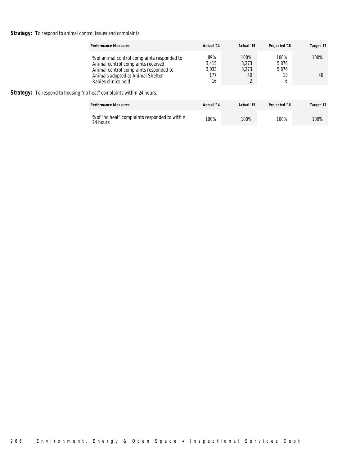## **Strategy:** To respond to animal control issues and complaints.

|                                                                              | <b>Performance Measures</b>                                                                                                                                                             | Actual '14                         | Actual '15                   | Projected '16                     | Target '17 |
|------------------------------------------------------------------------------|-----------------------------------------------------------------------------------------------------------------------------------------------------------------------------------------|------------------------------------|------------------------------|-----------------------------------|------------|
|                                                                              | % of animal control complaints responded to<br>Animal control complaints received<br>Animal control complaints responded to<br>Animals adopted at Animal Shelter<br>Rabies clinics held | 89%<br>3,415<br>3,033<br>177<br>16 | 100%<br>3.273<br>3.273<br>40 | 100%<br>5.876<br>5.876<br>13<br>O | 100%<br>40 |
| <b>Strategy:</b> To respond to housing "no heat" complaints within 24 hours. |                                                                                                                                                                                         |                                    |                              |                                   |            |
|                                                                              | <b>Performance Measures</b>                                                                                                                                                             | Actual '14                         | Actual '15                   | Projected '16                     | Target '17 |
|                                                                              | % of "no heat" complaints responded to within<br>24 hours                                                                                                                               | 100%                               | 100%                         | 100%                              | 100%       |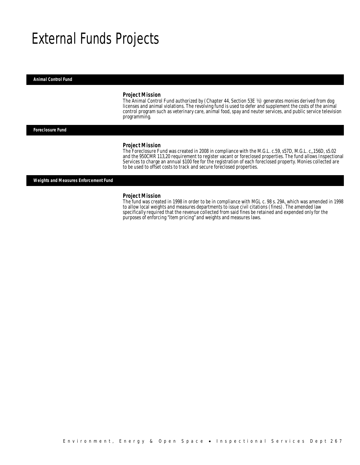## External Funds Projects

*Animal Control Fund* 

### *Project Mission*

The Animal Control Fund authorized by (Chapter 44, Section 53E ½) generates monies derived from dog licenses and animal violations. The revolving fund is used to defer and supplement the costs of the animal control program such as veterinary care, animal food, spay and neuter services, and public service television programming. Î

*Foreclosure Fund* 

#### *Project Mission*

The Foreclosure Fund was created in 2008 in compliance with the M.G.L. c.59, s57D, M.G.L. c,,156D, s5.02 and the 950CMR 113,20 requirement to register vacant or foreclosed properties. The fund allows Inspectional Services to charge an annual \$100 fee for the registration of each foreclosed property. Monies collected are to be used to offset costs to track and secure foreclosed properties.

*Weights and Measures Enforcement Fund* 

#### *Project Mission*

The fund was created in 1998 in order to be in compliance with MGL c. 98 s. 29A, which was amended in 1998 to allow local weights and measures departments to issue civil citations (fines). The amended law specifically required that the revenue collected from said fines be retained and expended only for the purposes of enforcing "item pricing" and weights and measures laws.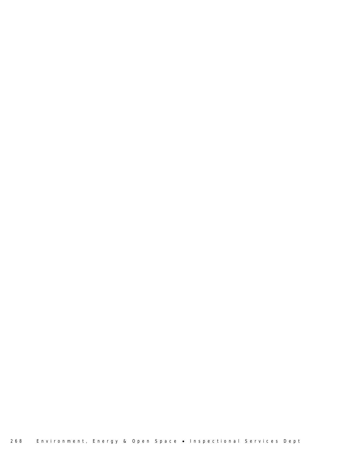268 Environment, Energy & Open Space • Inspectional Services Dept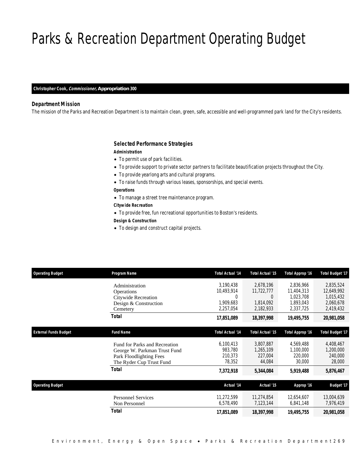# Parks & Recreation Department Operating Budget

#### *Christopher Cook, Commissioner, Appropriation 300*

### *Department Mission*

The mission of the Parks and Recreation Department is to maintain clean, green, safe, accessible and well-programmed park land for the City's residents.

#### *Selected Performance Strategies*

*Administration* 

- To permit use of park facilities.
- To provide support to private sector partners to facilitate beautification projects throughout the City.
- To provide yearlong arts and cultural programs.
- To raise funds through various leases, sponsorships, and special events.

*Operations* 

• To manage a street tree maintenance program.

## *Citywide Recreation*

- To provide free, fun recreational opportunities to Boston's residents.
- *Design & Construction*
- To design and construct capital projects.

| <b>Operating Budget</b>      | Program Name                      | <b>Total Actual '14</b> | <b>Total Actual '15</b> | Total Approp '16        | <b>Total Budget '17</b> |
|------------------------------|-----------------------------------|-------------------------|-------------------------|-------------------------|-------------------------|
|                              | Administration                    | 3,190,438<br>10,493,914 | 2,678,196<br>11,722,777 | 2.836.966<br>11,404,313 | 2,835,524<br>12,649,992 |
|                              | Operations<br>Citywide Recreation | 0                       | 0                       | 1,023,708               | 1,015,432               |
|                              | Design & Construction             | 1,909,683               | 1,814,092               | 1,893,043               | 2,060,678               |
|                              | Cemetery                          | 2,257,054               | 2,182,933               | 2,337,725               | 2,419,432               |
|                              | <b>Total</b>                      | 17,851,089              | 18,397,998              | 19,495,755              | 20,981,058              |
| <b>External Funds Budget</b> | <b>Fund Name</b>                  | <b>Total Actual '14</b> | Total Actual '15        | Total Approp '16        | <b>Total Budget '17</b> |
|                              | Fund for Parks and Recreation     | 6,100,413               | 3,807,887               | 4,569,488               | 4,408,467               |
|                              | George W. Parkman Trust Fund      | 983,780                 | 1,265,109               | 1,100,000               | 1,200,000               |
|                              | Park Floodlighting Fees           | 210.373                 | 227,004                 | 220,000                 | 240,000                 |
|                              | The Ryder Cup Trust Fund          | 78,352                  | 44,084                  | 30,000                  | 28,000                  |
|                              | <b>Total</b>                      | 7,372,918               | 5,344,084               | 5,919,488               | 5,876,467               |
| <b>Operating Budget</b>      |                                   | Actual '14              | Actual '15              | Approp '16              | <b>Budget '17</b>       |
|                              | <b>Personnel Services</b>         | 11,272,599              | 11,274,854              | 12,654,607              | 13,004,639              |
|                              | Non Personnel                     | 6,578,490               | 7,123,144               | 6,841,148               | 7,976,419               |
|                              | Total                             | 17,851,089              | 18,397,998              | 19,495,755              | 20,981,058              |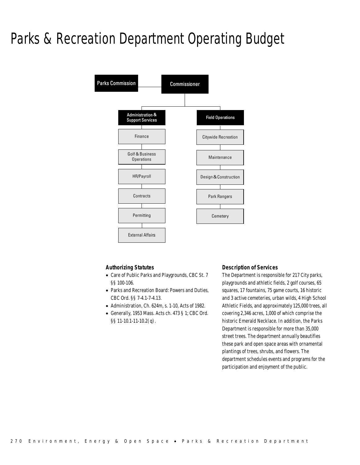## Parks & Recreation Department Operating Budget



## *Authorizing Statutes*

- Care of Public Parks and Playgrounds, CBC St. 7 §§ 100-106.
- Parks and Recreation Board: Powers and Duties, CBC Ord. §§ 7-4.1-7-4.13.
- Administration, Ch. 624m, s. 1-10, Acts of 1982.
- Generally, 1953 Mass. Acts ch. 473 § 1; CBC Ord. §§ 11-10.1-11-10.2(q).

### *Description of Services*

The Department is responsible for 217 City parks, playgrounds and athletic fields, 2 golf courses, 65 squares, 17 fountains, 75 game courts, 16 historic and 3 active cemeteries, urban wilds, 4 High School Athletic Fields, and approximately 125,000 trees, all covering 2,346 acres, 1,000 of which comprise the historic Emerald Necklace. In addition, the Parks Department is responsible for more than 35,000 street trees. The department annually beautifies these park and open space areas with ornamental plantings of trees, shrubs, and flowers. The department schedules events and programs for the participation and enjoyment of the public.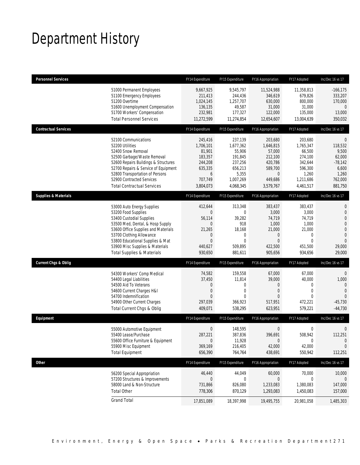# Department History

| <b>Personnel Services</b>       |                                                                                                                                                                                                                                                                                                      | FY14 Expenditure                                                                             | FY15 Expenditure                                                                                   | FY16 Appropriation                                                                                     | FY17 Adopted                                                                                       | Inc/Dec 16 vs 17                                                                                                                    |
|---------------------------------|------------------------------------------------------------------------------------------------------------------------------------------------------------------------------------------------------------------------------------------------------------------------------------------------------|----------------------------------------------------------------------------------------------|----------------------------------------------------------------------------------------------------|--------------------------------------------------------------------------------------------------------|----------------------------------------------------------------------------------------------------|-------------------------------------------------------------------------------------------------------------------------------------|
|                                 | 51000 Permanent Employees<br>51100 Emergency Employees<br>51200 Overtime<br>51600 Unemployment Compensation<br>51700 Workers' Compensation<br><b>Total Personnel Services</b>                                                                                                                        | 9,667,925<br>211,413<br>1,024,145<br>136,135<br>232,981<br>11,272,599                        | 9,545,797<br>244,436<br>1,257,707<br>49,587<br>177,327<br>11,274,854                               | 11,524,988<br>346,619<br>630,000<br>31,000<br>122,000<br>12,654,607                                    | 11,358,813<br>679,826<br>800,000<br>31,000<br>135,000<br>13,004,639                                | $-166, 175$<br>333,207<br>170,000<br>$\theta$<br>13,000<br>350,032                                                                  |
| <b>Contractual Services</b>     |                                                                                                                                                                                                                                                                                                      | FY14 Expenditure                                                                             | FY15 Expenditure                                                                                   | FY16 Appropriation                                                                                     | FY17 Adopted                                                                                       | Inc/Dec 16 vs 17                                                                                                                    |
|                                 | 52100 Communications<br>52200 Utilities<br>52400 Snow Removal<br>52500 Garbage/Waste Removal<br>52600 Repairs Buildings & Structures<br>52700 Repairs & Service of Equipment<br>52800 Transportation of Persons<br>52900 Contracted Services<br><b>Total Contractual Services</b>                    | 245,416<br>1,706,101<br>81,901<br>183,357<br>244,208<br>635,335<br>6<br>707,749<br>3,804,073 | 237,139<br>1,677,362<br>55,906<br>191,845<br>237,256<br>656,213<br>5,355<br>1,007,269<br>4,068,345 | 203,680<br>1,646,815<br>57,000<br>212,100<br>420,786<br>589,700<br>$\mathbf 0$<br>449,686<br>3,579,767 | 203,680<br>1,765,347<br>66,500<br>274,100<br>342,644<br>596,300<br>1,260<br>1,211,686<br>4,461,517 | $\mathbf 0$<br>118,532<br>9,500<br>62,000<br>$-78,142$<br>6,600<br>1,260<br>762,000<br>881,750                                      |
| <b>Supplies &amp; Materials</b> |                                                                                                                                                                                                                                                                                                      | FY14 Expenditure                                                                             | FY15 Expenditure                                                                                   | FY16 Appropriation                                                                                     | FY17 Adopted                                                                                       | Inc/Dec 16 vs 17                                                                                                                    |
|                                 | 53000 Auto Energy Supplies<br>53200 Food Supplies<br>53400 Custodial Supplies<br>53500 Med, Dental, & Hosp Supply<br>53600 Office Supplies and Materials<br>53700 Clothing Allowance<br>53800 Educational Supplies & Mat<br>53900 Misc Supplies & Materials<br><b>Total Supplies &amp; Materials</b> | 412,644<br>0<br>56,114<br>0<br>21,265<br>0<br>$\mathbf{0}$<br>440,627<br>930,650             | 313,348<br>$\mathbf 0$<br>39,282<br>918<br>18,168<br>0<br>$\overline{0}$<br>509,895<br>881,611     | 383,437<br>3,000<br>74,719<br>1,000<br>21,000<br>$\mathbf 0$<br>$\mathbf{0}$<br>422,500<br>905,656     | 383,437<br>3,000<br>74,719<br>1,000<br>21,000<br>0<br>$\overline{0}$<br>451,500<br>934,656         | $\mathbf 0$<br>$\mathbf 0$<br>$\mathbf{0}$<br>$\overline{0}$<br>$\mathbf 0$<br>$\overline{0}$<br>$\overline{0}$<br>29,000<br>29,000 |
| <b>Current Chgs &amp; Oblig</b> |                                                                                                                                                                                                                                                                                                      | FY14 Expenditure                                                                             | FY15 Expenditure                                                                                   | FY16 Appropriation                                                                                     | FY17 Adopted                                                                                       | Inc/Dec 16 vs 17                                                                                                                    |
|                                 | 54300 Workers' Comp Medical<br>54400 Legal Liabilities<br>54500 Aid To Veterans<br>54600 Current Charges H&I<br>54700 Indemnification<br>54900 Other Current Charges<br>Total Current Chgs & Oblig                                                                                                   | 74,582<br>37,450<br>0<br>0<br>$\Omega$<br>297,039<br>409,071                                 | 159,558<br>11,814<br>0<br>0<br>$\Omega$<br>366,923<br>538,295                                      | 67,000<br>39,000<br>$\mathbf 0$<br>$\mathbf 0$<br>$\Omega$<br>517,951<br>623,951                       | 67,000<br>40,000<br>0<br>$\mathbf 0$<br>$\Omega$<br>472,221<br>579,221                             | $\overline{0}$<br>1,000<br>$\mathbf{0}$<br>$\mathbf{0}$<br>$\Omega$<br>$-45,730$<br>$-44,730$                                       |
| Equipment                       |                                                                                                                                                                                                                                                                                                      | FY14 Expenditure                                                                             | FY15 Expenditure                                                                                   | FY16 Appropriation                                                                                     | FY17 Adopted                                                                                       | Inc/Dec 16 vs 17                                                                                                                    |
|                                 | 55000 Automotive Equipment<br>55400 Lease/Purchase<br>55600 Office Furniture & Equipment<br>55900 Misc Equipment<br><b>Total Equipment</b>                                                                                                                                                           | $\mathbf 0$<br>287,221<br>$\mathbf 0$<br>369,169<br>656,390                                  | 148,595<br>387,836<br>11,928<br>216,405<br>764,764                                                 | $\mathbf 0$<br>396,691<br>$\mathbf 0$<br>42,000<br>438,691                                             | 0<br>508,942<br>$\boldsymbol{0}$<br>42,000<br>550,942                                              | $\mathbf 0$<br>112,251<br>$\mathbf 0$<br>$\theta$<br>112,251                                                                        |
| Other                           |                                                                                                                                                                                                                                                                                                      | FY14 Expenditure                                                                             | FY15 Expenditure                                                                                   | FY16 Appropriation                                                                                     | FY17 Adopted                                                                                       | Inc/Dec 16 vs 17                                                                                                                    |
|                                 | 56200 Special Appropriation<br>57200 Structures & Improvements<br>58000 Land & Non-Structure<br><b>Total Other</b>                                                                                                                                                                                   | 46,440<br>$\pmb{0}$<br>731,866<br>778,306                                                    | 44,049<br>0<br>826,080<br>870,129                                                                  | 60,000<br>$\mathbf 0$<br>1,233,083<br>1,293,083                                                        | 70,000<br>0<br>1,380,083<br>1,450,083                                                              | 10,000<br>$\mathbf 0$<br>147,000<br>157,000                                                                                         |
|                                 | <b>Grand Total</b>                                                                                                                                                                                                                                                                                   | 17,851,089                                                                                   | 18,397,998                                                                                         | 19,495,755                                                                                             | 20,981,058                                                                                         | 1,485,303                                                                                                                           |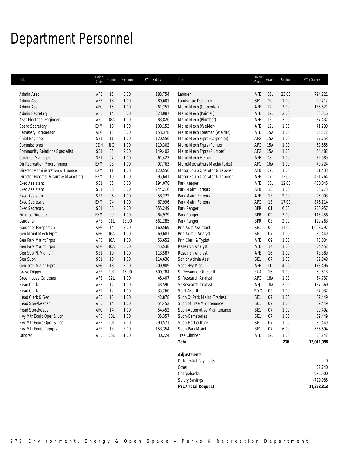# Department Personnel

| Title                                 | Union<br>Code   | Grade     | Position | FY17 Salary | Title                          | Union<br>Code   | Grade | Position | FY17 Salary |
|---------------------------------------|-----------------|-----------|----------|-------------|--------------------------------|-----------------|-------|----------|-------------|
|                                       |                 |           |          |             |                                |                 |       |          |             |
| Admin Asst                            | AFE             | 15        | 3.00     | 183,754     | Laborer                        | AFE             | 06L   | 23.00    | 794,221     |
| Admin Asst                            | AFE             | 18        | 1.00     | 80,601      | Landscape Designer             | SE1             | 10    | 1.00     | 99,712      |
| <b>Admin Asst</b>                     | AFG             | 15        | 1.00     | 61,251      | Maint Mech (Carpenter)         | AFE             | 12L   | 3.00     | 136,621     |
| <b>Admin Secretary</b>                | AFE             | 14        | 6.00     | 323,087     | Maint Mech (Painter)           | AFE             | 12L   | 2.00     | 88,816      |
| <b>Asst Electrical Engineer</b>       | AFJ             | 18A       | 1.00     | 83,826      | Maint Mech (Plumber)           | AFE             | 12L   | 2.00     | 87,432      |
| <b>Board Secretary</b>                | EXM             | 10        | 1.00     | 109,152     | Maint Mech (Welder)            | AFE             | 12L   | 1.00     | 41,230      |
| Cemetery Foreperson                   | AFG             | 13        | 3.00     | 153,378     | Maint Mech Foreman (Welder)    | AFE             | 15A   | 1.00     | 55,572      |
| Chief Engineer                        | SE <sub>1</sub> | 11        | 1.00     | 120,556     | Maint Mech Frprs (Carpenter)   | AFG             | 15A   | 1.00     | 57,753      |
| Commissioner                          | CDH             | <b>NG</b> | 1.00     | 110,302     | Maint Mech Frprs (Painter)     | AFG             | 15A   | 1.00     | 59,655      |
| <b>Community Relations Specialist</b> | SE <sub>1</sub> | 05        | 2.00     | 149,402     | Maint Mech Frprs (Plumber)     | AFG             | 15A   | 1.00     | 64,482      |
| Contract Manager                      | SE <sub>1</sub> | 07        | 1.00     | 61,423      | Maint Mech Helper              | AFE             | 08L   | 1.00     | 32,689      |
| Dir Recreation Programming            | <b>EXM</b>      | 08        | 1.00     | 97,763      | MaintMechaFrprs(Machi/Parks)   | AFG             | 16A   | 1.00     | 70,724      |
| Director Administration & Finance     | EXM             | 11        | 1.00     | 120,556     | Motor Equip Operator & Laborer | AFB             | 07L   | 1.00     | 31,433      |
| Director External Affairs & Marketing | EXM             | 10        | 1.00     | 95,641      | Motor Equip Operator & Laborer | AFE             | 07L   | 12.00    | 451,764     |
| <b>Exec Assistant</b>                 | SE <sub>1</sub> | 05        | 3.00     | 194,078     | Park Keeper                    | AFE             | 08L   | 12.00    | 480,045     |
| <b>Exec Assistant</b>                 | SE <sub>1</sub> | 06        | 3.00     | 244,216     | Park Maint Foreprs             | AFB             | 13    | 1.00     | 36,773      |
| <b>Exec Assistant</b>                 | SE <sub>2</sub> | 06        | 1.00     | 58,222      | Park Maint Foreprs             | AFE             | 13    | 2.00     | 95,003      |
| <b>Exec Secretary</b>                 | <b>EXM</b>      | 04        | 1.00     | 67,996      | Park Maint Foreprs             | AFG             | 13    | 17.00    | 846,114     |
| <b>Exec Secretary</b>                 | SE <sub>1</sub> | 08        | 7.00     | 655,249     | Park Ranger I                  | <b>BPR</b>      | 01    | 6.00     | 230,957     |
| <b>Finance Director</b>               | <b>EXM</b>      | 09        | 1.00     | 84,979      | Park Ranger II                 | <b>BPR</b>      | 02    | 3.00     | 145,256     |
| Gardener                              | AFE             | 11L       | 13.00    | 561,285     | Park Ranger III                | <b>BPR</b>      | 03    | 2.00     | 129,263     |
| Gardener Foreperson                   | AFG             | 14        | 3.00     | 160,569     | Prin Adm Assistant             | SE <sub>1</sub> | 06    | 14.00    | 1,068,797   |
| Gen Maint Mech Frprs                  | AFG             | 16A       | 1.00     | 69,681      | Prin Admin Analyst             | SE <sub>1</sub> | 07    | 1.00     | 89,449      |
| Gen Park Maint Frprs                  | AFB             | 16A       | 1.00     | 56,652      | Prin Clerk & Typist            | AFE             | 09    | 1.00     | 43,034      |
| Gen Park Maint Frprs                  | AFG             | 16A       | 5.00     | 345,538     | Research Analyst               | AFE             | 14    | 1.00     | 54,452      |
| Gen Sup Pk Maint                      | SE <sub>1</sub> | 10        | 1.00     | 113,587     | Research Analyst               | AFE             | 16    | 1.00     | 48,389      |
| Gen Supn                              | SE <sub>1</sub> | 10        | 1.00     | 114,630     | Senior Admin Asst              | SE <sub>1</sub> | 07    | 1.00     | 82,949      |
| Gen Tree Maint Frprs                  | AFG             | 18        | 3.00     | 209,989     | Spec Hvy Meo                   | AFE             | 11L   | 4.00     | 178,496     |
| Grave Digger                          | AFE             | 09L       | 16.00    | 600,784     | Sr Personnel Officer II        | SU <sub>4</sub> | 16    | 1.00     | 60,618      |
| Greenhouse Gardener                   | AFE             | 12L       | 1.00     | 48,407      | Sr Research Analyst            | AFG             | 18A   | 1.00     | 64,737      |
| <b>Head Clerk</b>                     | AFE             | 12        | 1.00     | 43,590      | Sr Research Analyst            | AFJ             | 18A   | 2.00     | 127,669     |
| <b>Head Clerk</b>                     | AFT             | 12        | 1.00     | 35,260      | Staff Asst II                  | MY <sub>0</sub> | 05    | 1.00     | 57,037      |
| Head Clerk & Sec                      | AFE             | 13        | 1.00     | 42,878      | Supn Of Park Maint (Trades)    | SE <sub>1</sub> | 07    | 1.00     | 89,449      |
| <b>Head Storekeeper</b>               | AFB             | 14        | 1.00     | 54,452      | Supn of Tree Maintenance       | SE1             | 07    | 1.00     | 89,449      |
| <b>Head Storekeeper</b>               | AFG             | 14        | 1.00     | 54,452      | Supn-Automotive Maintenance    | SE <sub>1</sub> | 07    | 1.00     | 90,492      |
| Hvy Mtr Equip Oper & Lbr              | AFB             | 10L       | 1.00     | 35,357      | Supn-Cemeteries                | SE <sub>1</sub> | 07    | 1.00     | 89,449      |
| Hvy Mtr Equip Oper & Lbr              | AFE             | 10L       | 7.00     | 290,571     | Supn-Horticulture              | SE <sub>1</sub> | 07    | 1.00     | 89,449      |
| Hvy Mtr Equip Reprprs                 | AFE             | 13        | 3.00     | 153,354     | Supn-Park Maint                | SE1             | 07    | 6.00     | 536,694     |
| Laborer                               | AFB             | 06L       | 1.00     | 30,224      | Tree Climber                   | AFE             | 12L   | 1.00     | 38,242      |
|                                       |                 |           |          |             | <b>Total</b>                   |                 |       | 236      | 13,011,058  |
|                                       |                 |           |          |             | <b>Adjustments</b>             |                 |       |          |             |

| <b>FY17 Total Request</b>    | 11,358,813 |
|------------------------------|------------|
| <b>Salary Savings</b>        | $-729.985$ |
| Chargebacks                  | $-975.000$ |
| Other                        | 52.740     |
| <b>Differential Payments</b> | $\Omega$   |
| <b>Adjustments</b>           |            |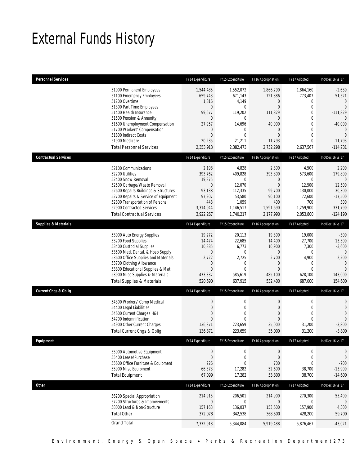# External Funds History

| <b>Personnel Services</b>       |                                                                                                                                                                                                                                                                                                            | FY14 Expenditure                                                                                        | FY15 Expenditure                                                                                                                         | FY16 Appropriation                                                                                                                 | FY17 Adopted                                                                                                                                                | Inc/Dec 16 vs 17                                                                                                                               |
|---------------------------------|------------------------------------------------------------------------------------------------------------------------------------------------------------------------------------------------------------------------------------------------------------------------------------------------------------|---------------------------------------------------------------------------------------------------------|------------------------------------------------------------------------------------------------------------------------------------------|------------------------------------------------------------------------------------------------------------------------------------|-------------------------------------------------------------------------------------------------------------------------------------------------------------|------------------------------------------------------------------------------------------------------------------------------------------------|
|                                 | 51000 Permanent Employees<br>51100 Emergency Employees<br>51200 Overtime<br>51300 Part Time Employees<br>51400 Health Insurance<br>51500 Pension & Annunity<br>51600 Unemployment Compensation<br>51700 Workers' Compensation<br>51800 Indirect Costs<br>51900 Medicare<br><b>Total Personnel Services</b> | 1,544,485<br>659,743<br>1,816<br>0<br>99,677<br>0<br>27,957<br>0<br>$\mathbf{0}$<br>20,235<br>2,353,913 | 1,552,072<br>671,143<br>4,149<br>$\mathbf 0$<br>119,202<br>$\mathbf 0$<br>14,696<br>$\mathbf 0$<br>$\overline{0}$<br>21,211<br>2,382,473 | 1,866,790<br>721,886<br>$\theta$<br>$\overline{0}$<br>111,829<br>$\theta$<br>40,000<br>$\theta$<br>$\theta$<br>11,793<br>2,752,298 | 1,864,160<br>773,407<br>0<br>$\overline{0}$<br>$\theta$<br>$\mathbf 0$<br>$\overline{0}$<br>$\overline{0}$<br>$\overline{0}$<br>$\overline{0}$<br>2,637,567 | $-2,630$<br>51,521<br>$\theta$<br>$\theta$<br>$-111,829$<br>$\overline{0}$<br>$-40,000$<br>$\mathbf{0}$<br>$\Omega$<br>$-11,793$<br>$-114,731$ |
| <b>Contractual Services</b>     |                                                                                                                                                                                                                                                                                                            | FY14 Expenditure                                                                                        | FY15 Expenditure                                                                                                                         | FY16 Appropriation                                                                                                                 | FY17 Adopted                                                                                                                                                | Inc/Dec 16 vs 17                                                                                                                               |
|                                 | 52100 Communications<br>52200 Utilities<br>52400 Snow Removal<br>52500 Garbage/Waste Removal<br>52600 Repairs Buildings & Structures<br>52700 Repairs & Service of Equipment<br>52800 Transportation of Persons<br>52900 Contracted Services<br><b>Total Contractual Services</b>                          | 2,198<br>393,762<br>19,875<br>$\boldsymbol{0}$<br>93.138<br>97,907<br>443<br>3,314,944<br>3,922,267     | 4,828<br>409,828<br>0<br>12,070<br>112,335<br>53,580<br>1,059<br>1,146,517<br>1,740,217                                                  | 2,300<br>393,800<br>$\theta$<br>$\bf 0$<br>99,700<br>90,100<br>400<br>1,591,690<br>2,177,990                                       | 4,500<br>573,600<br>0<br>12,500<br>130,000<br>72,600<br>700<br>1,259,900<br>2,053,800                                                                       | 2,200<br>179,800<br>$\theta$<br>12,500<br>30,300<br>$-17,500$<br>300<br>$-331,790$<br>$-124,190$                                               |
| <b>Supplies &amp; Materials</b> |                                                                                                                                                                                                                                                                                                            | FY14 Expenditure                                                                                        | FY15 Expenditure                                                                                                                         | FY16 Appropriation                                                                                                                 | FY17 Adopted                                                                                                                                                | Inc/Dec 16 vs 17                                                                                                                               |
|                                 | 53000 Auto Energy Supplies<br>53200 Food Supplies<br>53400 Custodial Supplies<br>53500 Med, Dental, & Hosp Supply<br>53600 Office Supplies and Materials<br>53700 Clothing Allowance<br>53800 Educational Supplies & Mat<br>53900 Misc Supplies & Materials<br><b>Total Supplies &amp; Materials</b>       | 19,272<br>14,474<br>10,885<br>0<br>2,722<br>0<br>$\boldsymbol{0}$<br>473,337<br>520,690                 | 20,113<br>22,685<br>6,773<br>$\boldsymbol{0}$<br>2,725<br>$\mathbf 0$<br>$\overline{0}$<br>585,619<br>637,915                            | 19,300<br>14,400<br>10,900<br>$\bf 0$<br>2,700<br>$\theta$<br>$\theta$<br>485,100<br>532,400                                       | 19,000<br>27,700<br>7,300<br>$\mathbf 0$<br>4,900<br>$\mathbf 0$<br>$\overline{0}$<br>628,100<br>687,000                                                    | $-300$<br>13,300<br>$-3,600$<br>$\Omega$<br>2,200<br>$\Omega$<br>$\theta$<br>143,000<br>154,600                                                |
| <b>Current Chgs &amp; Oblig</b> |                                                                                                                                                                                                                                                                                                            | FY14 Expenditure                                                                                        | FY15 Expenditure                                                                                                                         | FY16 Appropriation                                                                                                                 | FY17 Adopted                                                                                                                                                | Inc/Dec 16 vs 17                                                                                                                               |
|                                 | 54300 Workers' Comp Medical<br>54400 Legal Liabilities<br>54600 Current Charges H&I<br>54700 Indemnification<br>54900 Other Current Charges<br>Total Current Chgs & Oblig                                                                                                                                  | $\boldsymbol{0}$<br>$\boldsymbol{0}$<br>$\overline{0}$<br>$\mathbf{0}$<br>136,871<br>136,871            | 0<br>$\mathbf 0$<br>$\overline{0}$<br>$\overline{0}$<br>223,659<br>223,659                                                               | $\theta$<br>$\mathbf{0}$<br>$\theta$<br>$\theta$<br>35,000<br>35,000                                                               | $\mathbf 0$<br>$\mathbf 0$<br>$\theta$<br>$\theta$<br>31,200<br>31,200                                                                                      | 0<br>$\mathbf 0$<br>$\theta$<br>$\Omega$<br>$-3,800$<br>$-3,800$                                                                               |
| Equipment                       |                                                                                                                                                                                                                                                                                                            | FY14 Expenditure                                                                                        | FY15 Expenditure                                                                                                                         | FY16 Appropriation                                                                                                                 | FY17 Adopted                                                                                                                                                | Inc/Dec 16 vs 17                                                                                                                               |
|                                 | 55000 Automotive Equipment<br>55400 Lease/Purchase<br>55600 Office Furniture & Equipment<br>55900 Misc Equipment<br><b>Total Equipment</b>                                                                                                                                                                 | $\boldsymbol{0}$<br>$\boldsymbol{0}$<br>726<br>66,373<br>67,099                                         | $\boldsymbol{0}$<br>$\mathbf 0$<br>$\overline{0}$<br>17,282<br>17,282                                                                    | $\boldsymbol{0}$<br>$\bf 0$<br>700<br>52,600<br>53,300                                                                             | 0<br>$\mathbf 0$<br>0<br>38,700<br>38,700                                                                                                                   | $\theta$<br>$\theta$<br>$-700$<br>$-13,900$<br>$-14,600$                                                                                       |
| Other                           |                                                                                                                                                                                                                                                                                                            | FY14 Expenditure                                                                                        | FY15 Expenditure                                                                                                                         | FY16 Appropriation                                                                                                                 | FY17 Adopted                                                                                                                                                | Inc/Dec 16 vs 17                                                                                                                               |
|                                 | 56200 Special Appropriation<br>57200 Structures & Improvements<br>58000 Land & Non-Structure<br><b>Total Other</b>                                                                                                                                                                                         | 214,915<br>$\boldsymbol{0}$<br>157,163<br>372,078                                                       | 206,501<br>$\mathbf{0}$<br>136,037<br>342,538                                                                                            | 214,900<br>$\mathbf 0$<br>153,600<br>368,500                                                                                       | 270,300<br>0<br>157,900<br>428,200                                                                                                                          | 55,400<br>0<br>4,300<br>59,700                                                                                                                 |
|                                 | <b>Grand Total</b>                                                                                                                                                                                                                                                                                         | 7,372,918                                                                                               | 5,344,084                                                                                                                                | 5,919,488                                                                                                                          | 5,876,467                                                                                                                                                   | $-43,021$                                                                                                                                      |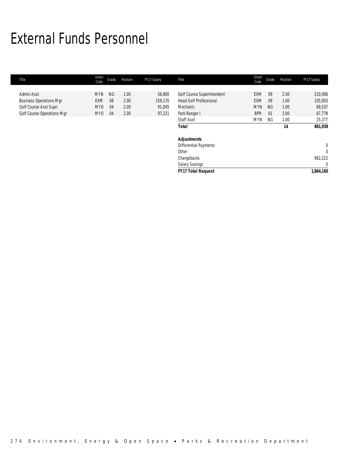# External Funds Personnel

| Title                          | Union<br>Code   | Grade     | Position | FY17 Salary | Title                         | Union<br>Code | Grade     | Position | FY17 Salary  |
|--------------------------------|-----------------|-----------|----------|-------------|-------------------------------|---------------|-----------|----------|--------------|
|                                |                 |           |          |             |                               |               |           |          |              |
| Admin Asst                     | <b>MYN</b>      | <b>NG</b> | 1.00     | 56,800      | Golf Course Superintendent    | <b>EXM</b>    | 09        | 2.00     | 210,006      |
| <b>Business Operations Mgr</b> | <b>EXM</b>      | 08        | 2.00     | 159,170     | <b>Head Golf Professional</b> | <b>EXM</b>    | 09        | 1.00     | 105,003      |
| Golf Course Asst Supn          | MY <sub>0</sub> | 04        | 2.00     | 91,045      | Mechanic                      | <b>MYN</b>    | <b>NG</b> | 1.00     | 69,537       |
| Golf Course Operations Mgr     | MY0             | 04        | 2.00     | 97,221      | Park Ranger I                 | <b>BPR</b>    | 01        | 2.00     | 67,778       |
|                                |                 |           |          |             | Staff Asst                    | <b>MYN</b>    | NG.       | 1.00     | 25,377       |
|                                |                 |           |          |             | <b>Total</b>                  |               |           | 14       | 881,938      |
|                                |                 |           |          |             | <b>Adjustments</b>            |               |           |          |              |
|                                |                 |           |          |             | <b>Differential Payments</b>  |               |           |          | $\mathbf{0}$ |
|                                |                 |           |          |             | Other                         |               |           |          | $\mathbf 0$  |
|                                |                 |           |          |             | Chargebacks                   |               |           |          | 982,222      |
|                                |                 |           |          |             | <b>Salary Savings</b>         |               |           |          | 0            |
|                                |                 |           |          |             | <b>FY17 Total Request</b>     |               |           |          | 1,864,160    |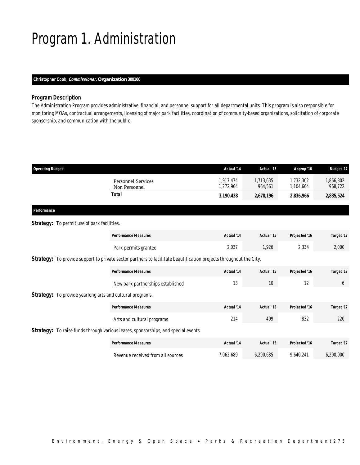# Program 1. Administration

## *Christopher Cook, Commissioner, Organization 300100*

### *Program Description*

The Administration Program provides administrative, financial, and personnel support for all departmental units. This program is also responsible for monitoring MOAs, contractual arrangements, licensing of major park facilities, coordination of community-based organizations, solicitation of corporate sponsorship, and communication with the public.

| <b>Operating Budget</b>                                          |                                                                                                                    | Actual '14             | Actual '15           | Approp '16             | Budget '17           |
|------------------------------------------------------------------|--------------------------------------------------------------------------------------------------------------------|------------------------|----------------------|------------------------|----------------------|
|                                                                  | <b>Personnel Services</b><br>Non Personnel                                                                         | 1,917,474<br>1,272,964 | 1,713,635<br>964,561 | 1,732,302<br>1,104,664 | 1,866,802<br>968,722 |
|                                                                  | <b>Total</b>                                                                                                       | 3,190,438              | 2,678,196            | 2,836,966              | 2,835,524            |
| Performance                                                      |                                                                                                                    |                        |                      |                        |                      |
| <b>Strategy:</b> To permit use of park facilities.               |                                                                                                                    |                        |                      |                        |                      |
|                                                                  | <b>Performance Measures</b>                                                                                        | Actual '14             | Actual '15           | Projected '16          | Target '17           |
|                                                                  | Park permits granted                                                                                               | 2.037                  | 1.926                | 2,334                  | 2.000                |
|                                                                  | Strategy: To provide support to private sector partners to facilitate beautification projects throughout the City. |                        |                      |                        |                      |
|                                                                  | <b>Performance Measures</b>                                                                                        | Actual '14             | Actual '15           | Projected '16          | Target '17           |
|                                                                  | New park partnerships established                                                                                  | 13                     | 10                   | 12                     | 6                    |
| <b>Strategy:</b> To provide yearlong arts and cultural programs. |                                                                                                                    |                        |                      |                        |                      |
|                                                                  | <b>Performance Measures</b>                                                                                        | Actual '14             | Actual '15           | Projected '16          | Target '17           |
|                                                                  | Arts and cultural programs                                                                                         | 214                    | 409                  | 832                    | 220                  |
|                                                                  | Strategy: To raise funds through various leases, sponsorships, and special events.                                 |                        |                      |                        |                      |
|                                                                  | <b>Performance Measures</b>                                                                                        | Actual '14             | Actual '15           | Projected '16          | Target '17           |
|                                                                  | Revenue received from all sources                                                                                  | 7.062.689              | 6.290.635            | 9.640.241              | 6.200.000            |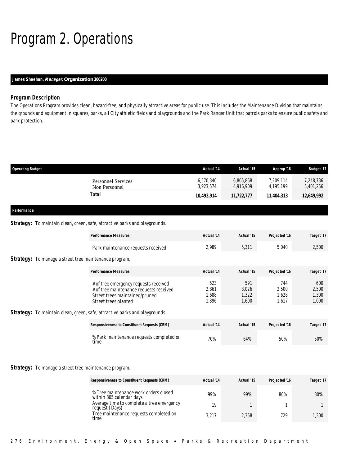# Program 2. Operations

## *James Sheehan, Manager, Organization 300200*

### *Program Description*

The Operations Program provides clean, hazard-free, and physically attractive areas for public use. This includes the Maintenance Division that maintains the grounds and equipment in squares, parks, all City athletic fields and playgrounds and the Park Ranger Unit that patrols parks to ensure public safety and park protection.

| <b>Operating Budget</b>                    | Actual '14             | Actual '15             | Approp '16             | <b>Budget '17</b>      |
|--------------------------------------------|------------------------|------------------------|------------------------|------------------------|
| <b>Personnel Services</b><br>Non Personnel | 6,570,340<br>3.923.574 | 6,805,868<br>4.916.909 | 7.209.114<br>4.195.199 | 7,248,736<br>5,401,256 |
| Total                                      | 10,493,914             | 11,722,777             | 11.404.313             | 12,649,992             |
|                                            |                        |                        |                        |                        |

*Performance* 

### **Strategy:** To maintain clean, green, safe, attractive parks and playgrounds.

| <b>Performance Measures</b>                                                                                                                | Actual '14                     | Actual '15                     | Projected '16                  | Target '17                     |
|--------------------------------------------------------------------------------------------------------------------------------------------|--------------------------------|--------------------------------|--------------------------------|--------------------------------|
| Park maintenance requests received                                                                                                         | 2,989                          | 5,311                          | 5,040                          | 2,500                          |
| <b>Strategy:</b> To manage a street tree maintenance program.                                                                              |                                |                                |                                |                                |
| <b>Performance Measures</b>                                                                                                                | Actual '14                     | Actual '15                     | Projected '16                  | Target '17                     |
| # of tree emergency requests received<br># of tree maintenance requests received<br>Street trees maintained/pruned<br>Street trees planted | 623<br>2.861<br>1,688<br>1,396 | 591<br>3.026<br>1,322<br>1,600 | 744<br>2.500<br>1.628<br>1,617 | 600<br>2,500<br>1,300<br>1,000 |
| <b>Strategy:</b> To maintain clean, green, safe, attractive parks and playgrounds.                                                         |                                |                                |                                |                                |
| <b>Responsiveness to Constituent Requests (CRM)</b>                                                                                        | Actual '14                     | Actual '15                     | Projected '16                  | Target '17                     |

| % Park maintenance requests completed on<br>time | 70% | 64% | 50% | 50% |
|--------------------------------------------------|-----|-----|-----|-----|

## Strategy: To manage a street tree maintenance program.

| <b>Responsiveness to Constituent Requests (CRM)</b>               | Actual '14 | Actual '15 | Projected '16 | Target '17 |
|-------------------------------------------------------------------|------------|------------|---------------|------------|
| % Tree maintenance work orders closed<br>within 365 calendar days | 99%        | 99%        | 80%           | 80%        |
| Average time to complete a tree emergency<br>request (Days)       | 10         |            |               |            |
| Tree maintenance requests completed on<br>time                    | 3.217      | 2.368      | 729           | 1,300      |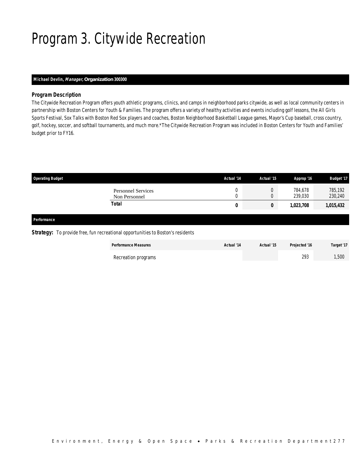# Program 3. Citywide Recreation

## *Michael Devlin, Manager, Organization 300300*

## *Program Description*

The Citywide Recreation Program offers youth athletic programs, clinics, and camps in neighborhood parks citywide, as well as local community centers in partnership with Boston Centers for Youth & Families. The program offers a variety of healthy activities and events including golf lessons, the All Girls Sports Festival, Sox Talks with Boston Red Sox players and coaches, Boston Neighborhood Basketball League games, Mayor's Cup baseball, cross country, golf, hockey, soccer, and softball tournaments, and much more.\*The Citywide Recreation Program was included in Boston Centers for Youth and Families' budget prior to FY16.

| <b>Operating Budget</b>                    | Actual '14 | Actual '15 | Approp '16         | <b>Budget '17</b>  |
|--------------------------------------------|------------|------------|--------------------|--------------------|
| <b>Personnel Services</b><br>Non Personnel |            |            | 784,678<br>239,030 | 785,192<br>230,240 |
| Total                                      | 0          | 0          | 1,023,708          | 1,015,432          |
|                                            |            |            |                    |                    |

## *Performance*

**Strategy:** To provide free, fun recreational opportunities to Boston's residents

| <b>Performance Measures</b> | Actual '14 | Actual '15 | <b>Projected '16</b> | Target '17 |
|-----------------------------|------------|------------|----------------------|------------|
| Recreation programs         |            |            | 293                  | 1,500      |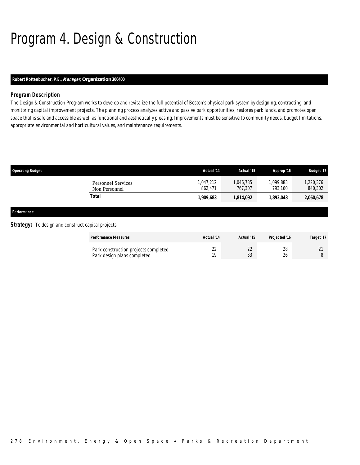# Program 4. Design & Construction

## *Robert Rottenbucher, P.E., Manager, Organization 300400*

## *Program Description*

The Design & Construction Program works to develop and revitalize the full potential of Boston's physical park system by designing, contracting, and monitoring capital improvement projects. The planning process analyzes active and passive park opportunities, restores park lands, and promotes open space that is safe and accessible as well as functional and aesthetically pleasing. Improvements must be sensitive to community needs, budget limitations, appropriate environmental and horticultural values, and maintenance requirements.

| <b>Operating Budget</b>                                    |                                            | Actual '14           | Actual '15           | Approp '16           | <b>Budget '17</b>    |
|------------------------------------------------------------|--------------------------------------------|----------------------|----------------------|----------------------|----------------------|
|                                                            | <b>Personnel Services</b><br>Non Personnel | 1,047,212<br>862,471 | 1,046,785<br>767,307 | 1,099,883<br>793,160 | 1,220,376<br>840,302 |
|                                                            | <b>Total</b>                               | 1,909,683            | 1,814,092            | 1,893,043            | 2,060,678            |
| Performance                                                |                                            |                      |                      |                      |                      |
| <b>Strategy:</b> To design and construct capital projects. |                                            |                      |                      |                      |                      |
|                                                            | <b>Performance Measures</b>                | Actual '14           | Actual '15           | Projected '16        | Target '17           |
|                                                            | Douly construction nucleate completed      | つつ                   | วว                   | ገՋ                   | 21                   |

Park construction projects completed  $\begin{array}{ccc} 22 & 22 & 28 & 21 \\ \text{Park design plans completed} & 19 & 33 & 26 \end{array}$ Park design plans completed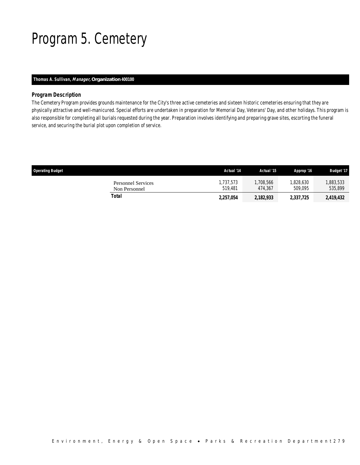## Program 5. Cemetery

## *Thomas A. Sullivan, Manager, Organization 400100*

## *Program Description*

The Cemetery Program provides grounds maintenance for the City's three active cemeteries and sixteen historic cemeteries ensuring that they are physically attractive and well-manicured. Special efforts are undertaken in preparation for Memorial Day, Veterans' Day, and other holidays. This program is also responsible for completing all burials requested during the year. Preparation involves identifying and preparing grave sites, escorting the funeral service, and securing the burial plot upon completion of service.

| <b>Operating Budget</b>                    | Actual '14          | Actual '15          | Approp '16          | <b>Budget '17</b>   |
|--------------------------------------------|---------------------|---------------------|---------------------|---------------------|
| <b>Personnel Services</b><br>Non Personnel | .737.573<br>519,481 | .708.566<br>474.367 | .828.630<br>509.095 | ,883,533<br>535,899 |
| Total                                      | 2,257,054           | 2,182,933           | 2,337,725           | 2,419,432           |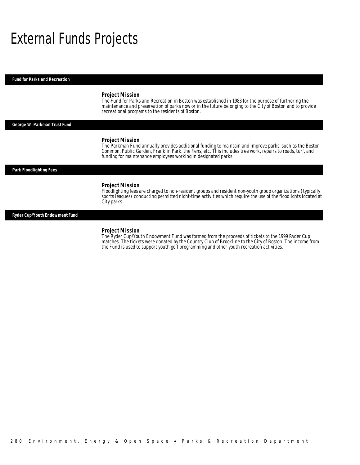## External Funds Projects

*Fund for Parks and Recreation* 

#### *Project Mission*

The Fund for Parks and Recreation in Boston was established in 1983 for the purpose of furthering the maintenance and preservation of parks now or in the future belonging to the City of Boston and to provide recreational programs to the residents of Boston.

## *George W. Parkman Trust Fund*

#### *Project Mission*

The Parkman Fund annually provides additional funding to maintain and improve parks, such as the Boston Common, Public Garden, Franklin Park, the Fens, etc. This includes tree work, repairs to roads, turf, and funding for maintenance employees working in designated parks.

#### *Park Floodlighting Fees*

#### *Project Mission*

Floodlighting fees are charged to non-resident groups and resident non-youth group organizations (typically sports leagues) conducting permitted night-time activities which require the use of the floodlights located at City parks.

*Ryder Cup/Youth Endowment Fund* 

#### *Project Mission*

The Ryder Cup/Youth Endowment Fund was formed from the proceeds of tickets to the 1999 Ryder Cup matches. The tickets were donated by the Country Club of Brookline to the City of Boston. The income from the Fund is used to support youth golf programming and other youth recreation activities.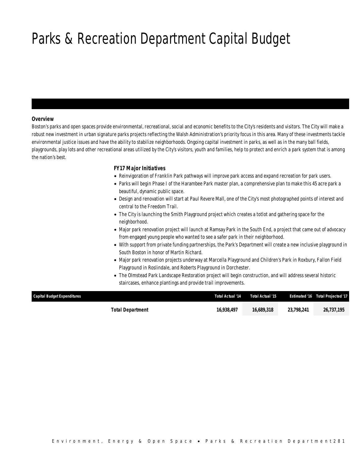## Parks & Recreation Department Capital Budget

## *Overview*

Boston's parks and open spaces provide environmental, recreational, social and economic benefits to the City's residents and visitors. The City will make a robust new investment in urban signature parks projects reflecting the Walsh Administration's priority focus in this area. Many of these investments tackle environmental justice issues and have the ability to stabilize neighborhoods. Ongoing capital investment in parks, as well as in the many ball fields, playgrounds, play lots and other recreational areas utilized by the City's visitors, youth and families, help to protect and enrich a park system that is among the nation's best.

## *FY17 Major Initiatives*

- Reinvigoration of Franklin Park pathways will improve park access and expand recreation for park users.
- Parks will begin Phase I of the Harambee Park master plan, a comprehensive plan to make this 45 acre park a beautiful, dynamic public space.
- Design and renovation will start at Paul Revere Mall, one of the City's most photographed points of interest and central to the Freedom Trail.
- The City is launching the Smith Playground project which creates a totlot and gathering space for the neighborhood.
- Major park renovation project will launch at Ramsay Park in the South End, a project that came out of advocacy from engaged young people who wanted to see a safer park in their neighborhood.
- With support from private funding partnerships, the Park's Department will create a new inclusive playground in South Boston in honor of Martin Richard.
- Major park renovation projects underway at Marcella Playground and Children's Park in Roxbury, Fallon Field Playground in Roslindale, and Roberts Playground in Dorchester.
- The Olmstead Park Landscape Restoration project will begin construction, and will address several historic staircases, enhance plantings and provide trail improvements.

| Capital Budget Expenditures | Total Actual '14 | Total Actual '15 |            | <b>Estimated '16 Total Projected '17</b> |
|-----------------------------|------------------|------------------|------------|------------------------------------------|
| <b>Total Department</b>     | 16,938,497       | 16,689,318       | 23,798,241 | 26.737.195                               |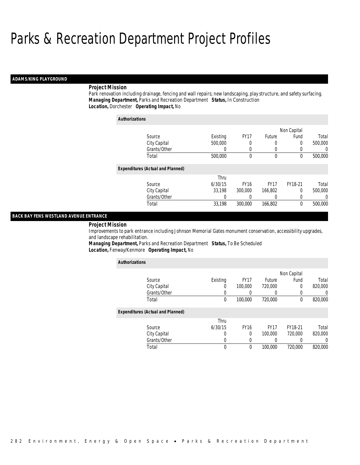## *ADAMS/KING PLAYGROUND*

### *Project Mission*

Park renovation including drainage, fencing and wall repairs; new landscaping, play structure, and safety surfacing. *Managing Department,* Parks and Recreation Department *Status,* In Construction*Location,* Dorchester *Operating Impact,* No

| <b>Authorizations</b>                    |          |             |             |             |                  |
|------------------------------------------|----------|-------------|-------------|-------------|------------------|
|                                          |          |             |             | Non Capital |                  |
| Source                                   | Existing | <b>FY17</b> | Future      | Fund        | Total            |
| City Capital                             | 500,000  | 0           | 0           | 0           | 500,000          |
| Grants/Other                             | 0        | 0           | 0           | 0           | $\left( \right)$ |
| Total                                    | 500,000  | 0           | $\mathbf 0$ | 0           | 500,000          |
| <b>Expenditures (Actual and Planned)</b> |          |             |             |             |                  |
|                                          | Thru     |             |             |             |                  |
| Source                                   | 6/30/15  | <b>FY16</b> | <b>FY17</b> | FY18-21     | Total            |
| City Capital                             | 33.198   | 300,000     | 166,802     | $\Omega$    | 500,000          |
| Grants/Other                             | 0        | 0           | 0           | 0           | 0                |
| Total                                    | 33,198   | 300,000     | 166,802     | $\theta$    | 500,000          |

### *BACK BAY FENS WESTLAND AVENUE ENTRANCE*

#### *Project Mission*

Improvements to park entrance including Johnson Memorial Gates monument conservation, accessibility upgrades, and landscape rehabilitation.

*Managing Department,* Parks and Recreation Department *Status,* To Be Scheduled*Location,* Fenway/Kenmore *Operating Impact,* No

| <b>Authorizations</b>                    |          |             |             |             |                  |
|------------------------------------------|----------|-------------|-------------|-------------|------------------|
|                                          |          |             |             | Non Capital |                  |
| Source                                   | Existing | <b>FY17</b> | Future      | Fund        | Total            |
| City Capital                             | 0        | 100,000     | 720,000     | 0           | 820,000          |
| Grants/Other                             |          |             |             | 0           | $\left( \right)$ |
| Total                                    | 0        | 100,000     | 720,000     | $\theta$    | 820,000          |
| <b>Expenditures (Actual and Planned)</b> |          |             |             |             |                  |
|                                          | Thru     |             |             |             |                  |
| Source                                   | 6/30/15  | <b>FY16</b> | <b>FY17</b> | FY18-21     | Total            |
| City Capital                             | 0        | $\Omega$    | 100,000     | 720,000     | 820,000          |
| Grants/Other                             | 0        |             |             | 0           | $\left( \right)$ |
| Total                                    | 0        | $\theta$    | 100,000     | 720,000     | 820,000          |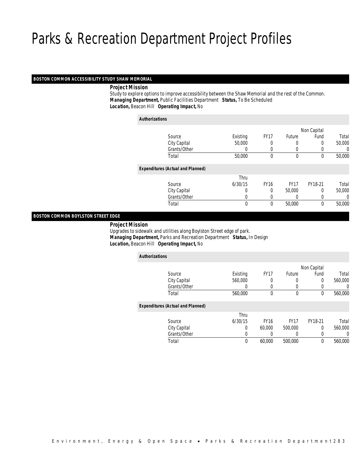#### *BOSTON COMMON ACCESSIBILITY STUDY SHAW MEMORIAL*

*Project Mission*

 Study to explore options to improve accessibility between the Shaw Memorial and the rest of the Common. *Managing Department,* Public Facilities Department *Status,* To Be Scheduled*Location,* Beacon Hill *Operating Impact,* No

| <b>Authorizations</b>                    |          |             |             |             |        |
|------------------------------------------|----------|-------------|-------------|-------------|--------|
|                                          |          |             |             | Non Capital |        |
| Source                                   | Existing | <b>FY17</b> | Future      | Fund        | Total  |
| City Capital                             | 50,000   | 0           | 0           | 0           | 50,000 |
| Grants/Other                             | 0        | 0           | 0           |             | 0      |
| Total                                    | 50,000   | $\theta$    | $\theta$    | $\theta$    | 50,000 |
| <b>Expenditures (Actual and Planned)</b> |          |             |             |             |        |
|                                          | Thru     |             |             |             |        |
| Source                                   | 6/30/15  | <b>FY16</b> | <b>FY17</b> | FY18-21     | Total  |
| City Capital                             | 0        | 0           | 50,000      | 0           | 50,000 |
| Grants/Other                             | 0        | 0           | 0           | 0           | 0      |
| Total                                    | 0        | 0           | 50,000      | $\mathbf 0$ | 50,000 |

## *BOSTON COMMON BOYLSTON STREET EDGE*

*Project Mission*

 Upgrades to sidewalk and utilities along Boylston Street edge of park. *Managing Department,* Parks and Recreation Department *Status,* In Design*Location,* Beacon Hill *Operating Impact,* No

| <b>Authorizations</b>                    |          |             |             |             |         |
|------------------------------------------|----------|-------------|-------------|-------------|---------|
|                                          |          |             |             | Non Capital |         |
| Source                                   | Existing | <b>FY17</b> | Future      | Fund        | Total   |
| City Capital                             | 560,000  | 0           | 0           | 0           | 560,000 |
| Grants/Other                             | 0        | 0           | 0           |             | 0       |
| Total                                    | 560,000  | $\mathbf 0$ | $\mathbf 0$ | 0           | 560,000 |
| <b>Expenditures (Actual and Planned)</b> |          |             |             |             |         |
|                                          | Thru     |             |             |             |         |
| Source                                   | 6/30/15  | <b>FY16</b> | <b>FY17</b> | FY18-21     | Total   |
| City Capital                             | 0        | 60,000      | 500,000     | 0           | 560,000 |
| Grants/Other                             | 0        |             |             | 0           | 0       |
| Total                                    | 0        | 60.000      | 500,000     | 0           | 560,000 |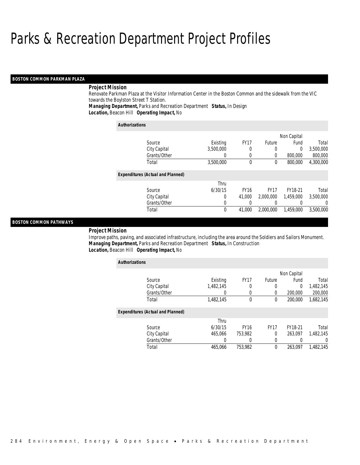### *BOSTON COMMON PARKMAN PLAZA*

## *Project Mission*

Renovate Parkman Plaza at the Visitor Information Center in the Boston Common and the sidewalk from the VIC towards the Boylston Street T Station.

*Managing Department,* Parks and Recreation Department *Status,* In Design*Location,* Beacon Hill *Operating Impact,* No

| <b>Authorizations</b>                    |           |             |             |             |           |  |  |
|------------------------------------------|-----------|-------------|-------------|-------------|-----------|--|--|
|                                          |           |             |             | Non Capital |           |  |  |
| Source                                   | Existing  | <b>FY17</b> | Future      | Fund        | Total     |  |  |
| City Capital                             | 3,500,000 | 0           | 0           | $\theta$    | 3,500,000 |  |  |
| Grants/Other                             |           | 0           | 0           | 800,000     | 800,000   |  |  |
| Total                                    | 3,500,000 | $\theta$    | $\theta$    | 800,000     | 4.300.000 |  |  |
| <b>Expenditures (Actual and Planned)</b> |           |             |             |             |           |  |  |
|                                          | Thru      |             |             |             |           |  |  |
| Source                                   | 6/30/15   | <b>FY16</b> | <b>FY17</b> | FY18-21     | Total     |  |  |
| City Capital                             | 0         | 41,000      | 2,000,000   | 1.459.000   | 3.500.000 |  |  |
| Grants/Other                             | 0         |             |             | 0           | $\left($  |  |  |
| Total                                    | 0         | 41,000      | 2.000.000   | 1.459.000   | 3,500,000 |  |  |

### *BOSTON COMMON PATHWAYS*

#### *Project Mission*

Improve paths, paving, and associated infrastructure, including the area around the Soldiers and Sailors Monument. *Managing Department,* Parks and Recreation Department *Status,* In Construction*Location,* Beacon Hill *Operating Impact,* No

| <b>Authorizations</b>                    |           |             |             |             |           |
|------------------------------------------|-----------|-------------|-------------|-------------|-----------|
|                                          |           |             |             | Non Capital |           |
| Source                                   | Existing  | <b>FY17</b> | Future      | Fund        | Total     |
| City Capital                             | 1,482,145 | 0           | 0           | $\Omega$    | 1,482,145 |
| Grants/Other                             | 0         | 0           | 0           | 200,000     | 200,000   |
| Total                                    | 1,482,145 | 0           | 0           | 200,000     | 1,682,145 |
| <b>Expenditures (Actual and Planned)</b> |           |             |             |             |           |
|                                          | Thru      |             |             |             |           |
| Source                                   | 6/30/15   | <b>FY16</b> | <b>FY17</b> | FY18-21     | Total     |
| City Capital                             | 465.066   | 753.982     | 0           | 263.097     | 1.482.145 |
| Grants/Other                             | 0         | 0           | 0           |             | 0         |
| Total                                    | 465.066   | 753.982     | 0           | 263.097     | 1.482.145 |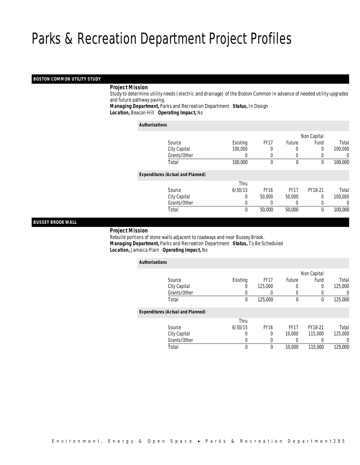## *BOSTON COMMON UTILITY STUDY*

### *Project Mission*

 Study to determine utility needs (electric and drainage) of the Boston Common in advance of needed utility upgrades and future pathway paving.

*Managing Department,* Parks and Recreation Department *Status,* In Design*Location,* Beacon Hill *Operating Impact,* No

#### *Authorizations*

*Authorizations*

|                                          |             |             |               | Non Capital |         |
|------------------------------------------|-------------|-------------|---------------|-------------|---------|
| Source                                   | Existing    | <b>FY17</b> | <b>Future</b> | Fund        | Total   |
| City Capital                             | 100,000     |             |               | 0           | 100,000 |
| Grants/Other                             | 0           |             |               |             | 0       |
| Total                                    | 100,000     | 0           | $\mathbf 0$   | 0           | 100,000 |
| <b>Expenditures (Actual and Planned)</b> |             |             |               |             |         |
|                                          | Thru        |             |               |             |         |
| Source                                   | 6/30/15     | <b>FY16</b> | <b>FY17</b>   | FY18-21     | Total   |
| City Capital                             | 0           | 50,000      | 50,000        | $\Omega$    | 100,000 |
| Grants/Other                             | 0           |             | $\left($      | 0           | 0       |
| Total                                    | $\mathbf 0$ | 50,000      | 50,000        | $\theta$    | 100,000 |
|                                          |             |             |               |             |         |

### *BUSSEY BROOK WALL*

*Project Mission*

 Rebuild portions of stone walls adjacent to roadways and near Bussey Brook. *Managing Department,* Parks and Recreation Department *Status,* To Be Scheduled*Location,* Jamaica Plain *Operating Impact,* No

| AUUIVIIZAUVIIS                           |          |             |             |             |         |
|------------------------------------------|----------|-------------|-------------|-------------|---------|
|                                          |          |             |             | Non Capital |         |
| Source                                   | Existing | <b>FY17</b> | Future      | Fund        | Total   |
| City Capital                             | $\left($ | 125,000     | 0           | 0           | 125,000 |
| Grants/Other                             |          |             | 0           |             | 0       |
| Total                                    | 0        | 125,000     | 0           | 0           | 125,000 |
| <b>Expenditures (Actual and Planned)</b> |          |             |             |             |         |
|                                          | Thru     |             |             |             |         |
| Source                                   | 6/30/15  | <b>FY16</b> | <b>FY17</b> | FY18-21     | Total   |
| City Capital                             | 0        | 0           | 10,000      | 115,000     | 125,000 |
| Grants/Other                             | $\Omega$ |             |             |             | 0       |
| Total                                    | 0        | 0           | 10,000      | 115,000     | 125,000 |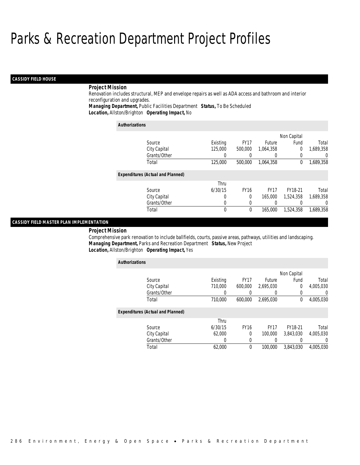### *CASSIDY FIELD HOUSE*

## *Project Mission*

Renovation includes structural, MEP and envelope repairs as well as ADA access and bathroom and interior reconfiguration and upgrades.

*Managing Department,* Public Facilities Department *Status,* To Be Scheduled*Location,* Allston/Brighton *Operating Impact,* No

| <b>Authorizations</b>                    |          |             |             |                |                  |
|------------------------------------------|----------|-------------|-------------|----------------|------------------|
|                                          |          |             |             | Non Capital    |                  |
| Source                                   | Existing | <b>FY17</b> | Future      | Fund           | Total            |
| City Capital                             | 125,000  | 500,000     | 1,064,358   | $\overline{0}$ | 1,689,358        |
| Grants/Other                             | 0        |             |             | 0              | 0                |
| Total                                    | 125,000  | 500,000     | 1.064.358   | $\theta$       | 1,689,358        |
| <b>Expenditures (Actual and Planned)</b> |          |             |             |                |                  |
|                                          | Thru     |             |             |                |                  |
| Source                                   | 6/30/15  | <b>FY16</b> | <b>FY17</b> | FY18-21        | Total            |
| City Capital                             | 0        | 0           | 165,000     | 1.524.358      | 1.689.358        |
| Grants/Other                             | 0        | 0           |             |                | $\left( \right)$ |
| Total                                    | 0        | 0           | 165,000     | 1.524.358      | 1.689.358        |

### *CASSIDY FIELD MASTER PLAN IMPLEMENTATION*

#### *Project Mission*

Comprehensive park renovation to include ballfields, courts, passive areas, pathways, utilities and landscaping. *Managing Department,* Parks and Recreation Department *Status,* New Project*Location,* Allston/Brighton *Operating Impact,* Yes

| <b>Authorizations</b>                    |          |             |             |                |           |
|------------------------------------------|----------|-------------|-------------|----------------|-----------|
|                                          |          |             |             | Non Capital    |           |
| Source                                   | Existing | <b>FY17</b> | Future      | Fund           | Total     |
| City Capital                             | 710.000  | 600.000     | 2.695.030   | $\overline{0}$ | 4,005,030 |
| Grants/Other                             | 0        |             | 0           | 0              | 0         |
| Total                                    | 710,000  | 600,000     | 2.695.030   | $\theta$       | 4,005,030 |
| <b>Expenditures (Actual and Planned)</b> |          |             |             |                |           |
|                                          | Thru     |             |             |                |           |
| Source                                   | 6/30/15  | <b>FY16</b> | <b>FY17</b> | FY18-21        | Total     |
| City Capital                             | 62.000   | 0           | 100,000     | 3.843.030      | 4,005,030 |
| Grants/Other                             | 0        | 0           | 0           | 0              | 0         |
| Total                                    | 62.000   | 0           | 100,000     | 3.843.030      | 4.005.030 |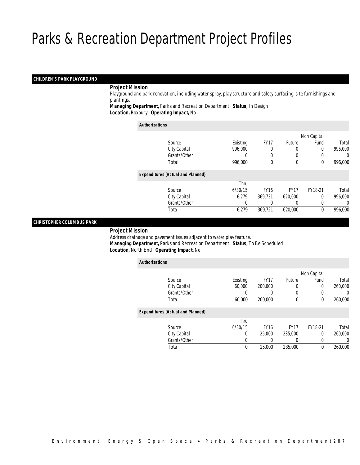## *CHILDREN'S PARK PLAYGROUND*

### *Project Mission*

 Playground and park renovation, including water spray, play structure and safety surfacing, site furnishings and plantings.

*Managing Department,* Parks and Recreation Department *Status,* In Design*Location,* Roxbury *Operating Impact,* No

#### *Authorizations*

|                                          |          |             |               | Non Capital |         |
|------------------------------------------|----------|-------------|---------------|-------------|---------|
| Source                                   | Existing | <b>FY17</b> | <b>Future</b> | Fund        | Total   |
| City Capital                             | 996,000  |             | 0             | 0           | 996,000 |
| Grants/Other                             | 0        | 0           | $\left($      | 0           | 0       |
| Total                                    | 996,000  | $\theta$    | $\mathbf 0$   | 0           | 996,000 |
| <b>Expenditures (Actual and Planned)</b> |          |             |               |             |         |
|                                          | Thru     |             |               |             |         |
| Source                                   | 6/30/15  | <b>FY16</b> | <b>FY17</b>   | FY18-21     | Total   |
| City Capital                             | 6.279    | 369.721     | 620,000       | $\Omega$    | 996,000 |
| Grants/Other                             | 0        |             | $\left($      | 0           | 0       |
| Total                                    | 6,279    | 369,721     | 620,000       | $\theta$    | 996,000 |
|                                          |          |             |               |             |         |

## *CHRISTOPHER COLUMBUS PARK*

*Project Mission*

 Address drainage and pavement issues adjacent to water play feature. *Managing Department,* Parks and Recreation Department *Status,* To Be Scheduled*Location,* North End *Operating Impact,* No

| <b>Authorizations</b>                    |          |             |             |             |         |
|------------------------------------------|----------|-------------|-------------|-------------|---------|
|                                          |          |             |             | Non Capital |         |
| Source                                   | Existing | <b>FY17</b> | Future      | Fund        | Total   |
| City Capital                             | 60,000   | 200,000     | 0           | 0           | 260,000 |
| Grants/Other                             |          |             | $\left($    |             | 0       |
| Total                                    | 60,000   | 200,000     | $\mathbf 0$ | $\mathbf 0$ | 260,000 |
| <b>Expenditures (Actual and Planned)</b> |          |             |             |             |         |
|                                          | Thru     |             |             |             |         |
| Source                                   | 6/30/15  | <b>FY16</b> | <b>FY17</b> | FY18-21     | Total   |
| City Capital                             | 0        | 25,000      | 235,000     | $\Omega$    | 260,000 |
| Grants/Other                             | 0        |             |             | 0           | 0       |
| Total                                    | 0        | 25,000      | 235,000     | $\theta$    | 260,000 |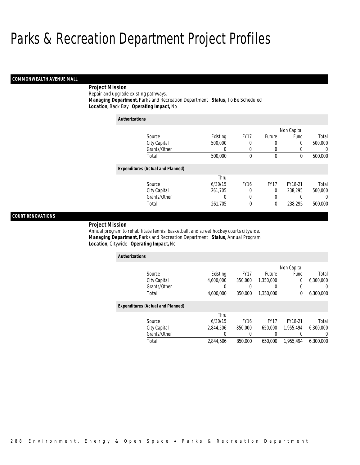### *COMMONWEALTH AVENUE MALL*

## *Project Mission*

Repair and upgrade existing pathways.*Managing Department,* Parks and Recreation Department *Status,* To Be Scheduled

*Location,* Back Bay *Operating Impact,* No

| <b>Authorizations</b> |                                          |          |             |             |             |         |
|-----------------------|------------------------------------------|----------|-------------|-------------|-------------|---------|
|                       |                                          |          |             |             | Non Capital |         |
|                       | Source                                   | Existing | <b>FY17</b> | Future      | Fund        | Total   |
|                       | City Capital                             | 500,000  | 0           | 0           | 0           | 500,000 |
|                       | Grants/Other                             | 0        | 0           | 0           | 0           | 0       |
|                       | Total                                    | 500,000  | 0           | $\mathbf 0$ | 0           | 500,000 |
|                       | <b>Expenditures (Actual and Planned)</b> |          |             |             |             |         |
|                       |                                          | Thru     |             |             |             |         |
|                       | Source                                   | 6/30/15  | <b>FY16</b> | <b>FY17</b> | FY18-21     | Total   |
|                       | City Capital                             | 261,705  | 0           | 0           | 238.295     | 500,000 |
|                       | Grants/Other                             | 0        | $\Omega$    | 0           | 0           | 0       |
|                       | Total                                    | 261,705  | 0           | 0           | 238,295     | 500,000 |

### *COURT RENOVATIONS*

#### *Project Mission*

Annual program to rehabilitate tennis, basketball, and street hockey courts citywide. *Managing Department,* Parks and Recreation Department *Status,* Annual Program*Location,* Citywide *Operating Impact,* No

| <b>Authorizations</b>                    |           |                  |                  |             |                  |
|------------------------------------------|-----------|------------------|------------------|-------------|------------------|
|                                          |           |                  |                  | Non Capital |                  |
| Source                                   | Existing  | FY <sub>17</sub> | <b>Future</b>    | Fund        | Total            |
| City Capital                             | 4.600.000 | 350,000          | 1.350.000        | 0           | 6,300,000        |
| Grants/Other                             |           |                  | $\left( \right)$ | 0           | $\left( \right)$ |
| Total                                    | 4,600,000 | 350,000          | 1,350,000        | 0           | 6,300,000        |
| <b>Expenditures (Actual and Planned)</b> |           |                  |                  |             |                  |
|                                          | Thru      |                  |                  |             |                  |
| Source                                   | 6/30/15   | <b>FY16</b>      | <b>FY17</b>      | FY18-21     | Total            |
| City Capital                             | 2.844.506 | 850,000          | 650,000          | 1.955.494   | 6,300,000        |
| Grants/Other                             | 0         |                  |                  |             | 0                |
| Total                                    | 2.844.506 | 850,000          | 650,000          | 1.955.494   | 6.300.000        |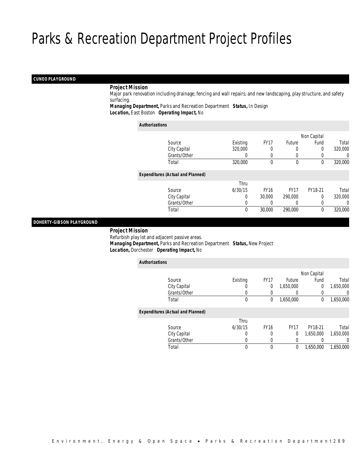### *CUNEO PLAYGROUND*

### *Project Mission*

 Major park renovation including drainage; fencing and wall repairs; and new landscaping, play structure, and safety surfacing.

*Managing Department,* Parks and Recreation Department *Status,* In Design*Location,* East Boston *Operating Impact,* No

| Authorizations |
|----------------|
|----------------|

|                                          |          |             |               | Non Capital |         |
|------------------------------------------|----------|-------------|---------------|-------------|---------|
| Source                                   | Existing | <b>FY17</b> | <b>Future</b> | Fund        | Total   |
| City Capital                             | 320,000  |             | 0             | 0           | 320,000 |
| Grants/Other                             | 0        | 0           | $\left($      |             | 0       |
| Total                                    | 320,000  | $\theta$    | $\mathbf 0$   | 0           | 320,000 |
| <b>Expenditures (Actual and Planned)</b> |          |             |               |             |         |
|                                          | Thru     |             |               |             |         |
| Source                                   | 6/30/15  | <b>FY16</b> | <b>FY17</b>   | FY18-21     | Total   |
| City Capital                             | 0        | 30,000      | 290,000       | 0           | 320,000 |
| Grants/Other                             | 0        |             | $\left($      |             | 0       |
| Total                                    | 0        | 30,000      | 290,000       | $\theta$    | 320,000 |
|                                          |          |             |               |             |         |

## *DOHERTY-GIBSON PLAYGROUND*

*Project Mission*

Refurbish play lot and adjacent passive areas.

*Managing Department,* Parks and Recreation Department *Status,* New Project

*Location,* Dorchester *Operating Impact,* No

| <b>Authorizations</b>                    |          |             |             |             |           |
|------------------------------------------|----------|-------------|-------------|-------------|-----------|
|                                          |          |             |             | Non Capital |           |
| Source                                   | Existing | <b>FY17</b> | Future      | Fund        | Total     |
| City Capital                             | U        | 0           | 1,650,000   | 0           | 1,650,000 |
| Grants/Other                             |          |             | 0           |             | 0         |
| Total                                    | 0        | 0           | 1,650,000   | 0           | 1,650,000 |
| <b>Expenditures (Actual and Planned)</b> |          |             |             |             |           |
|                                          | Thru     |             |             |             |           |
| Source                                   | 6/30/15  | <b>FY16</b> | <b>FY17</b> | FY18-21     | Total     |
| City Capital                             | 0        | 0           | 0           | 1.650.000   | 1,650,000 |
| Grants/Other                             | 0        | 0           | 0           |             | 0         |
| Total                                    | 0        | 0           | $\mathbf 0$ | 1.650.000   | 1.650.000 |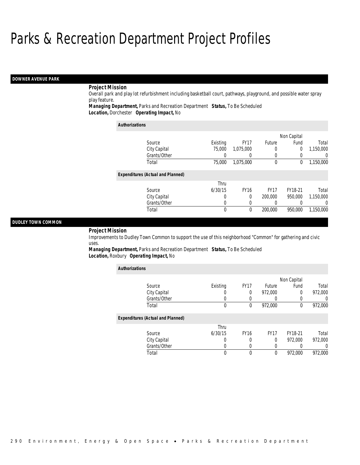#### *DOWNER AVENUE PARK*

## *Project Mission*

Overall park and play lot refurbishment including basketball court, pathways, playground, and possible water spray play feature.

*Managing Department,* Parks and Recreation Department *Status,* To Be Scheduled*Location,* Dorchester *Operating Impact,* No

| <b>Authorizations</b>                    |          |             |             |             |           |
|------------------------------------------|----------|-------------|-------------|-------------|-----------|
|                                          |          |             |             | Non Capital |           |
| Source                                   | Existing | <b>FY17</b> | Future      | Fund        | Total     |
| City Capital                             | 75,000   | 1,075,000   | 0           | 0           | 1,150,000 |
| Grants/Other                             |          |             |             | 0           | 0         |
| Total                                    | 75,000   | 1.075.000   | $\mathbf 0$ | $\mathbf 0$ | 1,150,000 |
| <b>Expenditures (Actual and Planned)</b> |          |             |             |             |           |
|                                          | Thru     |             |             |             |           |
| Source                                   | 6/30/15  | <b>FY16</b> | <b>FY17</b> | FY18-21     | Total     |
| City Capital                             | 0        | 0           | 200,000     | 950.000     | 1,150,000 |
| Grants/Other                             | 0        | 0           |             |             | $\left($  |
| Total                                    | 0        | 0           | 200,000     | 950,000     | 1.150.000 |

### *DUDLEY TOWN COMMON*

#### *Project Mission*

Improvements to Dudley Town Common to support the use of this neighborhood "Common" for gathering and civic uses.

*Managing Department,* Parks and Recreation Department *Status,* To Be Scheduled*Location,* Roxbury *Operating Impact,* No

|  | <b>Authorizations</b> |
|--|-----------------------|
|  |                       |

|                                          |              |          |             |             | Non Capital |         |
|------------------------------------------|--------------|----------|-------------|-------------|-------------|---------|
| Source                                   |              | Existing | <b>FY17</b> | Future      | Fund        | Total   |
| City Capital                             |              |          | 0           | 972,000     | 0           | 972,000 |
|                                          | Grants/Other | 0        | 0           | 0           |             |         |
| Total                                    |              | 0        | 0           | 972,000     | $\Omega$    | 972,000 |
| <b>Expenditures (Actual and Planned)</b> |              |          |             |             |             |         |
|                                          |              | Thru     |             |             |             |         |
| Source                                   |              | 6/30/15  | <b>FY16</b> | <b>FY17</b> | FY18-21     | Total   |
| City Capital                             |              | 0        | 0           | 0           | 972.000     | 972,000 |
|                                          | Grants/Other |          | $\Omega$    | 0           |             |         |
| Total                                    |              | 0        | 0           | $\theta$    | 972,000     | 972.000 |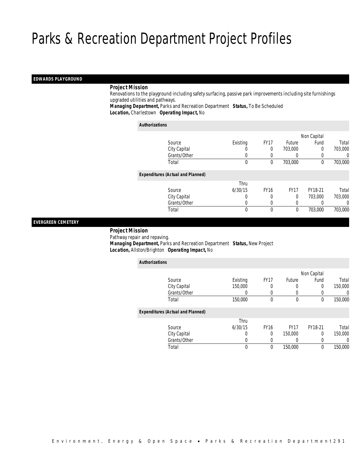## *EDWARDS PLAYGROUND*

### *Project Mission*

 Renovations to the playground including safety surfacing, passive park improvements including site furnishings upgraded utilities and pathways. *Managing Department,* Parks and Recreation Department *Status,* To Be Scheduled

*Location,* Charlestown *Operating Impact,* No

#### *Authorizations*

|                                          |          |             |               | Non Capital |         |
|------------------------------------------|----------|-------------|---------------|-------------|---------|
| Source                                   | Existing | <b>FY17</b> | <b>Future</b> | Fund        | Total   |
| City Capital                             |          | 0           | 703,000       | 0           | 703,000 |
| Grants/Other                             |          |             |               |             | 0       |
| Total                                    | 0        | $\theta$    | 703,000       | 0           | 703,000 |
| <b>Expenditures (Actual and Planned)</b> |          |             |               |             |         |
|                                          | Thru     |             |               |             |         |
| Source                                   | 6/30/15  | <b>FY16</b> | <b>FY17</b>   | FY18-21     | Total   |
| City Capital                             | 0        | 0           | 0             | 703,000     | 703,000 |
| Grants/Other                             | 0        |             |               |             | 0       |
| Total                                    | 0        | $\theta$    | $\theta$      | 703,000     | 703,000 |
|                                          |          |             |               |             |         |

## *EVERGREEN CEMETERY*

 *Project Mission* Pathway repair and repaving. *Managing Department,* Parks and Recreation Department *Status,* New Project*Location,* Allston/Brighton *Operating Impact,* No

| <b>Authorizations</b> |                                          |          |             |             |             |          |
|-----------------------|------------------------------------------|----------|-------------|-------------|-------------|----------|
|                       |                                          |          |             |             | Non Capital |          |
|                       | Source                                   | Existing | <b>FY17</b> | Future      | Fund        | Total    |
|                       | City Capital                             | 150,000  |             |             | $\Omega$    | 150,000  |
|                       | Grants/Other                             | 0        | 0           | 0           |             | $\Omega$ |
|                       | Total                                    | 150,000  | $\theta$    | $\theta$    | $\theta$    | 150,000  |
|                       | <b>Expenditures (Actual and Planned)</b> |          |             |             |             |          |
|                       |                                          | Thru     |             |             |             |          |
|                       | Source                                   | 6/30/15  | <b>FY16</b> | <b>FY17</b> | FY18-21     | Total    |
|                       | City Capital                             | 0        | 0           | 150,000     | $\Omega$    | 150,000  |
|                       | Grants/Other                             | $\left($ | 0           |             | 0           | $\Omega$ |
|                       | Total                                    | 0        | $\theta$    | 150,000     | $\theta$    | 150,000  |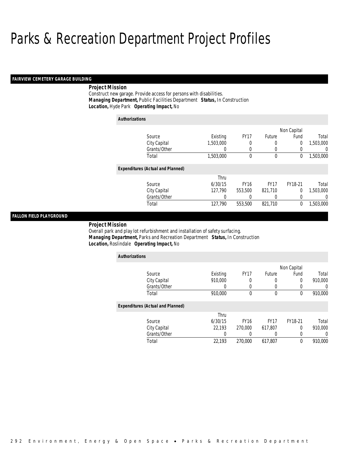## *FAIRVIEW CEMETERY GARAGE BUILDING*

### *Project Mission*

Construct new garage. Provide access for persons with disabilities. *Managing Department,* Public Facilities Department *Status,* In Construction*Location,* Hyde Park *Operating Impact,* No

| <b>Authorizations</b>                    |           |                  |             |                |           |
|------------------------------------------|-----------|------------------|-------------|----------------|-----------|
|                                          |           |                  |             | Non Capital    |           |
| Source                                   | Existing  | FY <sub>17</sub> | Future      | Fund           | Total     |
| City Capital                             | 1,503,000 | 0                | 0           | $\overline{0}$ | 1.503.000 |
| Grants/Other                             | 0         | 0                | $\Omega$    | $\Omega$       | 0         |
| Total                                    | 1,503,000 | 0                | 0           | 0              | 1,503,000 |
| <b>Expenditures (Actual and Planned)</b> |           |                  |             |                |           |
|                                          | Thru      |                  |             |                |           |
| Source                                   | 6/30/15   | <b>FY16</b>      | <b>FY17</b> | FY18-21        | Total     |
| City Capital                             | 127,790   | 553,500          | 821,710     | $\overline{0}$ | 1.503.000 |
| Grants/Other                             | 0         | 0                | 0           | $\Omega$       | 0         |
| Total                                    | 127,790   | 553,500          | 821,710     | 0              | 1,503,000 |

## *FALLON FIELD PLAYGROUND*

*Project Mission* 

Overall park and play lot refurbishment and installation of safety surfacing. *Managing Department,* Parks and Recreation Department *Status,* In Construction*Location,* Roslindale *Operating Impact,* No

| <b>Authorizations</b>                    |          |             |             |             |         |
|------------------------------------------|----------|-------------|-------------|-------------|---------|
|                                          |          |             |             | Non Capital |         |
| Source                                   | Existing | <b>FY17</b> | Future      | Fund        | Total   |
| City Capital                             | 910,000  |             | 0           | $\Omega$    | 910.000 |
| Grants/Other                             | 0        | 0           | 0           | $\Omega$    |         |
| Total                                    | 910,000  | $\theta$    | $\mathbf 0$ | 0           | 910,000 |
| <b>Expenditures (Actual and Planned)</b> |          |             |             |             |         |
|                                          | Thru     |             |             |             |         |
| Source                                   | 6/30/15  | <b>FY16</b> | <b>FY17</b> | FY18-21     | Total   |
| City Capital                             | 22.193   | 270,000     | 617,807     | $\Omega$    | 910,000 |
| Grants/Other                             |          |             | 0           | 0           |         |
| Total                                    | 22,193   | 270,000     | 617.807     | $\theta$    | 910,000 |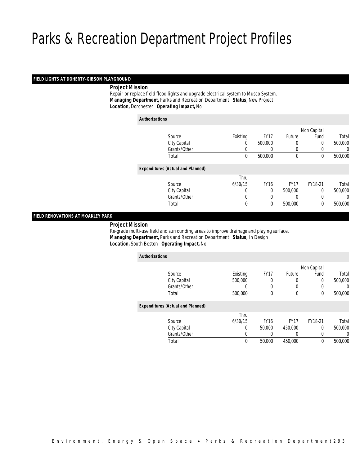## *FIELD LIGHTS AT DOHERTY-GIBSON PLAYGROUND*

*Project Mission*

 Repair or replace field flood lights and upgrade electrical system to Musco System. *Managing Department,* Parks and Recreation Department *Status,* New Project*Location,* Dorchester *Operating Impact,* No

> *Authorizations* Source **Existing** FY17 Future Non Capital Fund Total City Capital 0 500,000 0 0 500,000 Grants/Other 0 0 0 0 0 0 Total 0 500,000 0 0 500,000*Expenditures (Actual and Planned)* Source Thru 6/30/15 FY16 FY17 FY18-21 Total City Capital 0 0 500,000 0 500,000 Grants/Other 0 0 0 0 0 0 Total 0 0 500,000 0 500,000

### *FIELD RENOVATIONS AT MOAKLEY PARK*

#### *Project Mission*

 Re-grade multi-use field and surrounding areas to improve drainage and playing surface. *Managing Department,* Parks and Recreation Department *Status,* In Design*Location,* South Boston *Operating Impact,* No

| <b>Authorizations</b>                    |          |             |             |             |         |
|------------------------------------------|----------|-------------|-------------|-------------|---------|
|                                          |          |             |             | Non Capital |         |
| Source                                   | Existing | <b>FY17</b> | Future      | Fund        | Total   |
| City Capital                             | 500,000  | 0           | 0           | 0           | 500,000 |
| Grants/Other                             | 0        | 0           | 0           | 0           | 0       |
| Total                                    | 500,000  | $\theta$    | $\mathbf 0$ | 0           | 500,000 |
| <b>Expenditures (Actual and Planned)</b> |          |             |             |             |         |
|                                          | Thru     |             |             |             |         |
| Source                                   | 6/30/15  | <b>FY16</b> | <b>FY17</b> | FY18-21     | Total   |
| City Capital                             | 0        | 50,000      | 450,000     | 0           | 500,000 |
| Grants/Other                             | 0        | 0           |             | 0           | 0       |
| Total                                    | 0        | 50,000      | 450,000     | 0           | 500,000 |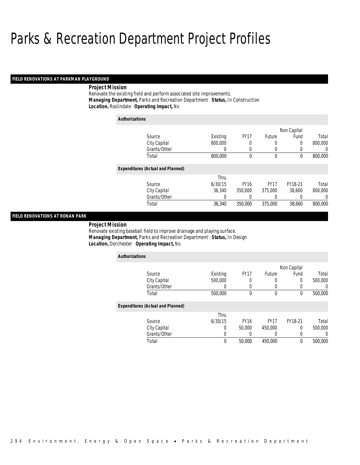## *FIELD RENOVATIONS AT PARKMAN PLAYGROUND*

### *Project Mission*

Renovate the existing field and perform associated site improvements. *Managing Department,* Parks and Recreation Department *Status,* In Construction*Location,* Roslindale *Operating Impact,* No

| <b>Authorizations</b>                    |          |             |             |             |                  |
|------------------------------------------|----------|-------------|-------------|-------------|------------------|
|                                          |          |             |             | Non Capital |                  |
| Source                                   | Existing | <b>FY17</b> | Future      | Fund        | Total            |
| City Capital                             | 800,000  | 0           | 0           | 0           | 800,000          |
| Grants/Other                             | 0        | 0           | 0           | 0           | $\left( \right)$ |
| Total                                    | 800,000  | 0           | $\mathbf 0$ | 0           | 800,000          |
| <b>Expenditures (Actual and Planned)</b> |          |             |             |             |                  |
|                                          | Thru     |             |             |             |                  |
| Source                                   | 6/30/15  | <b>FY16</b> | <b>FY17</b> | FY18-21     | Total            |
| City Capital                             | 36.340   | 350,000     | 375,000     | 38.660      | 800,000          |
| Grants/Other                             | 0        | 0           | 0           | 0           | $\left( \right)$ |
| Total                                    | 36,340   | 350,000     | 375,000     | 38,660      | 800,000          |

## *FIELD RENOVATIONS AT RONAN PARK*

*Project Mission* 

Renovate existing baseball field to improve drainage and playing surface. *Managing Department,* Parks and Recreation Department *Status,* In Design*Location,* Dorchester *Operating Impact,* No

| <b>Authorizations</b>                    |          |             |             |             |                  |
|------------------------------------------|----------|-------------|-------------|-------------|------------------|
|                                          |          |             |             | Non Capital |                  |
| Source                                   | Existing | <b>FY17</b> | Future      | Fund        | Total            |
| City Capital                             | 500,000  |             |             | 0           | 500,000          |
| Grants/Other                             | 0        | 0           | $\left($    | 0           | $\left( \right)$ |
| Total                                    | 500,000  | $\theta$    | $\mathbf 0$ | 0           | 500,000          |
| <b>Expenditures (Actual and Planned)</b> |          |             |             |             |                  |
|                                          | Thru     |             |             |             |                  |
| Source                                   | 6/30/15  | <b>FY16</b> | <b>FY17</b> | FY18-21     | Total            |
| City Capital                             | 0        | 50,000      | 450,000     | 0           | 500,000          |
| Grants/Other                             | U        |             |             | 0           | 0                |
| Total                                    | 0        | 50,000      | 450,000     | 0           | 500,000          |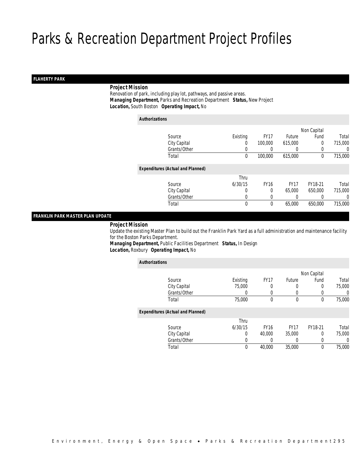### *FLAHERTY PARK*

## *Project Mission*

 Renovation of park, including play lot, pathways, and passive areas. *Managing Department,* Parks and Recreation Department *Status,* New Project*Location,* South Boston *Operating Impact,* No

| <b>Authorizations</b> |                                          |             |             |             |             |         |
|-----------------------|------------------------------------------|-------------|-------------|-------------|-------------|---------|
|                       |                                          |             |             |             | Non Capital |         |
|                       | Source                                   | Existing    | <b>FY17</b> | Future      | Fund        | Total   |
|                       | City Capital                             | $\left($    | 100,000     | 615,000     | $\Omega$    | 715,000 |
|                       | Grants/Other                             | 0           | 0           | 0           | 0           | 0       |
|                       | Total                                    | 0           | 100,000     | 615,000     | $\theta$    | 715,000 |
|                       | <b>Expenditures (Actual and Planned)</b> |             |             |             |             |         |
|                       |                                          | Thru        |             |             |             |         |
|                       | Source                                   | 6/30/15     | <b>FY16</b> | <b>FY17</b> | FY18-21     | Total   |
|                       | City Capital                             | 0           | 0           | 65,000      | 650,000     | 715,000 |
|                       | Grants/Other                             | 0           | $\left($    | 0           | 0           | 0       |
|                       | Total                                    | $\mathbf 0$ | $\mathbf 0$ | 65,000      | 650,000     | 715,000 |

## *FRANKLIN PARK MASTER PLAN UPDATE*

#### *Project Mission*

 Update the existing Master Plan to build out the Franklin Park Yard as a full administration and maintenance facility for the Boston Parks Department.

*Managing Department,* Public Facilities Department *Status,* In Design*Location,* Roxbury *Operating Impact,* No

| <b>Authorizations</b> |                                          |          |             |             |             |        |
|-----------------------|------------------------------------------|----------|-------------|-------------|-------------|--------|
|                       |                                          |          |             |             | Non Capital |        |
|                       | Source                                   | Existing | <b>FY17</b> | Future      | Fund        | Total  |
|                       | City Capital                             | 75,000   | 0           | 0           | $\Omega$    | 75,000 |
|                       | Grants/Other                             | 0        | 0           | 0           | 0           | 0      |
|                       | Total                                    | 75,000   | 0           | $\mathbf 0$ | $\mathbf 0$ | 75,000 |
|                       | <b>Expenditures (Actual and Planned)</b> |          |             |             |             |        |
|                       |                                          | Thru     |             |             |             |        |
|                       | Source                                   | 6/30/15  | <b>FY16</b> | <b>FY17</b> | FY18-21     | Total  |
|                       | City Capital                             | 0        | 40,000      | 35,000      | $\Omega$    | 75,000 |
|                       | Grants/Other                             | 0        | 0           | 0           | 0           | 0      |
|                       | Total                                    | 0        | 40,000      | 35,000      | $\theta$    | 75,000 |
|                       |                                          |          |             |             |             |        |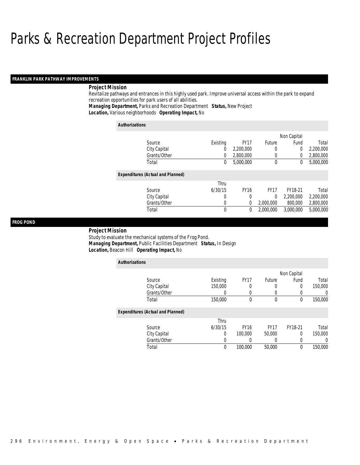#### *FRANKLIN PARK PATHWAY IMPROVEMENTS*

## *Project Mission*

Revitalize pathways and entrances in this highly used park. Improve universal access within the park to expand recreation opportunities for park users of all abilities.

*Managing Department,* Parks and Recreation Department *Status,* New Project

*Location,* Various neighborhoods *Operating Impact,* No

| <b>Authorizations</b>                    |          |              |              |                |           |
|------------------------------------------|----------|--------------|--------------|----------------|-----------|
|                                          |          |              |              | Non Capital    |           |
| Source                                   | Existing | <b>FY17</b>  | Future       | Fund           | Total     |
| City Capital                             | 0        | 2,200,000    | 0            | 0              | 2,200,000 |
| Grants/Other                             | 0        | 2,800,000    |              | $\overline{0}$ | 2,800,000 |
| Total                                    | 0        | 5,000,000    | $\mathbf{0}$ | 0              | 5,000,000 |
| <b>Expenditures (Actual and Planned)</b> |          |              |              |                |           |
|                                          | Thru     |              |              |                |           |
| Source                                   | 6/30/15  | <b>FY16</b>  | <b>FY17</b>  | FY18-21        | Total     |
| City Capital                             | 0        | 0            | $\Omega$     | 2,200,000      | 2,200,000 |
| Grants/Other                             | 0        | $\theta$     | 2,000,000    | 800,000        | 2,800,000 |
| Total                                    | 0        | $\mathbf{0}$ | 2.000.000    | 3.000.000      | 5,000,000 |

### *FROG POND*

#### *Project Mission*

Study to evaluate the mechanical systems of the Frog Pond. *Managing Department,* Public Facilities Department *Status,* In Design*Location,* Beacon Hill *Operating Impact,* No

| <b>Authorizations</b>                    |          |             |                  |             |         |
|------------------------------------------|----------|-------------|------------------|-------------|---------|
|                                          |          |             |                  | Non Capital |         |
| Source                                   | Existing | <b>FY17</b> | Future           | Fund        | Total   |
| City Capital                             | 150,000  | 0           | $\left($         | 0           | 150,000 |
| Grants/Other                             | 0        | 0           |                  | 0           | 0       |
| Total                                    | 150,000  | 0           | $\theta$         | 0           | 150,000 |
| <b>Expenditures (Actual and Planned)</b> |          |             |                  |             |         |
|                                          | Thru     |             |                  |             |         |
| Source                                   | 6/30/15  | <b>FY16</b> | FY <sub>17</sub> | FY18-21     | Total   |
| City Capital                             | 0        | 100,000     | 50,000           | 0           | 150,000 |
| Grants/Other                             | 0        | 0           |                  | 0           | 0       |
| Total                                    | 0        | 100,000     | 50,000           | 0           | 150,000 |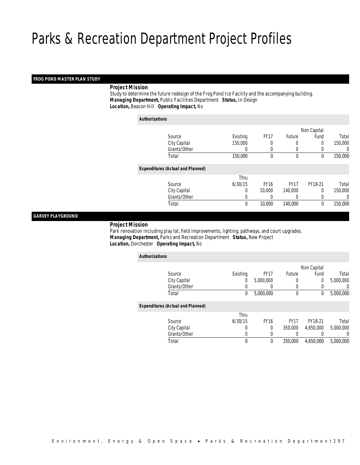## *FROG POND MASTER PLAN STUDY*

### *Project Mission*

 Study to determine the future redesign of the Frog Pond Ice Facility and the accompanying building. *Managing Department,* Public Facilities Department *Status,* In Design*Location,* Beacon Hill *Operating Impact,* No

| <b>Authorizations</b> |                                          |          |             |             |              |         |
|-----------------------|------------------------------------------|----------|-------------|-------------|--------------|---------|
|                       |                                          |          |             |             | Non Capital  |         |
|                       | Source                                   | Existing | <b>FY17</b> | Future      | Fund         | Total   |
|                       | City Capital                             | 150,000  | 0           | 0           | 0            | 150,000 |
|                       | Grants/Other                             |          | 0           | $\Omega$    | 0            | 0       |
|                       | Total                                    | 150,000  | $\Omega$    | $\mathbf 0$ | $\mathbf{0}$ | 150,000 |
|                       | <b>Expenditures (Actual and Planned)</b> |          |             |             |              |         |
|                       |                                          | Thru     |             |             |              |         |
|                       | Source                                   | 6/30/15  | <b>FY16</b> | <b>FY17</b> | FY18-21      | Total   |
|                       | City Capital                             | 0        | 10,000      | 140,000     | 0            | 150,000 |
|                       | Grants/Other                             |          | 0           | 0           | 0            | 0       |
|                       | Total                                    | $\theta$ | 10,000      | 140,000     | $\Omega$     | 150,000 |

## *GARVEY PLAYGROUND*

#### *Project Mission*

 Park renovation including play lot, field improvements, lighting, pathways, and court upgrades. *Managing Department,* Parks and Recreation Department *Status,* New Project*Location,* Dorchester *Operating Impact,* No

| <b>Authorizations</b>                    |          |             |              |             |                  |
|------------------------------------------|----------|-------------|--------------|-------------|------------------|
|                                          |          |             |              | Non Capital |                  |
| Source                                   | Existing | <b>FY17</b> | Future       | Fund        | Total            |
| City Capital                             | $\left($ | 5,000,000   | 0            | $\Omega$    | 5,000,000        |
| Grants/Other                             | 0        | 0           | 0            |             | $\left( \right)$ |
| Total                                    | 0        | 5,000,000   | $\mathbf{0}$ | $\mathbf 0$ | 5,000,000        |
| <b>Expenditures (Actual and Planned)</b> |          |             |              |             |                  |
|                                          | Thru     |             |              |             |                  |
| Source                                   | 6/30/15  | <b>FY16</b> | <b>FY17</b>  | FY18-21     | Total            |
| City Capital                             | 0        | 0           | 350,000      | 4,650,000   | 5,000,000        |
| Grants/Other                             | 0        | 0           | 0            |             | 0                |
| Total                                    | 0        | 0           | 350,000      | 4,650,000   | 5,000,000        |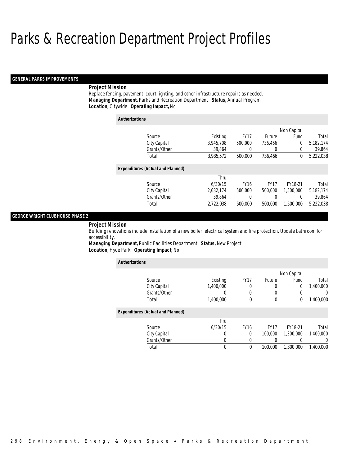#### *GENERAL PARKS IMPROVEMENTS*

### *Project Mission*

Replace fencing, pavement, court lighting, and other infrastructure repairs as needed. *Managing Department,* Parks and Recreation Department *Status,* Annual Program*Location,* Citywide *Operating Impact,* No

| <b>Authorizations</b>                    |           |             |             |             |           |
|------------------------------------------|-----------|-------------|-------------|-------------|-----------|
|                                          |           |             |             | Non Capital |           |
| Source                                   | Existing  | <b>FY17</b> | Future      | Fund        | Total     |
| City Capital                             | 3.945.708 | 500,000     | 736.466     | 0           | 5.182.174 |
| Grants/Other                             | 39.864    | 0           | 0           | $\left($    | 39,864    |
| Total                                    | 3,985,572 | 500,000     | 736.466     | 0           | 5,222,038 |
| <b>Expenditures (Actual and Planned)</b> |           |             |             |             |           |
|                                          | Thru      |             |             |             |           |
| Source                                   | 6/30/15   | <b>FY16</b> | <b>FY17</b> | FY18-21     | Total     |
| City Capital                             | 2.682.174 | 500,000     | 500,000     | 1.500.000   | 5,182,174 |
| Grants/Other                             | 39,864    | 0           | 0           | 0           | 39,864    |
| Total                                    | 2,722,038 | 500,000     | 500,000     | 1.500.000   | 5,222,038 |

### *GEORGE WRIGHT CLUBHOUSE PHASE 2*

#### *Project Mission*

Building renovations include installation of a new boiler, electrical system and fire protection. Update bathroom for accessibility.

*Managing Department,* Public Facilities Department *Status,* New Project*Location,* Hyde Park *Operating Impact,* No

| <b>Authorizations</b>                    |           |             |             |             |                  |
|------------------------------------------|-----------|-------------|-------------|-------------|------------------|
|                                          |           |             |             | Non Capital |                  |
| Source                                   | Existing  | <b>FY17</b> | Future      | Fund        | Total            |
| City Capital                             | 1,400,000 | 0           | 0           | 0           | 1,400,000        |
| Grants/Other                             |           |             |             |             |                  |
| Total                                    | 1,400,000 | $\theta$    | $\mathbf 0$ | 0           | 1,400,000        |
| <b>Expenditures (Actual and Planned)</b> |           |             |             |             |                  |
|                                          | Thru      |             |             |             |                  |
| Source                                   | 6/30/15   | <b>FY16</b> | <b>FY17</b> | FY18-21     | Total            |
| City Capital                             | O         | $\Omega$    | 100,000     | 1,300,000   | 1,400,000        |
| Grants/Other                             | 0         | $\left($    |             |             | $\left( \right)$ |
| Total                                    | 0         | $\theta$    | 100,000     | 1.300.000   | 1,400,000        |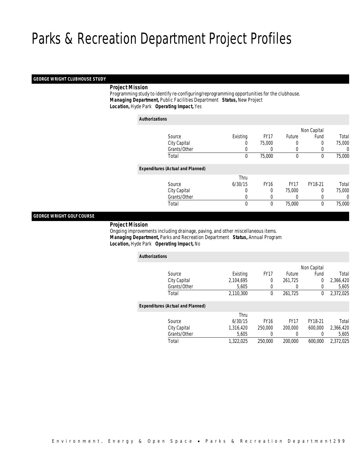## *GEORGE WRIGHT CLUBHOUSE STUDY*

### *Project Mission*

 Programming study to identify re-configuring/reprogramming opportunities for the clubhouse. *Managing Department,* Public Facilities Department *Status,* New Project*Location,* Hyde Park *Operating Impact,* Yes

|                                          |                  |                  |             | Non Capital |        |
|------------------------------------------|------------------|------------------|-------------|-------------|--------|
| Source                                   | Existing         | FY <sub>17</sub> | Future      | Fund        | Total  |
| City Capital                             | $\left( \right)$ | 75,000           | 0           | 0           | 75,000 |
| Grants/Other                             | 0                | $\Omega$         | 0           | 0           |        |
| Total                                    | 0                | 75,000           | $\theta$    | 0           | 75,000 |
| <b>Expenditures (Actual and Planned)</b> |                  |                  |             |             |        |
|                                          | Thru             |                  |             |             |        |
| Source                                   | 6/30/15          | <b>FY16</b>      | <b>FY17</b> | FY18-21     | Total  |
| City Capital                             | 0                | $\theta$         | 75,000      | 0           | 75,000 |
|                                          | 0                | $\Omega$         | 0           | 0           |        |
| Grants/Other                             |                  |                  |             |             |        |

## *GEORGE WRIGHT GOLF COURSE*

#### *Project Mission*

 Ongoing improvements including drainage, paving, and other miscellaneous items. *Managing Department,* Parks and Recreation Department *Status,* Annual Program*Location,* Hyde Park *Operating Impact,* No

| <b>Authorizations</b>                    |           |             |             |             |           |
|------------------------------------------|-----------|-------------|-------------|-------------|-----------|
|                                          |           |             |             | Non Capital |           |
| Source                                   | Existing  | <b>FY17</b> | Future      | Fund        | Total     |
| City Capital                             | 2.104.695 | 0           | 261,725     | $\Omega$    | 2.366.420 |
| Grants/Other                             | 5.605     | 0           | $\left($    | 0           | 5.605     |
| Total                                    | 2,110,300 | $\mathbf 0$ | 261,725     | $\theta$    | 2,372,025 |
| <b>Expenditures (Actual and Planned)</b> |           |             |             |             |           |
|                                          | Thru      |             |             |             |           |
| Source                                   | 6/30/15   | <b>FY16</b> | <b>FY17</b> | FY18-21     | Total     |
| City Capital                             | 1.316.420 | 250,000     | 200,000     | 600,000     | 2.366.420 |
| Grants/Other                             | 5.605     | 0           | 0           |             | 5.605     |
| Total                                    | 1,322,025 | 250,000     | 200,000     | 600,000     | 2.372.025 |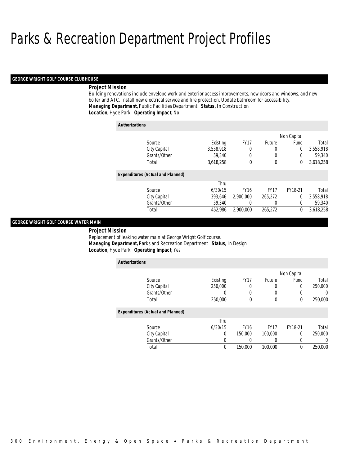#### *GEORGE WRIGHT GOLF COURSE CLUBHOUSE*

### *Project Mission*

Building renovations include envelope work and exterior access improvements, new doors and windows, and new boiler and ATC. Install new electrical service and fire protection. Update bathroom for accessibility. *Managing Department,* Public Facilities Department *Status,* In Construction*Location,* Hyde Park *Operating Impact,* No

| <b>Authorizations</b>                    |           |             |             |             |           |
|------------------------------------------|-----------|-------------|-------------|-------------|-----------|
|                                          |           |             |             | Non Capital |           |
| Source                                   | Existing  | <b>FY17</b> | Future      | Fund        | Total     |
| City Capital                             | 3,558,918 | 0           | 0           | 0           | 3,558,918 |
| Grants/Other                             | 59,340    | 0           | 0           | 0           | 59,340    |
| Total                                    | 3,618,258 | 0           | 0           | 0           | 3,618,258 |
| <b>Expenditures (Actual and Planned)</b> |           |             |             |             |           |
|                                          | Thru      |             |             |             |           |
| Source                                   | 6/30/15   | <b>FY16</b> | <b>FY17</b> | FY18-21     | Total     |
| City Capital                             | 393.646   | 2,900,000   | 265,272     | 0           | 3,558,918 |
| Grants/Other                             | 59,340    | 0           | 0           | 0           | 59,340    |
| Total                                    | 452.986   | 2.900.000   | 265,272     | $\theta$    | 3.618.258 |

### *GEORGE WRIGHT GOLF COURSE WATER MAIN*

*Project Mission* 

Replacement of leaking water main at George Wright Golf course. *Managing Department,* Parks and Recreation Department *Status,* In Design*Location,* Hyde Park *Operating Impact,* Yes

| <b>Authorizations</b>                    |          |             |             |             |         |
|------------------------------------------|----------|-------------|-------------|-------------|---------|
|                                          |          |             |             | Non Capital |         |
| Source                                   | Existing | <b>FY17</b> | Future      | Fund        | Total   |
| City Capital                             | 250,000  | 0           |             | 0           | 250,000 |
| Grants/Other                             | 0        | 0           |             |             | 0       |
| Total                                    | 250,000  | $\theta$    | 0           | $\theta$    | 250,000 |
| <b>Expenditures (Actual and Planned)</b> |          |             |             |             |         |
|                                          | Thru     |             |             |             |         |
| Source                                   | 6/30/15  | <b>FY16</b> | <b>FY17</b> | FY18-21     | Total   |
| City Capital                             | 0        | 150,000     | 100,000     | 0           | 250,000 |
| Grants/Other                             | 0        |             |             | 0           | 0       |
| Total                                    | 0        | 150,000     | 100,000     | 0           | 250,000 |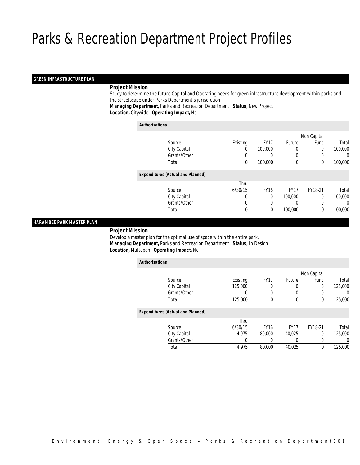## *GREEN INFRASTRUCTURE PLAN*

## *Project Mission*

 Study to determine the future Capital and Operating needs for green infrastructure development within parks and the streetscape under Parks Department's jurisdiction.

*Managing Department,* Parks and Recreation Department *Status,* New Project*Location,* Citywide *Operating Impact,* No

#### *Authorizations*

|                                          |          |             |               | Non Capital |         |
|------------------------------------------|----------|-------------|---------------|-------------|---------|
| Source                                   | Existing | <b>FY17</b> | <b>Future</b> | Fund        | Total   |
| City Capital                             | 0        | 100,000     | 0             | 0           | 100,000 |
| Grants/Other                             | 0        |             | $\left($      |             | 0       |
| Total                                    | 0        | 100,000     | $\mathbf 0$   | 0           | 100,000 |
| <b>Expenditures (Actual and Planned)</b> |          |             |               |             |         |
|                                          | Thru     |             |               |             |         |
| Source                                   | 6/30/15  | <b>FY16</b> | <b>FY17</b>   | FY18-21     | Total   |
| City Capital                             | 0        | $\theta$    | 100,000       | $\Omega$    | 100,000 |
| Grants/Other                             | 0        |             | $\left($      | 0           | 0       |
| Total                                    | 0        | 0           | 100,000       | $\theta$    | 100,000 |
|                                          |          |             |               |             |         |

## *HARAMBEE PARK MASTER PLAN*

*Project Mission*

 Develop a master plan for the optimal use of space within the entire park. *Managing Department,* Parks and Recreation Department *Status,* In Design*Location,* Mattapan *Operating Impact,* No

| <b>Authorizations</b> |                                          |          |             |             |             |         |
|-----------------------|------------------------------------------|----------|-------------|-------------|-------------|---------|
|                       |                                          |          |             |             | Non Capital |         |
|                       | Source                                   | Existing | <b>FY17</b> | Future      | Fund        | Total   |
|                       | City Capital                             | 125,000  |             |             | 0           | 125,000 |
|                       | Grants/Other                             | 0        |             |             |             | 0       |
|                       | Total                                    | 125,000  | $\Omega$    | $\theta$    | 0           | 125,000 |
|                       | <b>Expenditures (Actual and Planned)</b> |          |             |             |             |         |
|                       |                                          | Thru     |             |             |             |         |
|                       | Source                                   | 6/30/15  | <b>FY16</b> | <b>FY17</b> | FY18-21     | Total   |
|                       | City Capital                             | 4.975    | 80,000      | 40,025      | $\Omega$    | 125,000 |
|                       | Grants/Other                             | 0        |             |             |             | 0       |
|                       | Total                                    | 4.975    | 80,000      | 40,025      | 0           | 125,000 |
|                       |                                          |          |             |             |             |         |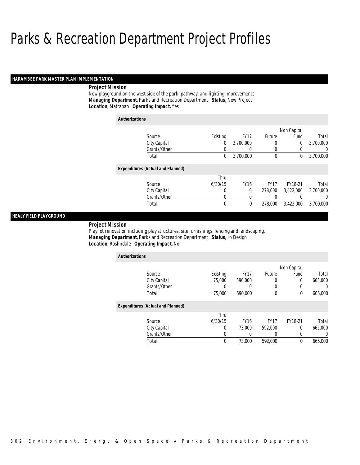## *HARAMBEE PARK MASTER PLAN IMPLEMENTATION*

### *Project Mission*

New playground on the west side of the park, pathway, and lighting improvements. *Managing Department,* Parks and Recreation Department *Status,* New Project*Location,* Mattapan *Operating Impact,* Yes

| <b>Authorizations</b> |                                          |          |             |             |             |                |
|-----------------------|------------------------------------------|----------|-------------|-------------|-------------|----------------|
|                       |                                          |          |             |             | Non Capital |                |
|                       | Source                                   | Existing | <b>FY17</b> | Future      | Fund        | Total          |
|                       | City Capital                             | 0        | 3,700,000   | 0           | 0           | 3,700,000      |
|                       | Grants/Other                             | 0        | 0           | 0           |             | $\overline{0}$ |
|                       | Total                                    | 0        | 3,700,000   | 0           | 0           | 3,700,000      |
|                       | <b>Expenditures (Actual and Planned)</b> |          |             |             |             |                |
|                       |                                          | Thru     |             |             |             |                |
|                       | Source                                   | 6/30/15  | <b>FY16</b> | <b>FY17</b> | FY18-21     | Total          |
|                       | City Capital                             | 0        | 0           | 278,000     | 3,422,000   | 3,700,000      |
|                       | Grants/Other                             | 0        | 0           | 0           |             | $\overline{0}$ |
|                       | Total                                    | 0        | 0           | 278,000     | 3,422,000   | 3,700,000      |

## *HEALY FIELD PLAYGROUND*

*Project Mission* 

Play lot renovation including play structures, site furnishings, fencing and landscaping. *Managing Department,* Parks and Recreation Department *Status,* In Design*Location,* Roslindale *Operating Impact,* No

| <b>Authorizations</b>                    |          |             |             |             |                  |
|------------------------------------------|----------|-------------|-------------|-------------|------------------|
|                                          |          |             |             | Non Capital |                  |
| Source                                   | Existing | <b>FY17</b> | Future      | Fund        | Total            |
| City Capital                             | 75,000   | 590,000     | 0           | 0           | 665,000          |
| Grants/Other                             | 0        | 0           | 0           | 0           | $\left( \right)$ |
| Total                                    | 75,000   | 590,000     | 0           | 0           | 665,000          |
| <b>Expenditures (Actual and Planned)</b> |          |             |             |             |                  |
|                                          | Thru     |             |             |             |                  |
| Source                                   | 6/30/15  | <b>FY16</b> | <b>FY17</b> | FY18-21     | Total            |
| City Capital                             | 0        | 73,000      | 592,000     | 0           | 665,000          |
| Grants/Other                             | 0        |             |             | 0           | 0                |
| Total                                    | 0        | 73,000      | 592,000     | $\Omega$    | 665,000          |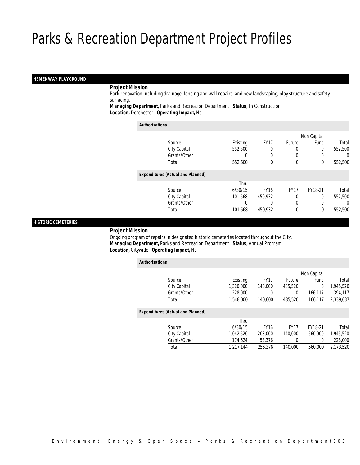#### *HEMENWAY PLAYGROUND*

### *Project Mission*

 Park renovation including drainage; fencing and wall repairs; and new landscaping, play structure and safety surfacing.

*Managing Department,* Parks and Recreation Department *Status,* In Construction*Location,* Dorchester *Operating Impact,* No

## *Authorizations*

|                                          |                  |             |                  | Non Capital |         |
|------------------------------------------|------------------|-------------|------------------|-------------|---------|
| Source                                   | Existing         | <b>FY17</b> | Future           | Fund        | Total   |
| City Capital                             | 552,500          | 0           |                  | 0           | 552,500 |
| Grants/Other                             | $\left( \right)$ |             | $\left( \right)$ |             | 0       |
| Total                                    | 552,500          | $\theta$    | $\mathbf 0$      | 0           | 552,500 |
| <b>Expenditures (Actual and Planned)</b> |                  |             |                  |             |         |
|                                          | Thru             |             |                  |             |         |
| Source                                   | 6/30/15          | <b>FY16</b> | <b>FY17</b>      | FY18-21     | Total   |
| City Capital                             | 101,568          | 450,932     | 0                | 0           | 552,500 |
| Grants/Other                             | 0                |             | 0                |             | 0       |
| Total                                    | 101,568          | 450,932     | $\theta$         | 0           | 552,500 |
|                                          |                  |             |                  |             |         |

### *HISTORIC CEMETERIES*

*Project Mission*

 Ongoing program of repairs in designated historic cemeteries located throughout the City. *Managing Department,* Parks and Recreation Department *Status,* Annual Program*Location,* Citywide *Operating Impact,* No

| <b>Authorizations</b> |                                          |           |             |             |             |           |
|-----------------------|------------------------------------------|-----------|-------------|-------------|-------------|-----------|
|                       |                                          |           |             |             | Non Capital |           |
|                       | Source                                   | Existing  | <b>FY17</b> | Future      | Fund        | Total     |
|                       | City Capital                             | 1.320.000 | 140,000     | 485,520     | 0           | 1.945.520 |
|                       | Grants/Other                             | 228,000   | $\left($    | 0           | 166.117     | 394,117   |
|                       | Total                                    | 1,548,000 | 140,000     | 485,520     | 166.117     | 2,339,637 |
|                       | <b>Expenditures (Actual and Planned)</b> |           |             |             |             |           |
|                       |                                          | Thru      |             |             |             |           |
|                       | Source                                   | 6/30/15   | <b>FY16</b> | <b>FY17</b> | FY18-21     | Total     |
|                       | City Capital                             | 1.042.520 | 203,000     | 140,000     | 560,000     | 1.945.520 |
|                       | Grants/Other                             | 174,624   | 53.376      | 0           | 0           | 228,000   |
|                       | Total                                    | 1.217.144 | 256.376     | 140,000     | 560,000     | 2.173.520 |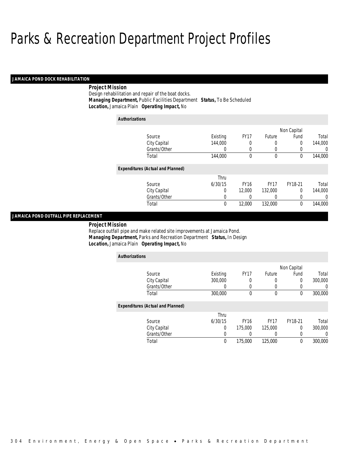#### *JAMAICA POND DOCK REHABILITATION*

## *Project Mission*

Design rehabilitation and repair of the boat docks. *Managing Department,* Public Facilities Department *Status,* To Be Scheduled*Location,* Jamaica Plain *Operating Impact,* No

| <b>Authorizations</b> |                                          |             |             |             |             |         |
|-----------------------|------------------------------------------|-------------|-------------|-------------|-------------|---------|
|                       |                                          |             |             |             | Non Capital |         |
|                       | Source                                   | Existing    | <b>FY17</b> | Future      | Fund        | Total   |
|                       | City Capital                             | 144,000     | 0           | 0           | 0           | 144,000 |
|                       | Grants/Other                             | 0           | 0           | 0           | 0           | 0       |
|                       | Total                                    | 144,000     | 0           | 0           | 0           | 144,000 |
|                       | <b>Expenditures (Actual and Planned)</b> |             |             |             |             |         |
|                       |                                          | Thru        |             |             |             |         |
|                       | Source                                   | 6/30/15     | <b>FY16</b> | <b>FY17</b> | FY18-21     | Total   |
|                       | City Capital                             | 0           | 12,000      | 132,000     | 0           | 144,000 |
|                       | Grants/Other                             | 0           | 0           | 0           | 0           | 0       |
|                       | Total                                    | $\mathbf 0$ | 12,000      | 132,000     | 0           | 144,000 |

## *JAMAICA POND OUTFALL PIPE REPLACEMENT*

 *Project Mission* Replace outfall pipe and make related site improvements at Jamaica Pond. *Managing Department,* Parks and Recreation Department *Status,* In Design*Location,* Jamaica Plain *Operating Impact,* No

| <b>Authorizations</b>                    |          |             |             |             |                  |
|------------------------------------------|----------|-------------|-------------|-------------|------------------|
|                                          |          |             |             | Non Capital |                  |
| Source                                   | Existing | <b>FY17</b> | Future      | Fund        | Total            |
| City Capital                             | 300,000  |             | 0           | 0           | 300,000          |
| Grants/Other                             | 0        |             |             | 0           | $\left( \right)$ |
| Total                                    | 300,000  | 0           | 0           | 0           | 300,000          |
| <b>Expenditures (Actual and Planned)</b> |          |             |             |             |                  |
|                                          | Thru     |             |             |             |                  |
| Source                                   | 6/30/15  | <b>FY16</b> | <b>FY17</b> | FY18-21     | Total            |
| City Capital                             | 0        | 175,000     | 125,000     | 0           | 300,000          |
| Grants/Other                             | 0        |             | 0           | 0           | 0                |
| Total                                    | $\theta$ | 175,000     | 125,000     | 0           | 300,000          |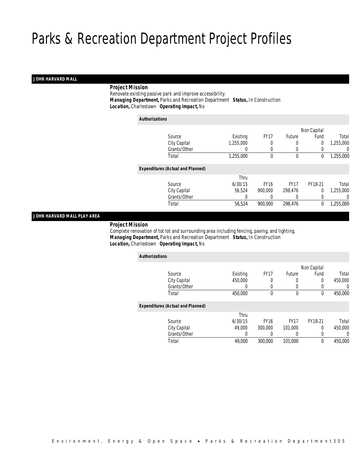## *JOHN HARVARD MALL*

## *Project Mission*

 Renovate existing passive park and improve accessibility. *Managing Department,* Parks and Recreation Department *Status,* In Construction*Location,* Charlestown *Operating Impact,* No

| <b>Authorizations</b> |                                          |           |             |              |             |                  |
|-----------------------|------------------------------------------|-----------|-------------|--------------|-------------|------------------|
|                       |                                          |           |             |              | Non Capital |                  |
|                       | Source                                   | Existing  | <b>FY17</b> | Future       | Fund        | Total            |
|                       | City Capital                             | 1,255,000 | 0           | 0            | 0           | 1,255,000        |
|                       | Grants/Other                             | $\left($  | 0           | 0            | 0           | $\left( \right)$ |
|                       | Total                                    | 1,255,000 | 0           | $\mathbf{0}$ | 0           | 1,255,000        |
|                       | <b>Expenditures (Actual and Planned)</b> |           |             |              |             |                  |
|                       |                                          | Thru      |             |              |             |                  |
|                       | Source                                   | 6/30/15   | <b>FY16</b> | <b>FY17</b>  | FY18-21     | Total            |
|                       | City Capital                             | 56.524    | 900.000     | 298,476      | $\Omega$    | 1,255,000        |
|                       | Grants/Other                             | 0         | 0           | 0            | 0           | 0                |
|                       | Total                                    | 56,524    | 900.000     | 298,476      | 0           | 1,255,000        |

## *JOHN HARVARD MALL PLAY AREA*

#### *Project Mission*

 Complete renovation of tot lot and surrounding area including fencing, paving, and lighting. *Managing Department,* Parks and Recreation Department *Status,* In Construction*Location,* Charlestown *Operating Impact,* No

| <b>Authorizations</b>                    |          |             |             |                  |          |
|------------------------------------------|----------|-------------|-------------|------------------|----------|
|                                          |          |             |             | Non Capital      |          |
| Source                                   | Existing | <b>FY17</b> | Future      | Fund             | Total    |
| City Capital                             | 450,000  | 0           | 0           | 0                | 450,000  |
| Grants/Other                             | 0        | $\left($    | 0           |                  | $\Omega$ |
| Total                                    | 450,000  | 0           | $\mathbf 0$ | $\boldsymbol{0}$ | 450,000  |
| <b>Expenditures (Actual and Planned)</b> |          |             |             |                  |          |
|                                          | Thru     |             |             |                  |          |
| Source                                   | 6/30/15  | <b>FY16</b> | <b>FY17</b> | FY18-21          | Total    |
| City Capital                             | 49.000   | 300,000     | 101,000     | 0                | 450,000  |
| Grants/Other                             | 0        | 0           | 0           | 0                | $\Omega$ |
| Total                                    | 49,000   | 300,000     | 101,000     | $\theta$         | 450,000  |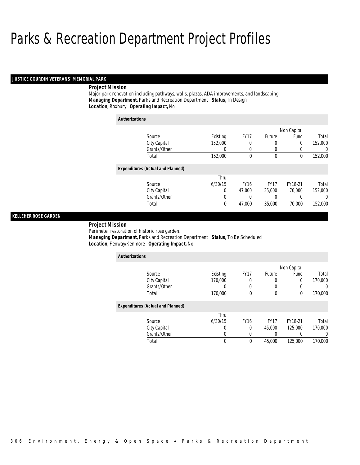#### *JUSTICE GOURDIN VETERANS' MEMORIAL PARK*

### *Project Mission*

Major park renovation including pathways, walls, plazas, ADA improvements, and landscaping. *Managing Department,* Parks and Recreation Department *Status,* In Design*Location,* Roxbury *Operating Impact,* No

| <b>Authorizations</b>                    |              |          |             |             |             |         |
|------------------------------------------|--------------|----------|-------------|-------------|-------------|---------|
|                                          |              |          |             |             | Non Capital |         |
|                                          | Source       | Existing | <b>FY17</b> | Future      | Fund        | Total   |
|                                          | City Capital | 152,000  | 0           | 0           | 0           | 152,000 |
|                                          | Grants/Other | 0        | 0           | 0           | 0           | 0       |
| Total                                    |              | 152,000  | 0           | $\mathbf 0$ | 0           | 152,000 |
| <b>Expenditures (Actual and Planned)</b> |              |          |             |             |             |         |
|                                          |              | Thru     |             |             |             |         |
|                                          | Source       | 6/30/15  | <b>FY16</b> | <b>FY17</b> | FY18-21     | Total   |
|                                          | City Capital | 0        | 47.000      | 35,000      | 70,000      | 152,000 |
|                                          | Grants/Other | 0        | 0           | 0           | 0           | 0       |
| Total                                    |              | 0        | 47,000      | 35,000      | 70,000      | 152,000 |

### *KELLEHER ROSE GARDEN*

 *Project Mission* Perimeter restoration of historic rose garden.*Managing Department,* Parks and Recreation Department *Status,* To Be Scheduled

| <b>Location, Fenway/Kenmore Operating Impact, No</b> |  |
|------------------------------------------------------|--|
|                                                      |  |

| <b>Authorizations</b>                    |          |             |             |             |                  |
|------------------------------------------|----------|-------------|-------------|-------------|------------------|
|                                          |          |             |             | Non Capital |                  |
| Source                                   | Existing | <b>FY17</b> | Future      | Fund        | Total            |
| City Capital                             | 170,000  | 0           |             | 0           | 170,000          |
| Grants/Other                             | 0        |             |             |             | $\left( \right)$ |
| Total                                    | 170,000  | 0           | $\theta$    | 0           | 170,000          |
| <b>Expenditures (Actual and Planned)</b> |          |             |             |             |                  |
|                                          | Thru     |             |             |             |                  |
| Source                                   | 6/30/15  | <b>FY16</b> | <b>FY17</b> | FY18-21     | Total            |
| City Capital                             | O        | 0           | 45,000      | 125,000     | 170,000          |
| Grants/Other                             | 0        | 0           |             |             | 0                |
| Total                                    | 0        | 0           | 45,000      | 125,000     | 170,000          |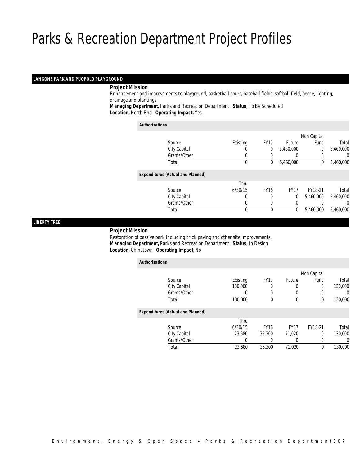#### *LANGONE PARK AND PUOPOLO PLAYGROUND*

### *Project Mission*

 Enhancement and improvements to playground, basketball court, baseball fields, softball field, bocce, lighting, drainage and plantings. *Managing Department,* Parks and Recreation Department *Status,* To Be Scheduled

*Location,* North End *Operating Impact,* Yes

## *Authorizations*

|                                          |          |             |                  | Non Capital |           |
|------------------------------------------|----------|-------------|------------------|-------------|-----------|
| Source                                   | Existing | <b>FY17</b> | <b>Future</b>    | Fund        | Total     |
| City Capital                             | 0        | 0           | 5,460,000        | 0           | 5,460,000 |
| Grants/Other                             | 0        |             | $\left( \right)$ |             | 0         |
| Total                                    | 0        | 0           | 5,460,000        | 0           | 5,460,000 |
| <b>Expenditures (Actual and Planned)</b> |          |             |                  |             |           |
|                                          | Thru     |             |                  |             |           |
| Source                                   | 6/30/15  | <b>FY16</b> | <b>FY17</b>      | FY18-21     | Total     |
| City Capital                             | 0        | 0           | 0                | 5,460,000   | 5,460,000 |
| Grants/Other                             | 0        | 0           | 0                |             | 0         |
| Total                                    | 0        | $\theta$    | 0                | 5,460,000   | 5,460,000 |
|                                          |          |             |                  |             |           |

### *LIBERTY TREE*

#### *Project Mission*

 Restoration of passive park including brick paving and other site improvements. *Managing Department,* Parks and Recreation Department *Status,* In Design*Location,* Chinatown *Operating Impact,* No

| <b>Authorizations</b> |                                          |          |             |             |             |         |
|-----------------------|------------------------------------------|----------|-------------|-------------|-------------|---------|
|                       |                                          |          |             |             | Non Capital |         |
|                       | Source                                   | Existing | <b>FY17</b> | Future      | Fund        | Total   |
|                       | City Capital                             | 130,000  | 0           | 0           | 0           | 130,000 |
|                       | Grants/Other                             | $\left($ | 0           | 0           | 0           | 0       |
|                       | Total                                    | 130,000  | $\theta$    | 0           | 0           | 130,000 |
|                       | <b>Expenditures (Actual and Planned)</b> |          |             |             |             |         |
|                       |                                          | Thru     |             |             |             |         |
|                       | Source                                   | 6/30/15  | <b>FY16</b> | <b>FY17</b> | FY18-21     | Total   |
|                       | City Capital                             | 23.680   | 35,300      | 71.020      | 0           | 130,000 |
|                       | Grants/Other                             | 0        |             | 0           | 0           | 0       |
|                       | Total                                    | 23,680   | 35,300      | 71,020      | 0           | 130,000 |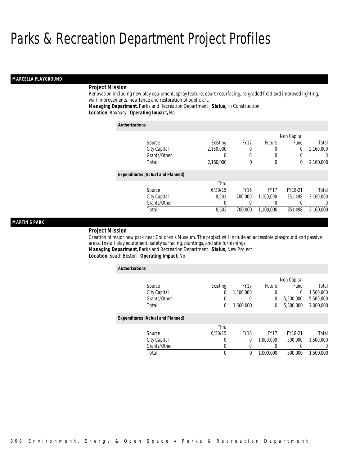## *MARCELLA PLAYGROUND*

### *Project Mission*

Renovation including new play equipment, spray feature, court resurfacing, re-graded field and improved lighting, wall improvements, new fence and restoration of public art.

*Managing Department,* Parks and Recreation Department *Status,* In Construction*Location,* Roxbury *Operating Impact,* No

| <b>Authorizations</b>                    |           |             |             |             |                  |
|------------------------------------------|-----------|-------------|-------------|-------------|------------------|
|                                          |           |             |             | Non Capital |                  |
| Source                                   | Existing  | <b>FY17</b> | Future      | Fund        | Total            |
| City Capital                             | 2.160.000 | 0           | 0           | 0           | 2,160,000        |
| Grants/Other                             | 0         | 0           | 0           | 0           | $\left( \right)$ |
| Total                                    | 2,160,000 | 0           | $\mathbf 0$ | 0           | 2,160,000        |
| <b>Expenditures (Actual and Planned)</b> |           |             |             |             |                  |
|                                          | Thru      |             |             |             |                  |
| Source                                   | 6/30/15   | <b>FY16</b> | <b>FY17</b> | FY18-21     | Total            |
| City Capital                             | 8.502     | 700,000     | 1.100.000   | 351.498     | 2,160,000        |
| Grants/Other                             | 0         |             | 0           | 0           | 0                |
| Total                                    | 8,502     | 700,000     | 1.100.000   | 351,498     | 2.160.000        |

### *MARTIN'S PARK*

#### *Project Mission*

Creation of major new park near Children's Museum. The project will include an accessible playground and passive areas. Install play equipment, safety surfacing, plantings, and site furnishings. *Managing Department,* Parks and Recreation Department *Status,* New Project*Location,* South Boston *Operating Impact,* No

| <b>Authorizations</b>                    |          |             |             |             |           |
|------------------------------------------|----------|-------------|-------------|-------------|-----------|
|                                          |          |             |             | Non Capital |           |
| Source                                   | Existing | <b>FY17</b> | Future      | Fund        | Total     |
| City Capital                             | 0        | 1,500,000   | 0           | $\Omega$    | 1,500,000 |
| Grants/Other                             | 0        | 0           | 0           | 5,500,000   | 5,500,000 |
| Total                                    | 0        | 1,500,000   | 0           | 5,500,000   | 7,000,000 |
| <b>Expenditures (Actual and Planned)</b> |          |             |             |             |           |
|                                          | Thru     |             |             |             |           |
| Source                                   | 6/30/15  | <b>FY16</b> | <b>FY17</b> | FY18-21     | Total     |
| City Capital                             | 0        | 0           | 1.000.000   | 500,000     | 1,500,000 |
| Grants/Other                             | 0        | 0           | 0           |             | 0         |
| Total                                    | 0        | 0           | 1.000.000   | 500,000     | 1.500.000 |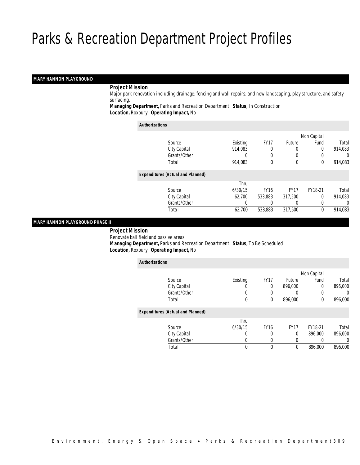## *MARY HANNON PLAYGROUND*

### *Project Mission*

 Major park renovation including drainage; fencing and wall repairs; and new landscaping, play structure, and safety surfacing.

*Managing Department,* Parks and Recreation Department *Status,* In Construction*Location,* Roxbury *Operating Impact,* No

| <b>Authorizations</b> |                                          |          |             |             |              |         |
|-----------------------|------------------------------------------|----------|-------------|-------------|--------------|---------|
|                       |                                          |          |             |             | Non Capital  |         |
|                       | Source                                   | Existing | <b>FY17</b> | Future      | Fund         | Total   |
|                       | City Capital                             | 914,083  | 0           | 0           | 0            | 914,083 |
|                       | Grants/Other                             | $\left($ | 0           | 0           | 0            | 0       |
|                       | Total                                    | 914,083  | 0           | 0           | 0            | 914,083 |
|                       | <b>Expenditures (Actual and Planned)</b> |          |             |             |              |         |
|                       |                                          | Thru     |             |             |              |         |
|                       | Source                                   | 6/30/15  | <b>FY16</b> | <b>FY17</b> | FY18-21      | Total   |
|                       | City Capital                             | 62.700   | 533.883     | 317,500     | 0            | 914,083 |
|                       | Grants/Other                             | 0        | 0           | 0           | 0            | 0       |
|                       | Total                                    | 62,700   | 533.883     | 317.500     | $\mathbf{0}$ | 914,083 |
|                       |                                          |          |             |             |              |         |

### *MARY HANNON PLAYGROUND PHASE II*

 *Project Mission* Renovate ball field and passive areas. *Managing Department,* Parks and Recreation Department *Status,* To Be Scheduled*Location,* Roxbury *Operating Impact,* No

| <b>Authorizations</b>                    |          |             |                  |             |         |
|------------------------------------------|----------|-------------|------------------|-------------|---------|
|                                          |          |             |                  | Non Capital |         |
| Source                                   | Existing | <b>FY17</b> | Future           | Fund        | Total   |
| City Capital                             | U        | 0           | 896,000          | 0           | 896,000 |
| Grants/Other                             | 0        | 0           | 0                | 0           | 0       |
| Total                                    | $\theta$ | 0           | 896,000          | 0           | 896,000 |
| <b>Expenditures (Actual and Planned)</b> |          |             |                  |             |         |
|                                          | Thru     |             |                  |             |         |
| Source                                   | 6/30/15  | <b>FY16</b> | FY <sub>17</sub> | FY18-21     | Total   |
| City Capital                             | 0        | 0           | 0                | 896,000     | 896.000 |
| Grants/Other                             | 0        | 0           | 0                |             | 0       |
| Total                                    | 0        | 0           | 0                | 896.000     | 896,000 |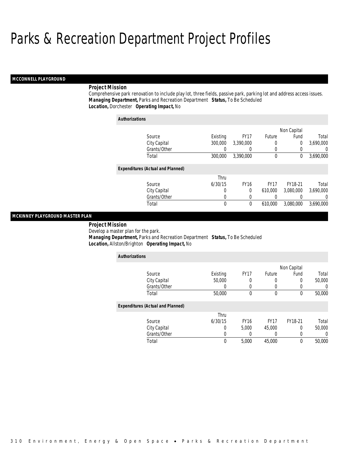## *MCCONNELL PLAYGROUND*

### *Project Mission*

Comprehensive park renovation to include play lot, three fields, passive park, parking lot and address access issues. *Managing Department,* Parks and Recreation Department *Status,* To Be Scheduled*Location,* Dorchester *Operating Impact,* No

| <b>Authorizations</b>                    |          |                  |             |                  |           |
|------------------------------------------|----------|------------------|-------------|------------------|-----------|
|                                          |          |                  |             | Non Capital      |           |
| Source                                   | Existing | FY <sub>17</sub> | Future      | Fund             | Total     |
| City Capital                             | 300,000  | 3,390,000        | 0           | $\overline{0}$   | 3,690,000 |
| Grants/Other                             | 0        | 0                | 0           | $\left( \right)$ | $\Omega$  |
| Total                                    | 300,000  | 3,390,000        | 0           | 0                | 3,690,000 |
| <b>Expenditures (Actual and Planned)</b> |          |                  |             |                  |           |
|                                          | Thru     |                  |             |                  |           |
| Source                                   | 6/30/15  | <b>FY16</b>      | <b>FY17</b> | FY18-21          | Total     |
| City Capital                             | 0        | 0                | 610,000     | 3,080,000        | 3,690,000 |
| Grants/Other                             |          | 0                | 0           |                  | 0         |
| Total                                    | 0        | 0                | 610,000     | 3,080,000        | 3,690,000 |

## *MCKINNEY PLAYGROUND MASTER PLAN*

 *Project Mission* Develop a master plan for the park. *Managing Department,* Parks and Recreation Department *Status,* To Be Scheduled*Location,* Allston/Brighton *Operating Impact,* No

| <b>Authorizations</b>                    |          |             |             |             |        |
|------------------------------------------|----------|-------------|-------------|-------------|--------|
|                                          |          |             |             | Non Capital |        |
| Source                                   | Existing | <b>FY17</b> | Future      | Fund        | Total  |
| City Capital                             | 50,000   |             | 0           | 0           | 50,000 |
| Grants/Other                             |          |             | 0           | 0           |        |
| Total                                    | 50,000   | $\Omega$    | 0           | 0           | 50,000 |
| <b>Expenditures (Actual and Planned)</b> |          |             |             |             |        |
|                                          | Thru     |             |             |             |        |
| Source                                   | 6/30/15  | <b>FY16</b> | <b>FY17</b> | FY18-21     | Total  |
| City Capital                             |          | 5.000       | 45,000      | 0           | 50,000 |
| Grants/Other                             |          | O           | 0           | 0           |        |
| Total                                    | $\theta$ | 5,000       | 45,000      | 0           | 50,000 |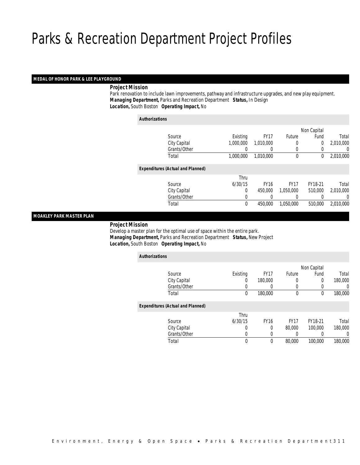## *MEDAL OF HONOR PARK & LEE PLAYGROUND*

### *Project Mission*

 Park renovation to include lawn improvements, pathway and infrastructure upgrades, and new play equipment. *Managing Department,* Parks and Recreation Department *Status,* In Design*Location,* South Boston *Operating Impact,* No

| <b>Authorizations</b> |                                          |           |             |             |             |           |
|-----------------------|------------------------------------------|-----------|-------------|-------------|-------------|-----------|
|                       |                                          |           |             |             | Non Capital |           |
|                       | Source                                   | Existing  | <b>FY17</b> | Future      | Fund        | Total     |
|                       | City Capital                             | 1,000,000 | 1,010,000   | 0           | 0           | 2,010,000 |
|                       | Grants/Other                             | $\left($  | 0           | 0           | 0           | 0         |
|                       | Total                                    | 1,000,000 | 1,010,000   | $\mathbf 0$ | $\mathbf 0$ | 2,010,000 |
|                       | <b>Expenditures (Actual and Planned)</b> |           |             |             |             |           |
|                       |                                          | Thru      |             |             |             |           |
|                       | Source                                   | 6/30/15   | <b>FY16</b> | <b>FY17</b> | FY18-21     | Total     |
|                       | City Capital                             | 0         | 450,000     | 1,050,000   | 510,000     | 2,010,000 |
|                       | Grants/Other                             | 0         | 0           | 0           | 0           | 0         |
|                       | Total                                    | $\theta$  | 450,000     | 1,050,000   | 510,000     | 2,010,000 |
|                       |                                          |           |             |             |             |           |

## *MOAKLEY PARK MASTER PLAN*

#### *Project Mission*

 Develop a master plan for the optimal use of space within the entire park. *Managing Department,* Parks and Recreation Department *Status,* New Project*Location,* South Boston *Operating Impact,* No

| <b>Authorizations</b>                    |              |             |             |             |          |
|------------------------------------------|--------------|-------------|-------------|-------------|----------|
|                                          |              |             |             | Non Capital |          |
| Source                                   | Existing     | <b>FY17</b> | Future      | Fund        | Total    |
| City Capital                             | 0            | 180,000     | 0           | 0           | 180,000  |
| Grants/Other                             | 0            | 0           | 0           | 0           | 0        |
| Total                                    | $\mathbf 0$  | 180,000     | 0           | 0           | 180,000  |
| <b>Expenditures (Actual and Planned)</b> |              |             |             |             |          |
|                                          | Thru         |             |             |             |          |
| Source                                   | 6/30/15      | <b>FY16</b> | <b>FY17</b> | FY18-21     | Total    |
| City Capital                             | 0            | 0           | 80,000      | 100,000     | 180,000  |
| Grants/Other                             | 0            | 0           | 0           |             | $\Omega$ |
| Total                                    | $\mathbf{0}$ | $\theta$    | 80,000      | 100,000     | 180,000  |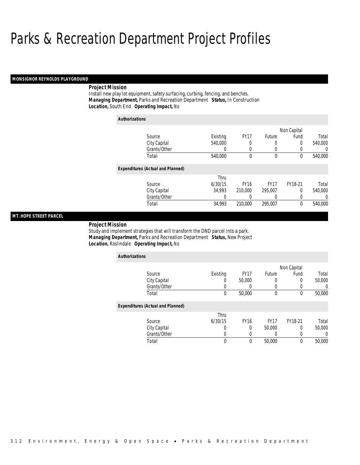## *MONSIGNOR REYNOLDS PLAYGROUND*

## *Project Mission*

Install new play lot equipment, safety surfacing, curbing, fencing, and benches. *Managing Department,* Parks and Recreation Department *Status,* In Construction*Location,* South End *Operating Impact,* No

| <b>Authorizations</b> |                                          |          |             |             |             |         |
|-----------------------|------------------------------------------|----------|-------------|-------------|-------------|---------|
|                       |                                          |          |             |             | Non Capital |         |
|                       | Source                                   | Existing | <b>FY17</b> | Future      | Fund        | Total   |
|                       | City Capital                             | 540,000  | 0           | 0           | $\Omega$    | 540,000 |
|                       | Grants/Other                             | 0        | 0           | 0           | 0           | 0       |
|                       | Total                                    | 540,000  | 0           | $\mathbf 0$ | $\theta$    | 540,000 |
|                       | <b>Expenditures (Actual and Planned)</b> |          |             |             |             |         |
|                       |                                          | Thru     |             |             |             |         |
|                       | Source                                   | 6/30/15  | <b>FY16</b> | <b>FY17</b> | FY18-21     | Total   |
|                       | City Capital                             | 34.993   | 210,000     | 295.007     | $\Omega$    | 540,000 |
|                       | Grants/Other                             | 0        | 0           | 0           | 0           | 0       |
|                       | Total                                    | 34,993   | 210,000     | 295,007     | 0           | 540,000 |

## *MT. HOPE STREET PARCEL*

*Project Mission* 

Study and implement strategies that will transform the DND parcel into a park. *Managing Department,* Parks and Recreation Department *Status,* New Project*Location,* Roslindale *Operating Impact,* No

| <b>Authorizations</b>                    |          |                  |             |             |                  |
|------------------------------------------|----------|------------------|-------------|-------------|------------------|
|                                          |          |                  |             | Non Capital |                  |
| Source                                   | Existing | <b>FY17</b>      | Future      | Fund        | Total            |
| City Capital                             |          | 50,000           |             | 0           | 50,000           |
| Grants/Other                             |          | $\left( \right)$ |             |             | $\left( \right)$ |
| Total                                    | 0        | 50,000           | $\mathbf 0$ | $\Omega$    | 50,000           |
| <b>Expenditures (Actual and Planned)</b> |          |                  |             |             |                  |
|                                          | Thru     |                  |             |             |                  |
| Source                                   | 6/30/15  | <b>FY16</b>      | <b>FY17</b> | FY18-21     | Total            |
| City Capital                             | O        | 0                | 50,000      | 0           | 50,000           |
| Grants/Other                             | 0        |                  |             |             |                  |
| Total                                    | 0        | $\Omega$         | 50,000      | 0           | 50,000           |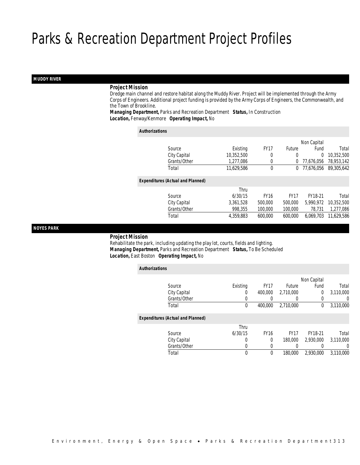## *MUDDY RIVER*

## *Project Mission*

 Dredge main channel and restore habitat along the Muddy River. Project will be implemented through the Army Corps of Engineers. Additional project funding is provided by the Army Corps of Engineers, the Commonwealth, and the Town of Brookline.

*Managing Department,* Parks and Recreation Department *Status,* In Construction*Location,* Fenway/Kenmore *Operating Impact,* No

| <b>Authorizations</b>                    |            |             |             |             |            |
|------------------------------------------|------------|-------------|-------------|-------------|------------|
|                                          |            |             |             | Non Capital |            |
| Source                                   | Existing   | <b>FY17</b> | Future      | Fund        | Total      |
| City Capital                             | 10.352,500 | 0           | 0           | 0           | 10.352.500 |
| Grants/Other                             | 1,277,086  | 0           | 0           | 77,676,056  | 78,953,142 |
| Total                                    | 11.629.586 | 0           | 0           | 77.676.056  | 89,305,642 |
| <b>Expenditures (Actual and Planned)</b> |            |             |             |             |            |
|                                          | Thru       |             |             |             |            |
| Source                                   | 6/30/15    | <b>FY16</b> | <b>FY17</b> | FY18-21     | Total      |
| City Capital                             | 3.361.528  | 500,000     | 500,000     | 5.990.972   | 10,352,500 |
| Grants/Other                             | 998,355    | 100,000     | 100,000     | 78.731      | 1,277,086  |
| Total                                    | 4.359.883  | 600.000     | 600,000     | 6.069.703   | 11.629.586 |

*NOYES PARK* 

*Project Mission*

 Rehabilitate the park, including updating the play lot, courts, fields and lighting. *Managing Department,* Parks and Recreation Department *Status,* To Be Scheduled*Location,* East Boston *Operating Impact,* No

| <b>Authorizations</b>                    |          |             |                  |                |                  |
|------------------------------------------|----------|-------------|------------------|----------------|------------------|
|                                          |          |             |                  | Non Capital    |                  |
| Source                                   | Existing | <b>FY17</b> | <b>Future</b>    | Fund           | Total            |
| City Capital                             | 0        | 400,000     | 2.710.000        | $\overline{0}$ | 3,110,000        |
| Grants/Other                             | 0        |             | $\left( \right)$ | 0              | $\left( \right)$ |
| Total                                    | 0        | 400,000     | 2,710,000        | 0              | 3,110,000        |
| <b>Expenditures (Actual and Planned)</b> |          |             |                  |                |                  |
|                                          | Thru     |             |                  |                |                  |
| Source                                   | 6/30/15  | <b>FY16</b> | <b>FY17</b>      | FY18-21        | Total            |
| City Capital                             | 0        | $\Omega$    | 180,000          | 2.930.000      | 3,110,000        |
| Grants/Other                             | 0        | 0           |                  |                | $\left($         |
| Total                                    | 0        | 0           | 180,000          | 2.930.000      | 3.110.000        |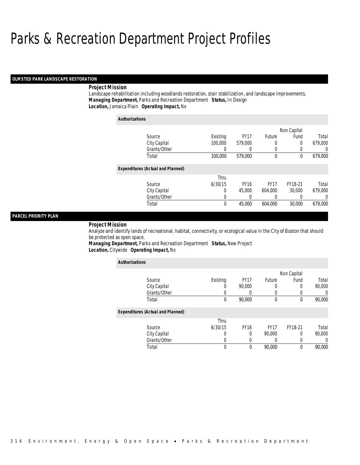## *OLMSTED PARK LANDSCAPE RESTORATION*

## *Project Mission*

Landscape rehabilitation including woodlands restoration, stair stabilization, and landscape improvements. *Managing Department,* Parks and Recreation Department *Status,* In Design*Location,* Jamaica Plain *Operating Impact,* No

| <b>Authorizations</b> |                                          |             |             |               |             |         |
|-----------------------|------------------------------------------|-------------|-------------|---------------|-------------|---------|
|                       |                                          |             |             |               | Non Capital |         |
|                       | Source                                   | Existing    | <b>FY17</b> | <b>Future</b> | Fund        | Total   |
|                       | City Capital                             | 100,000     | 579,000     | 0             | 0           | 679,000 |
|                       | Grants/Other                             | 0           | 0           | 0             | 0           | 0       |
|                       | Total                                    | 100,000     | 579,000     | $\mathbf 0$   | 0           | 679,000 |
|                       | <b>Expenditures (Actual and Planned)</b> |             |             |               |             |         |
|                       |                                          | Thru        |             |               |             |         |
|                       | Source                                   | 6/30/15     | <b>FY16</b> | <b>FY17</b>   | FY18-21     | Total   |
|                       | City Capital                             | 0           | 45,000      | 604.000       | 30,000      | 679.000 |
|                       | Grants/Other                             | 0           | 0           | 0             | 0           | 0       |
|                       | Total                                    | $\mathbf 0$ | 45,000      | 604.000       | 30,000      | 679,000 |

## *PARCEL PRIORITY PLAN*

#### *Project Mission*

Analyze and identify lands of recreational, habitat, connectivity, or ecological value in the City of Boston that should be protected as open space.

*Managing Department,* Parks and Recreation Department *Status,* New Project*Location,* Citywide *Operating Impact,* No

| <b>Authorizations</b>                    |          |                  |             |             |        |
|------------------------------------------|----------|------------------|-------------|-------------|--------|
|                                          |          |                  |             | Non Capital |        |
| Source                                   | Existing | FY <sub>17</sub> | Future      | Fund        | Total  |
| City Capital                             | U        | 90,000           | 0           | 0           | 90,000 |
| Grants/Other                             |          |                  |             |             |        |
| Total                                    | 0        | 90,000           | $\mathbf 0$ | $\theta$    | 90,000 |
| <b>Expenditures (Actual and Planned)</b> |          |                  |             |             |        |
|                                          | Thru     |                  |             |             |        |
| Source                                   | 6/30/15  | <b>FY16</b>      | <b>FY17</b> | FY18-21     | Total  |
| City Capital                             | O        | 0                | 90,000      | 0           | 90,000 |
| Grants/Other                             |          |                  |             | 0           |        |
| Total                                    | 0        | 0                | 90.000      | 0           | 90.000 |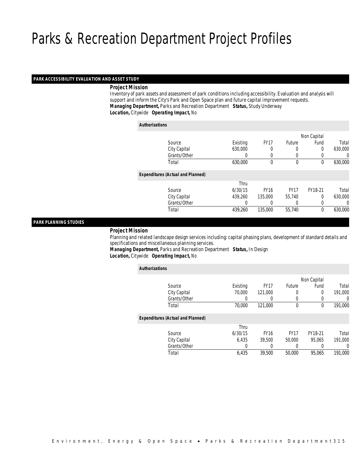### *PARK ACCESSIBILITY EVALUATION AND ASSET STUDY*

*Project Mission*

 Inventory of park assets and assessment of park conditions including accessibility. Evaluation and analysis will support and inform the City's Park and Open Space plan and future capital improvement requests. *Managing Department,* Parks and Recreation Department *Status,* Study Underway*Location,* Citywide *Operating Impact,* No

## *Authorizations*

|                                          |          |             |               | Non Capital |         |
|------------------------------------------|----------|-------------|---------------|-------------|---------|
| Source                                   | Existing | <b>FY17</b> | <b>Future</b> | Fund        | Total   |
| City Capital                             | 630,000  | 0           | 0             | 0           | 630,000 |
| Grants/Other                             | 0        | 0           | $\left($      |             | 0       |
| Total                                    | 630,000  | $\theta$    | $\theta$      | 0           | 630,000 |
| <b>Expenditures (Actual and Planned)</b> |          |             |               |             |         |
|                                          | Thru     |             |               |             |         |
| Source                                   | 6/30/15  | <b>FY16</b> | <b>FY17</b>   | FY18-21     | Total   |
| City Capital                             | 439,260  | 135,000     | 55,740        | $\Omega$    | 630,000 |
| Grants/Other                             |          |             |               |             | 0       |
| Total                                    | 439,260  | 135,000     | 55,740        | $\theta$    | 630,000 |
|                                          |          |             |               |             |         |

## *PARK PLANNING STUDIES*

### *Project Mission*

 Planning and related landscape design services including: capital phasing plans, development of standard details and specifications and miscellaneous planning services.

*Managing Department,* Parks and Recreation Department *Status,* In Design*Location,* Citywide *Operating Impact,* No

| <b>Authorizations</b>                    |          |             |             |             |         |
|------------------------------------------|----------|-------------|-------------|-------------|---------|
|                                          |          |             |             | Non Capital |         |
| Source                                   | Existing | <b>FY17</b> | Future      | Fund        | Total   |
| City Capital                             | 70,000   | 121,000     | 0           | 0           | 191,000 |
| Grants/Other                             | 0        | 0           | 0           |             | U       |
| Total                                    | 70,000   | 121,000     | $\mathbf 0$ | 0           | 191,000 |
| <b>Expenditures (Actual and Planned)</b> |          |             |             |             |         |
|                                          | Thru     |             |             |             |         |
| Source                                   | 6/30/15  | <b>FY16</b> | <b>FY17</b> | FY18-21     | Total   |
| City Capital                             | 6.435    | 39.500      | 50,000      | 95,065      | 191,000 |
| Grants/Other                             | 0        | 0           | 0           |             | 0       |
| Total                                    | 6.435    | 39,500      | 50,000      | 95.065      | 191,000 |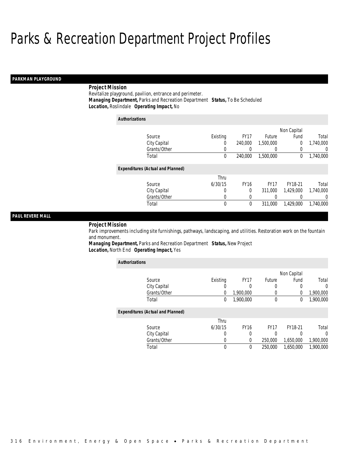## *PARKMAN PLAYGROUND*

## *Project Mission*

Revitalize playground, pavilion, entrance and perimeter. *Managing Department,* Parks and Recreation Department *Status,* To Be Scheduled*Location,* Roslindale *Operating Impact,* No

| <b>Authorizations</b> |                                          |          |             |             |             |           |
|-----------------------|------------------------------------------|----------|-------------|-------------|-------------|-----------|
|                       |                                          |          |             |             | Non Capital |           |
|                       | Source                                   | Existing | <b>FY17</b> | Future      | Fund        | Total     |
|                       | City Capital                             | $\left($ | 240,000     | 1,500,000   | 0           | 1,740,000 |
|                       | Grants/Other                             | 0        |             |             | 0           | $\theta$  |
|                       | Total                                    | 0        | 240,000     | 1,500,000   | 0           | 1,740,000 |
|                       | <b>Expenditures (Actual and Planned)</b> |          |             |             |             |           |
|                       |                                          | Thru     |             |             |             |           |
|                       | Source                                   | 6/30/15  | <b>FY16</b> | <b>FY17</b> | FY18-21     | Total     |
|                       | City Capital                             | 0        | $\Omega$    | 311,000     | 1,429,000   | 1,740,000 |
|                       | Grants/Other                             | 0        | 0           | 0           |             | 0         |
|                       | Total                                    | 0        | $\theta$    | 311,000     | 1.429.000   | 1.740.000 |

## *PAUL REVERE MALL*

*Project Mission* 

Park improvements including site furnishings, pathways, landscaping, and utilities. Restoration work on the fountain and monument.

*Managing Department,* Parks and Recreation Department *Status,* New Project*Location,* North End *Operating Impact,* Yes

| <b>Authorizations</b>                    |          |                  |             |             |           |
|------------------------------------------|----------|------------------|-------------|-------------|-----------|
|                                          |          |                  |             | Non Capital |           |
| Source                                   | Existing | FY <sub>17</sub> | Future      | Fund        | Total     |
| City Capital                             | U        |                  | 0           | 0           | 0         |
| Grants/Other                             | 0        | 1,900,000        | 0           | 0           | 1,900,000 |
| Total                                    | 0        | 1,900,000        | $\mathbf 0$ | 0           | 1,900,000 |
| <b>Expenditures (Actual and Planned)</b> |          |                  |             |             |           |
|                                          | Thru     |                  |             |             |           |
| Source                                   | 6/30/15  | <b>FY16</b>      | <b>FY17</b> | FY18-21     | Total     |
| City Capital                             | O        |                  |             | 0           | 0         |
| Grants/Other                             | 0        | $\Omega$         | 250,000     | 1,650,000   | 1,900,000 |
| Total                                    | 0        | $\theta$         | 250,000     | 1.650.000   | 1,900,000 |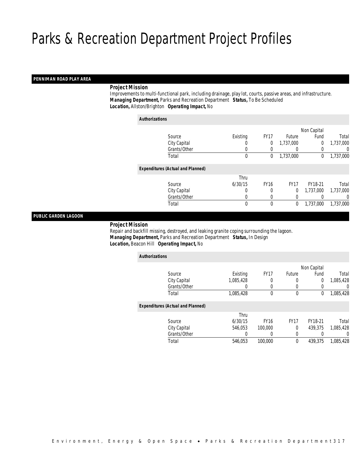## *PENNIMAN ROAD PLAY AREA*

## *Project Mission*

 Improvements to multi-functional park, including drainage, play lot, courts, passive areas, and infrastructure. *Managing Department,* Parks and Recreation Department *Status,* To Be Scheduled*Location,* Allston/Brighton *Operating Impact,* No

| <b>Authorizations</b>                    |          |             |             |             |                  |
|------------------------------------------|----------|-------------|-------------|-------------|------------------|
|                                          |          |             |             | Non Capital |                  |
| Source                                   | Existing | <b>FY17</b> | Future      | Fund        | Total            |
| City Capital                             | U        | 0           | 1.737.000   | 0           | 1,737,000        |
| Grants/Other                             | 0        | 0           | 0           |             | $\left( \right)$ |
| Total                                    | 0        | 0           | 1,737,000   | 0           | 1,737,000        |
| <b>Expenditures (Actual and Planned)</b> |          |             |             |             |                  |
|                                          | Thru     |             |             |             |                  |
| Source                                   | 6/30/15  | <b>FY16</b> | <b>FY17</b> | FY18-21     | Total            |
| City Capital                             | 0        | 0           | 0           | 1.737.000   | 1.737.000        |
| Grants/Other                             | 0        | 0           | 0           |             | $\Omega$         |
| Total                                    | 0        | 0           | 0           | 1,737,000   | 1,737,000        |

## *PUBLIC GARDEN LAGOON*

#### *Project Mission*

 Repair and backfill missing, destroyed, and leaking granite coping surrounding the lagoon. *Managing Department,* Parks and Recreation Department *Status,* In Design*Location,* Beacon Hill *Operating Impact,* No

| <b>Authorizations</b>                    |           |                  |             |             |           |
|------------------------------------------|-----------|------------------|-------------|-------------|-----------|
|                                          |           |                  |             | Non Capital |           |
| Source                                   | Existing  | FY <sub>17</sub> | Future      | Fund        | Total     |
| City Capital                             | 1,085,428 | 0                | 0           | 0           | 1,085,428 |
| Grants/Other                             | 0         | 0                | 0           | 0           | 0         |
| Total                                    | 1,085,428 | 0                | $\mathbf 0$ | 0           | 1,085,428 |
| <b>Expenditures (Actual and Planned)</b> |           |                  |             |             |           |
|                                          | Thru      |                  |             |             |           |
| Source                                   | 6/30/15   | <b>FY16</b>      | <b>FY17</b> | FY18-21     | Total     |
| City Capital                             | 546.053   | 100,000          | 0           | 439.375     | 1.085.428 |
| Grants/Other                             | 0         |                  | 0           |             | $\left($  |
| Total                                    | 546,053   | 100,000          | $\mathbf 0$ | 439.375     | 1.085.428 |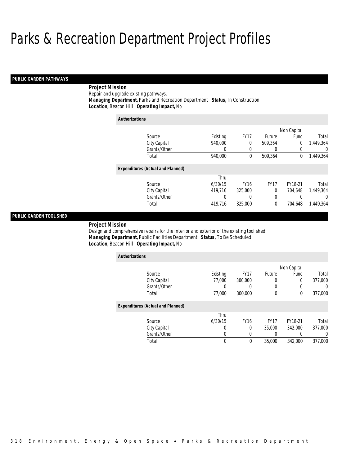## *PUBLIC GARDEN PATHWAYS*

## *Project Mission*

Repair and upgrade existing pathways.*Managing Department,* Parks and Recreation Department *Status,* In Construction

*Location,* Beacon Hill *Operating Impact,* No

| <b>Authorizations</b>                    |          |             |               |             |           |
|------------------------------------------|----------|-------------|---------------|-------------|-----------|
|                                          |          |             |               | Non Capital |           |
| Source                                   | Existing | <b>FY17</b> | <b>Future</b> | Fund        | Total     |
| City Capital                             | 940,000  | 0           | 509,364       | 0           | 1,449,364 |
| Grants/Other                             | 0        | 0           | 0             | 0           | 0         |
| Total                                    | 940.000  | 0           | 509.364       | $^{0}$      | 1,449,364 |
| <b>Expenditures (Actual and Planned)</b> |          |             |               |             |           |
|                                          | Thru     |             |               |             |           |
| Source                                   | 6/30/15  | <b>FY16</b> | <b>FY17</b>   | FY18-21     | Total     |
| City Capital                             | 419,716  | 325,000     | 0             | 704.648     | 1.449.364 |
| Grants/Other                             | 0        |             | 0             | 0           | 0         |
| Total                                    | 419,716  | 325,000     | $\theta$      | 704.648     | 1.449.364 |

## *PUBLIC GARDEN TOOL SHED*

*Project Mission* 

Design and comprehensive repairs for the interior and exterior of the existing tool shed. *Managing Department,* Public Facilities Department *Status,* To Be Scheduled*Location,* Beacon Hill *Operating Impact,* No

| <b>Authorizations</b>                    |                  |                  |             |             |                  |
|------------------------------------------|------------------|------------------|-------------|-------------|------------------|
|                                          |                  |                  |             | Non Capital |                  |
| Source                                   | Existing         | FY <sub>17</sub> | Future      | Fund        | Total            |
| City Capital                             | 77.000           | 300,000          |             | 0           | 377.000          |
| Grants/Other                             | $\left( \right)$ | $\left($         | $\left($    | 0           | $\left( \right)$ |
| Total                                    | 77,000           | 300,000          | 0           | 0           | 377,000          |
| <b>Expenditures (Actual and Planned)</b> |                  |                  |             |             |                  |
|                                          | Thru             |                  |             |             |                  |
| Source                                   | 6/30/15          | <b>FY16</b>      | <b>FY17</b> | FY18-21     | Total            |
| City Capital                             | O                | 0                | 35,000      | 342,000     | 377,000          |
| Grants/Other                             | 0                | $\Omega$         |             | 0           |                  |
| Total                                    | $\theta$         | $\Omega$         | 35,000      | 342,000     | 377.000          |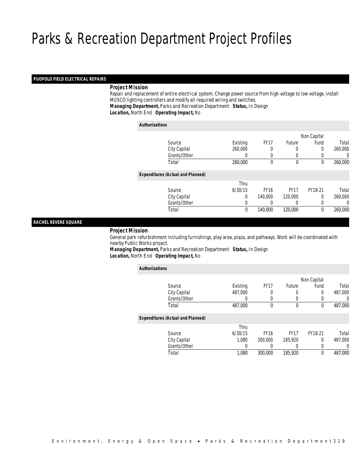## *PUOPOLO FIELD ELECTRICAL REPAIRS*

## *Project Mission*

 Repair and replacement of entire electrical system. Change power source from high voltage to low voltage, install MUSCO lighting controllers and modify all required wiring and switches. *Managing Department,* Parks and Recreation Department *Status,* In Design*Location,* North End *Operating Impact,* No

#### *Authorizations*

|                                          |             |             |               | Non Capital |         |
|------------------------------------------|-------------|-------------|---------------|-------------|---------|
| Source                                   | Existing    | <b>FY17</b> | <b>Future</b> | Fund        | Total   |
| City Capital                             | 260,000     |             | 0             | 0           | 260,000 |
| Grants/Other                             | 0           | 0           | $\left($      |             | 0       |
| Total                                    | 260,000     | $\theta$    | $\mathbf 0$   | 0           | 260,000 |
| <b>Expenditures (Actual and Planned)</b> |             |             |               |             |         |
|                                          | Thru        |             |               |             |         |
| Source                                   | 6/30/15     | <b>FY16</b> | <b>FY17</b>   | FY18-21     | Total   |
| City Capital                             | 0           | 140,000     | 120,000       | $\Omega$    | 260,000 |
| Grants/Other                             | 0           |             | $\left($      | 0           | 0       |
| Total                                    | $\mathbf 0$ | 140,000     | 120,000       | $\theta$    | 260,000 |
|                                          |             |             |               |             |         |

## *RACHEL REVERE SQUARE*

*Project Mission*

 General park refurbishment including furnishings, play area, plaza, and pathways. Work will be coordinated with nearby Public Works project.

*Managing Department,* Parks and Recreation Department *Status,* In Design*Location,* North End *Operating Impact,* No

| <b>Authorizations</b>                    |          |             |             |             |          |
|------------------------------------------|----------|-------------|-------------|-------------|----------|
|                                          |          |             |             | Non Capital |          |
| Source                                   | Existing | <b>FY17</b> | Future      | Fund        | Total    |
| City Capital                             | 487.000  | 0           | 0           | 0           | 487.000  |
| Grants/Other                             | 0        | $\left($    | 0           | 0           | $\Omega$ |
| Total                                    | 487,000  | $\Omega$    | $\mathbf 0$ | $\Omega$    | 487,000  |
| <b>Expenditures (Actual and Planned)</b> |          |             |             |             |          |
|                                          | Thru     |             |             |             |          |
| Source                                   | 6/30/15  | <b>FY16</b> | <b>FY17</b> | FY18-21     | Total    |
| City Capital                             | 1.080    | 300,000     | 185,920     | $\Omega$    | 487.000  |
| Grants/Other                             | 0        | 0           | 0           | 0           | $\Omega$ |
| Total                                    | 1.080    | 300,000     | 185,920     | $\Omega$    | 487.000  |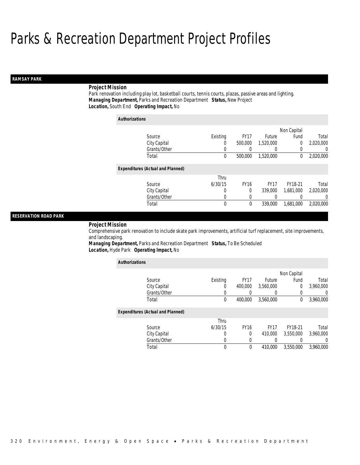## *RAMSAY PARK*

## *Project Mission*

Park renovation including play lot, basketball courts, tennis courts, plazas, passive areas and lighting. *Managing Department,* Parks and Recreation Department *Status,* New Project*Location,* South End *Operating Impact,* No

| <b>Authorizations</b>                    |          |             |             |             |           |
|------------------------------------------|----------|-------------|-------------|-------------|-----------|
|                                          |          |             |             | Non Capital |           |
| Source                                   | Existing | <b>FY17</b> | Future      | Fund        | Total     |
| City Capital                             | 0        | 500,000     | 1.520.000   | $\mathbf 0$ | 2,020,000 |
| Grants/Other                             | $\left($ |             | 0           | 0           | 0         |
| Total                                    | 0        | 500,000     | 1,520,000   | 0           | 2,020,000 |
| <b>Expenditures (Actual and Planned)</b> |          |             |             |             |           |
|                                          | Thru     |             |             |             |           |
| Source                                   | 6/30/15  | <b>FY16</b> | <b>FY17</b> | FY18-21     | Total     |
| City Capital                             | 0        | $\Omega$    | 339,000     | 1,681,000   | 2,020,000 |
| Grants/Other                             | 0        |             | 0           |             | $\left($  |
| Total                                    | 0        | 0           | 339,000     | 1,681,000   | 2,020,000 |

## *RESERVATION ROAD PARK*

*Project Mission* 

*Authorizations*

Comprehensive park renovation to include skate park improvements, artificial turf replacement, site improvements, and landscaping.

*Managing Department,* Parks and Recreation Department *Status,* To Be Scheduled*Location,* Hyde Park *Operating Impact,* No

| AUUNULLAUUNS                             |          |             |             |             |           |
|------------------------------------------|----------|-------------|-------------|-------------|-----------|
|                                          |          |             |             | Non Capital |           |
| Source                                   | Existing | <b>FY17</b> | Future      | Fund        | Total     |
| City Capital                             | 0        | 400,000     | 3,560,000   | $\mathbf 0$ | 3,960,000 |
| Grants/Other                             | 0        |             |             | 0           |           |
| Total                                    | 0        | 400,000     | 3,560,000   | 0           | 3,960,000 |
| <b>Expenditures (Actual and Planned)</b> |          |             |             |             |           |
|                                          | Thru     |             |             |             |           |
| Source                                   | 6/30/15  | <b>FY16</b> | <b>FY17</b> | FY18-21     | Total     |
| City Capital                             | 0        | 0           | 410,000     | 3,550,000   | 3,960,000 |
| Grants/Other                             | 0        |             |             | $\cup$      |           |
| Total                                    | $\theta$ | $\theta$    | 410.000     | 3,550,000   | 3.960.000 |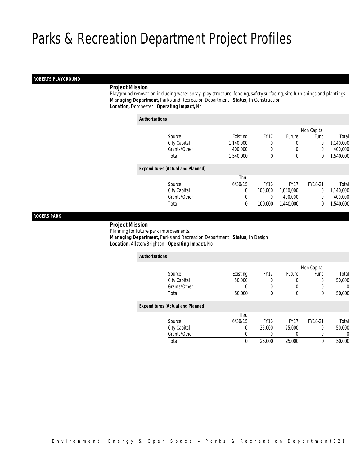## *ROBERTS PLAYGROUND*

## *Project Mission*

 Playground renovation including water spray, play structure, fencing, safety surfacing, site furnishings and plantings. *Managing Department,* Parks and Recreation Department *Status,* In Construction*Location,* Dorchester *Operating Impact,* No

| <b>Authorizations</b>                    |                |             |               |                |           |
|------------------------------------------|----------------|-------------|---------------|----------------|-----------|
|                                          |                |             |               | Non Capital    |           |
| Source                                   | Existing       | <b>FY17</b> | <b>Future</b> | Fund           | Total     |
| City Capital                             | 1,140,000      | 0           | 0             | $\overline{0}$ | 1,140,000 |
| Grants/Other                             | 400,000        | $\Omega$    | 0             | 0              | 400,000   |
| Total                                    | 1,540,000      | $\theta$    | $\mathbf 0$   | 0              | 1,540,000 |
| <b>Expenditures (Actual and Planned)</b> |                |             |               |                |           |
|                                          | Thru           |             |               |                |           |
| Source                                   | 6/30/15        | <b>FY16</b> | <b>FY17</b>   | FY18-21        | Total     |
| City Capital                             | $\overline{0}$ | 100,000     | 1.040.000     | $\overline{0}$ | 1,140,000 |
| Grants/Other                             | 0              | $\Omega$    | 400,000       | 0              | 400,000   |
| Total                                    | $\mathbf 0$    | 100,000     | 1,440,000     | 0              | 1,540,000 |

*ROGERS PARK* 

## *Project Mission*

 Planning for future park improvements. *Managing Department,* Parks and Recreation Department *Status,* In Design*Location,* Allston/Brighton *Operating Impact,* No

| <b>Authorizations</b>                    |          |             |             |             |        |
|------------------------------------------|----------|-------------|-------------|-------------|--------|
|                                          |          |             |             | Non Capital |        |
| Source                                   | Existing | <b>FY17</b> | Future      | Fund        | Total  |
| City Capital                             | 50,000   | 0           | 0           | 0           | 50,000 |
| Grants/Other                             | 0        | 0           | 0           | 0           | 0      |
| Total                                    | 50,000   | 0           | $\mathbf 0$ | 0           | 50,000 |
| <b>Expenditures (Actual and Planned)</b> |          |             |             |             |        |
|                                          | Thru     |             |             |             |        |
| Source                                   | 6/30/15  | <b>FY16</b> | <b>FY17</b> | FY18-21     | Total  |
| City Capital                             | $\Omega$ | 25,000      | 25,000      | $\Omega$    | 50,000 |
| Grants/Other                             | 0        | 0           |             | 0           | 0      |
| Total                                    | 0        | 25,000      | 25,000      | $\Omega$    | 50,000 |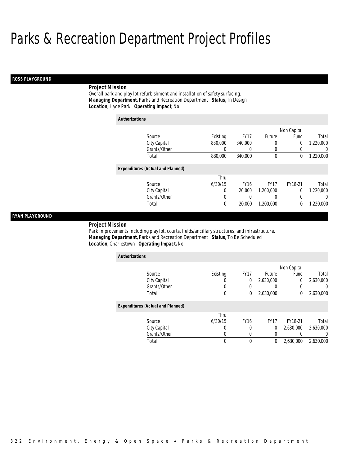## *ROSS PLAYGROUND*

## *Project Mission*

Overall park and play lot refurbishment and installation of safety surfacing. *Managing Department,* Parks and Recreation Department *Status,* In Design*Location,* Hyde Park *Operating Impact,* No

| <b>Authorizations</b> |                                          |          |             |             |                |           |
|-----------------------|------------------------------------------|----------|-------------|-------------|----------------|-----------|
|                       |                                          |          |             |             | Non Capital    |           |
|                       | Source                                   | Existing | <b>FY17</b> | Future      | Fund           | Total     |
|                       | City Capital                             | 880,000  | 340,000     | 0           | $\overline{0}$ | 1,220,000 |
|                       | Grants/Other                             | 0        | 0           | 0           |                | U         |
|                       | Total                                    | 880,000  | 340,000     | $\mathbf 0$ | 0              | 1,220,000 |
|                       | <b>Expenditures (Actual and Planned)</b> |          |             |             |                |           |
|                       |                                          | Thru     |             |             |                |           |
|                       | Source                                   | 6/30/15  | <b>FY16</b> | <b>FY17</b> | FY18-21        | Total     |
|                       | City Capital                             | 0        | 20,000      | 1,200,000   | $\Omega$       | 1.220.000 |
|                       | Grants/Other                             | 0        |             | 0           | 0              | 0         |
|                       | Total                                    | 0        | 20,000      | 1,200,000   | $\theta$       | 1,220,000 |

## *RYAN PLAYGROUND*

*Project Mission* 

Park improvements including play lot, courts, fields/ancillary structures, and infrastructure. *Managing Department,* Parks and Recreation Department *Status,* To Be Scheduled*Location,* Charlestown *Operating Impact,* No

| <b>Authorizations</b>                    |          |             |             |             |                  |
|------------------------------------------|----------|-------------|-------------|-------------|------------------|
|                                          |          |             |             | Non Capital |                  |
| Source                                   | Existing | <b>FY17</b> | Future      | Fund        | Total            |
| City Capital                             | U        | 0           | 2,630,000   | 0           | 2,630,000        |
| Grants/Other                             | O        | $\Omega$    |             | $\Omega$    | 0                |
| Total                                    | 0        | 0           | 2,630,000   | 0           | 2,630,000        |
| <b>Expenditures (Actual and Planned)</b> |          |             |             |             |                  |
|                                          | Thru     |             |             |             |                  |
| Source                                   | 6/30/15  | <b>FY16</b> | <b>FY17</b> | FY18-21     | Total            |
| City Capital                             | 0        | 0           | 0           | 2,630,000   | 2,630,000        |
| Grants/Other                             | 0        | $\Omega$    | 0           |             | $\left( \right)$ |
| Total                                    | 0        | $\theta$    | $\theta$    | 2,630,000   | 2,630,000        |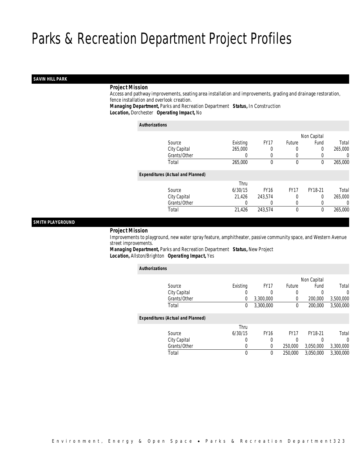## *SAVIN HILL PARK*

## *Project Mission*

 Access and pathway improvements, seating area installation and improvements, grading and drainage restoration, fence installation and overlook creation.

*Managing Department,* Parks and Recreation Department *Status,* In Construction*Location,* Dorchester *Operating Impact,* No

#### *Authorizations*

|                                          |                  |             |               | Non Capital |         |
|------------------------------------------|------------------|-------------|---------------|-------------|---------|
| Source                                   | Existing         | <b>FY17</b> | <b>Future</b> | Fund        | Total   |
| City Capital                             | 265,000          | 0           |               | 0           | 265,000 |
| Grants/Other                             | $\left( \right)$ | 0           | $\left($      |             | 0       |
| Total                                    | 265,000          | 0           | $\theta$      | 0           | 265,000 |
| <b>Expenditures (Actual and Planned)</b> |                  |             |               |             |         |
|                                          | Thru             |             |               |             |         |
| Source                                   | 6/30/15          | <b>FY16</b> | <b>FY17</b>   | FY18-21     | Total   |
| City Capital                             | 21,426           | 243,574     | 0             | $\Omega$    | 265,000 |
| Grants/Other                             | 0                |             | $\left($      |             | 0       |
| Total                                    | 21,426           | 243,574     | $\theta$      | $\theta$    | 265,000 |
|                                          |                  |             |               |             |         |

## *SMITH PLAYGROUND*

*Project Mission*

 Improvements to playground, new water spray feature, amphitheater, passive community space, and Western Avenue street improvements.

*Managing Department,* Parks and Recreation Department *Status,* New Project*Location,* Allston/Brighton *Operating Impact,* Yes

| <b>Authorizations</b>                    |          |             |             |             |           |
|------------------------------------------|----------|-------------|-------------|-------------|-----------|
|                                          |          |             |             | Non Capital |           |
| Source                                   | Existing | <b>FY17</b> | Future      | Fund        | Total     |
| City Capital                             | 0        | 0           | 0           |             | $\Omega$  |
| Grants/Other                             | 0        | 3,300,000   | 0           | 200,000     | 3,500,000 |
| Total                                    | 0        | 3,300,000   | 0           | 200,000     | 3,500,000 |
| <b>Expenditures (Actual and Planned)</b> |          |             |             |             |           |
|                                          | Thru     |             |             |             |           |
| Source                                   | 6/30/15  | <b>FY16</b> | <b>FY17</b> | FY18-21     | Total     |
| City Capital                             | 0        | 0           | 0           | 0           | $\Omega$  |
| Grants/Other                             | 0        | 0           | 250,000     | 3,050,000   | 3,300,000 |
| Total                                    | 0        | 0           | 250,000     | 3.050.000   | 3,300,000 |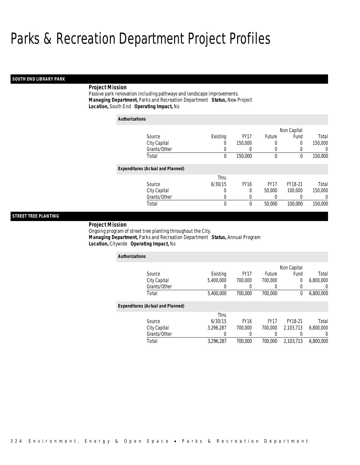## *SOUTH END LIBRARY PARK*

## *Project Mission*

Passive park renovation including pathways and landscape improvements. *Managing Department,* Parks and Recreation Department *Status,* New Project*Location,* South End *Operating Impact,* No

| <b>Authorizations</b>                    |          |             |             |             |         |
|------------------------------------------|----------|-------------|-------------|-------------|---------|
|                                          |          |             |             | Non Capital |         |
| Source                                   | Existing | <b>FY17</b> | Future      | Fund        | Total   |
| City Capital                             | 0        | 150,000     | 0           | 0           | 150,000 |
| Grants/Other                             | 0        | 0           | 0           | 0           | U       |
| Total                                    | 0        | 150,000     | $\mathbf 0$ | 0           | 150,000 |
| <b>Expenditures (Actual and Planned)</b> |          |             |             |             |         |
|                                          | Thru     |             |             |             |         |
| Source                                   | 6/30/15  | <b>FY16</b> | <b>FY17</b> | FY18-21     | Total   |
| City Capital                             | 0        | 0           | 50,000      | 100,000     | 150,000 |
| Grants/Other                             | 0        | 0           |             |             | 0       |
| Total                                    | 0        | 0           | 50,000      | 100,000     | 150,000 |

## *STREET TREE PLANTING*

 *Project Mission* Ongoing program of street tree planting throughout the City. *Managing Department,* Parks and Recreation Department *Status,* Annual Program*Location,* Citywide *Operating Impact,* No

| <b>Authorizations</b>                    |                  |             |             |             |                  |
|------------------------------------------|------------------|-------------|-------------|-------------|------------------|
|                                          |                  |             |             | Non Capital |                  |
| Source                                   | Existing         | <b>FY17</b> | Future      | Fund        | Total            |
| City Capital                             | 5.400.000        | 700,000     | 700.000     | 0           | 6.800.000        |
| Grants/Other                             | $\left( \right)$ |             |             | $\Omega$    | $\left( \right)$ |
| Total                                    | 5,400,000        | 700,000     | 700,000     | 0           | 6,800,000        |
| <b>Expenditures (Actual and Planned)</b> |                  |             |             |             |                  |
|                                          | Thru             |             |             |             |                  |
| Source                                   | 6/30/15          | <b>FY16</b> | <b>FY17</b> | FY18-21     | Total            |
| City Capital                             | 3.296.287        | 700,000     | 700.000     | 2.103.713   | 6,800,000        |
| Grants/Other                             | 0                |             |             | 0           | 0                |
| Total                                    | 3.296.287        | 700,000     | 700.000     | 2.103.713   | 6,800,000        |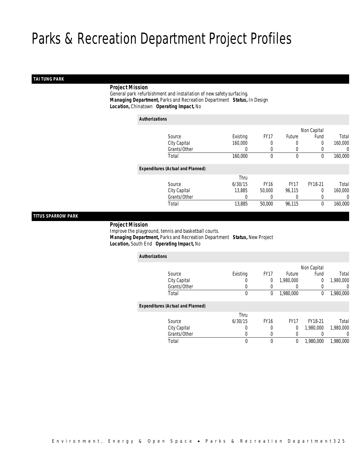## *TAI TUNG PARK*

## *Project Mission*

 General park refurbishment and installation of new safety surfacing. *Managing Department,* Parks and Recreation Department *Status,* In Design*Location,* Chinatown *Operating Impact,* No

| <b>Authorizations</b> |                                          |          |             |               |             |         |
|-----------------------|------------------------------------------|----------|-------------|---------------|-------------|---------|
|                       |                                          |          |             |               | Non Capital |         |
|                       | Source                                   | Existing | <b>FY17</b> | <b>Future</b> | Fund        | Total   |
|                       | City Capital                             | 160,000  |             | 0             | 0           | 160,000 |
|                       | Grants/Other                             | 0        |             | $\left($      |             | 0       |
|                       | Total                                    | 160,000  | 0           | $\mathbf 0$   | 0           | 160,000 |
|                       | <b>Expenditures (Actual and Planned)</b> |          |             |               |             |         |
|                       |                                          | Thru     |             |               |             |         |
|                       | Source                                   | 6/30/15  | <b>FY16</b> | <b>FY17</b>   | FY18-21     | Total   |
|                       | City Capital                             | 13,885   | 50,000      | 96.115        | $\Omega$    | 160,000 |
|                       | Grants/Other                             |          |             |               |             | 0       |
|                       | Total                                    | 13,885   | 50,000      | 96,115        | 0           | 160,000 |
|                       |                                          |          |             |               |             |         |

## *TITUS SPARROW PARK*

### *Project Mission*

 Improve the playground, tennis and basketball courts. *Managing Department,* Parks and Recreation Department *Status,* New Project*Location,* South End *Operating Impact,* No

| <b>Authorizations</b>                    |          |             |             |             |           |
|------------------------------------------|----------|-------------|-------------|-------------|-----------|
|                                          |          |             |             | Non Capital |           |
| Source                                   | Existing | <b>FY17</b> | Future      | Fund        | Total     |
| City Capital                             | 0        | 0           | 1,980,000   | $\Omega$    | 1,980,000 |
| Grants/Other                             | 0        |             |             |             | 0         |
| Total                                    | 0        | 0           | 1,980,000   | 0           | 1,980,000 |
| <b>Expenditures (Actual and Planned)</b> |          |             |             |             |           |
|                                          | Thru     |             |             |             |           |
| Source                                   | 6/30/15  | <b>FY16</b> | <b>FY17</b> | FY18-21     | Total     |
| City Capital                             | 0        | 0           | $\theta$    | 1.980.000   | 1.980.000 |
| Grants/Other                             | 0        | 0           | 0           |             | $\Omega$  |
| Total                                    | 0        | $\theta$    | 0           | 1,980,000   | 1.980.000 |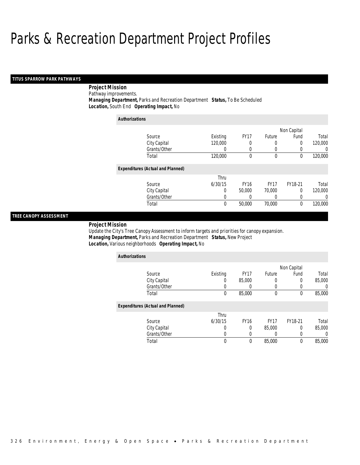### *TITUS SPARROW PARK PATHWAYS*

*Project Mission* 

Pathway improvements.

*Managing Department,* Parks and Recreation Department *Status,* To Be Scheduled*Location,* South End *Operating Impact,* No

| <b>Authorizations</b>                    |             |             |             |             |         |
|------------------------------------------|-------------|-------------|-------------|-------------|---------|
|                                          |             |             |             | Non Capital |         |
| Source                                   | Existing    | <b>FY17</b> | Future      | Fund        | Total   |
| City Capital                             | 120,000     | 0           | 0           | $\Omega$    | 120,000 |
| Grants/Other                             | 0           | 0           | 0           | 0           | 0       |
| Total                                    | 120,000     | 0           | $\mathbf 0$ | 0           | 120,000 |
| <b>Expenditures (Actual and Planned)</b> |             |             |             |             |         |
|                                          | Thru        |             |             |             |         |
| Source                                   | 6/30/15     | <b>FY16</b> | <b>FY17</b> | FY18-21     | Total   |
| City Capital                             | 0           | 50,000      | 70,000      | 0           | 120,000 |
| Grants/Other                             | 0           | 0           | 0           | 0           | 0       |
| Total                                    | $\mathbf 0$ | 50,000      | 70,000      | $\theta$    | 120,000 |

## *TREE CANOPY ASSESSMENT*

*Project Mission* 

Update the City's Tree Canopy Assessment to inform targets and priorities for canopy expansion. *Managing Department,* Parks and Recreation Department *Status,* New Project*Location,* Various neighborhoods *Operating Impact,* No

| <b>Authorizations</b>                    |          |             |             |             |        |
|------------------------------------------|----------|-------------|-------------|-------------|--------|
|                                          |          |             |             | Non Capital |        |
| Source                                   | Existing | <b>FY17</b> | Future      | Fund        | Total  |
| City Capital                             |          | 85,000      | 0           | 0           | 85,000 |
| Grants/Other                             |          |             |             |             |        |
| Total                                    | 0        | 85,000      | 0           | 0           | 85,000 |
| <b>Expenditures (Actual and Planned)</b> |          |             |             |             |        |
|                                          | Thru     |             |             |             |        |
| Source                                   | 6/30/15  | <b>FY16</b> | <b>FY17</b> | FY18-21     | Total  |
| City Capital                             | O        | 0           | 85,000      | 0           | 85,000 |
| Grants/Other                             |          |             |             | 0           |        |
| Total                                    | 0        | 0           | 85,000      | 0           | 85,000 |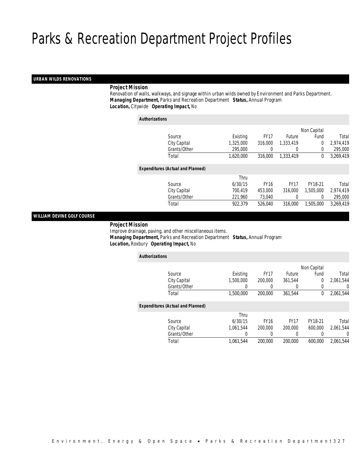## *URBAN WILDS RENOVATIONS*

## *Project Mission*

 Renovation of walls, walkways, and signage within urban wilds owned by Environment and Parks Department. *Managing Department,* Parks and Recreation Department *Status,* Annual Program*Location,* Citywide *Operating Impact,* No

| <b>Authorizations</b> |                                          |           |             |               |             |           |
|-----------------------|------------------------------------------|-----------|-------------|---------------|-------------|-----------|
|                       |                                          |           |             |               | Non Capital |           |
|                       | Source                                   | Existing  | <b>FY17</b> | <b>Future</b> | Fund        | Total     |
|                       | City Capital                             | 1,325,000 | 316,000     | 1.333.419     | $\mathbf 0$ | 2,974,419 |
|                       | Grants/Other                             | 295,000   | 0           | $\left($      | $\Omega$    | 295,000   |
|                       | Total                                    | 1,620,000 | 316,000     | 1,333,419     | 0           | 3,269,419 |
|                       | <b>Expenditures (Actual and Planned)</b> |           |             |               |             |           |
|                       |                                          | Thru      |             |               |             |           |
|                       | Source                                   | 6/30/15   | <b>FY16</b> | <b>FY17</b>   | FY18-21     | Total     |
|                       | City Capital                             | 700.419   | 453,000     | 316,000       | 1.505.000   | 2,974,419 |
|                       | Grants/Other                             | 221,960   | 73,040      | $\left($      | 0           | 295,000   |
|                       | Total                                    | 922.379   | 526,040     | 316,000       | 1,505,000   | 3,269,419 |
|                       |                                          |           |             |               |             |           |

## *WILLIAM DEVINE GOLF COURSE*

#### *Project Mission*

 Improve drainage, paving, and other miscellaneous items. *Managing Department,* Parks and Recreation Department *Status,* Annual Program*Location,* Roxbury *Operating Impact,* No

| <b>Authorizations</b>                    |           |             |             |             |           |
|------------------------------------------|-----------|-------------|-------------|-------------|-----------|
|                                          |           |             |             | Non Capital |           |
| Source                                   | Existing  | <b>FY17</b> | Future      | Fund        | Total     |
| City Capital                             | 1.500.000 | 200,000     | 361,544     | $\Omega$    | 2.061.544 |
| Grants/Other                             | 0         | 0           |             | 0           | 0         |
| Total                                    | 1,500,000 | 200,000     | 361.544     | $\theta$    | 2.061.544 |
| <b>Expenditures (Actual and Planned)</b> |           |             |             |             |           |
|                                          | Thru      |             |             |             |           |
| Source                                   | 6/30/15   | <b>FY16</b> | <b>FY17</b> | FY18-21     | Total     |
| City Capital                             | 1.061.544 | 200,000     | 200,000     | 600,000     | 2.061.544 |
| Grants/Other                             | 0         | $\left($    | 0           | 0           | $\Omega$  |
| Total                                    | 1.061.544 | 200,000     | 200,000     | 600.000     | 2.061.544 |